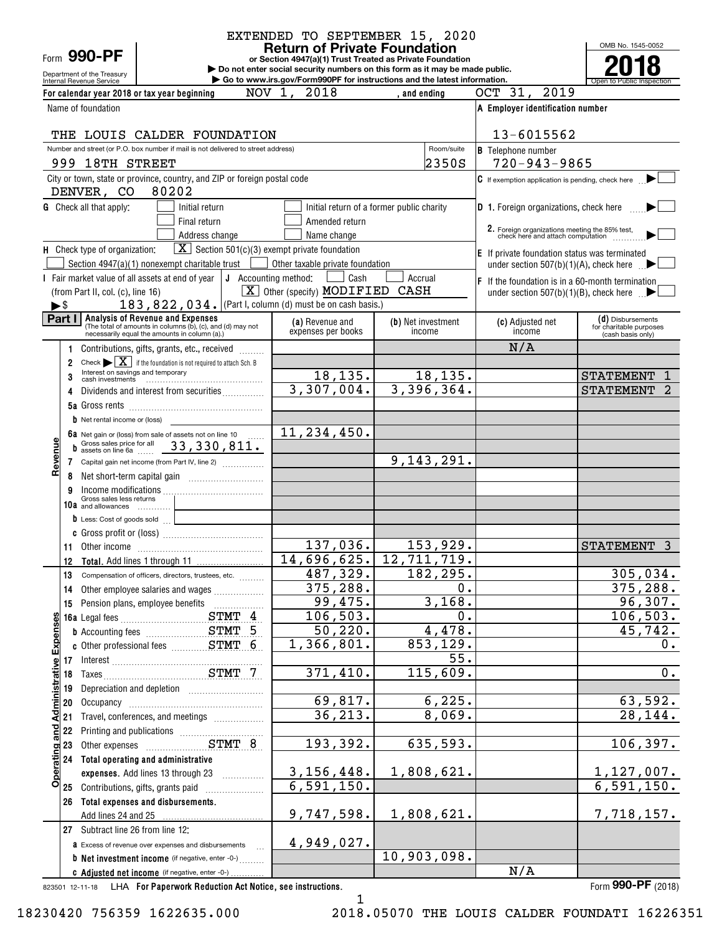Form **990-PF**

# Department of the Treasury<br>Internal Revenue Service

# EXTENDED TO SEPTEMBER 15, 2020

**or Section 4947(a)(1) Trust Treated as Private Foundation Return of Private Foundation**

**| Do not enter social security numbers on this form as it may be made public. | Go to www.irs.gov/Form990PF for instructions and the latest information.**

OMB No. 1545-0052 Internal Revenue Service **Number 19th Construction Constructions and the latest information.** The Service of Public Inspection **2018**

| A Employer identification number<br>Name of foundation<br>13-6015562<br>THE LOUIS CALDER FOUNDATION<br>Number and street (or P.O. box number if mail is not delivered to street address)<br>Room/suite<br><b>B</b> Telephone number<br>2350S<br>$720 - 943 - 9865$<br>999 18TH STREET<br>City or town, state or province, country, and ZIP or foreign postal code<br>$C$ If exemption application is pending, check here<br>80202<br>DENVER, CO<br><b>G</b> Check all that apply:<br><b>D</b> 1. Foreign organizations, check here<br>Initial return<br>Initial return of a former public charity<br>Final return<br>Amended return<br>2. Foreign organizations meeting the 85% test,<br>check here and attach computation<br>Address change<br>Name change<br>$\boxed{\mathbf{X}}$ Section 501(c)(3) exempt private foundation<br><b>E</b> If private foundation status was terminated<br>Section $4947(a)(1)$ nonexempt charitable trust [<br>Other taxable private foundation<br>under section $507(b)(1)(A)$ , check here $\Box$<br>I Fair market value of all assets at end of year $\vert J \vert$ Accounting method:<br>Cash<br>Accrual<br>F If the foundation is in a 60-month termination<br>CASH<br>$\boxed{\textbf{X}}$ Other (specify) <b>MODIFIED</b><br>(from Part II, col. (c), line 16)<br>under section 507(b)(1)(B), check here $\Box$<br>183, 822, 034. (Part I, column (d) must be on cash basis.)<br>$\blacktriangleright$ \$<br>Part I<br>Analysis of Revenue and Expenses<br>(The total of amounts in columns (b), (c), and (d) may not<br>(d) Disbursements<br>(c) Adjusted net<br><b>(a)</b> Revenue and<br>(b) Net investment<br>for charitable purposes<br>expenses per books<br>income<br>income<br>necessarily equal the amounts in column (a).)<br>(cash basis only)<br>N/A<br>Contributions, gifts, grants, etc., received<br>1<br>Check $\blacktriangleright \boxed{\mathbf{X}}$ if the foundation is not required to attach Sch. B<br>2<br>18, 135.<br>18,135.<br><b>STATEMENT</b><br>3<br>3,307,004.<br>3,396,364.<br><b>STATEMENT</b><br>Dividends and interest from securities<br>4<br><b>b</b> Net rental income or (loss)<br>11,234,450.<br>6a Net gain or (loss) from sale of assets not on line 10<br>Revenue<br>Gross sales price for all 33, 330, 811.<br>b<br>9,143,291.<br>Capital gain net income (from Part IV, line 2)<br>7<br>Income modifications<br>Gross sales less returns<br>9<br>10a and allowances<br>the control of the control of the control of<br><b>b</b> Less: Cost of goods sold<br><u>and the companion of the companion of</u><br>137,036.<br>153,929.<br>STATEMENT 3<br>14,696,625.<br>12,711,719.<br>12<br>487,329.<br>182,295.<br>13<br>Compensation of officers, directors, trustees, etc.<br>375,288.<br>0.<br>Other employee salaries and wages<br>14<br>99,475.<br>3,168.<br>15<br>106, 503.<br>0.<br>ဖာ<br><u>and Administrative Expense</u><br>50, 220.<br>4,478.<br>1,366,801.<br>853,129.<br>55.<br>17 Interest<br>18 Taxes<br>371,410.<br>115,609.<br>Depreciation and depletion [11] Depreciation and depletion<br>19<br>6, 225.<br>69,817.<br>20<br>36,213.<br>8,069.<br>Travel, conferences, and meetings<br>21<br>22<br>Printing and publications [111] [11] Printing and publications [11] [11] Annancement Contains Principles<br>193,392.<br>635,593.<br>23<br>Operating<br>24 Total operating and administrative<br>3, 156, 448.<br>1,808,621.<br>expenses. Add lines 13 through 23<br>6,591,150.<br>25 Contributions, gifts, grants paid<br>26 Total expenses and disbursements.<br>9,747,598.<br>1,808,621.<br>Add lines 24 and 25<br>27 Subtract line 26 from line 12:<br>4,949,027.<br>a Excess of revenue over expenses and disbursements<br>10,903,098.<br><b>b</b> Net investment income (if negative, enter -0-) | For calendar year 2018 or tax year beginning   | NOV 1,<br>2018 | , and ending | OCT 31, 2019 |  |
|--------------------------------------------------------------------------------------------------------------------------------------------------------------------------------------------------------------------------------------------------------------------------------------------------------------------------------------------------------------------------------------------------------------------------------------------------------------------------------------------------------------------------------------------------------------------------------------------------------------------------------------------------------------------------------------------------------------------------------------------------------------------------------------------------------------------------------------------------------------------------------------------------------------------------------------------------------------------------------------------------------------------------------------------------------------------------------------------------------------------------------------------------------------------------------------------------------------------------------------------------------------------------------------------------------------------------------------------------------------------------------------------------------------------------------------------------------------------------------------------------------------------------------------------------------------------------------------------------------------------------------------------------------------------------------------------------------------------------------------------------------------------------------------------------------------------------------------------------------------------------------------------------------------------------------------------------------------------------------------------------------------------------------------------------------------------------------------------------------------------------------------------------------------------------------------------------------------------------------------------------------------------------------------------------------------------------------------------------------------------------------------------------------------------------------------------------------------------------------------------------------------------------------------------------------------------------------------------------------------------------------------------------------------------------------------------------------------------------------------------------------------------------------------------------------------------------------------------------------------------------------------------------------------------------------------------------------------------------------------------------------------------------------------------------------------------------------------------------------------------------------------------------------------------------------------------------------------------------------------------------------------------------------------------------------------------------------------------------------------------------------------------------------------------------------------------------------------------------------------------------------------------------------------------------------------------------------------------------------------------------------------------------------------------------------------------------------------------------------------------------------------------------------------------------------------|------------------------------------------------|----------------|--------------|--------------|--|
|                                                                                                                                                                                                                                                                                                                                                                                                                                                                                                                                                                                                                                                                                                                                                                                                                                                                                                                                                                                                                                                                                                                                                                                                                                                                                                                                                                                                                                                                                                                                                                                                                                                                                                                                                                                                                                                                                                                                                                                                                                                                                                                                                                                                                                                                                                                                                                                                                                                                                                                                                                                                                                                                                                                                                                                                                                                                                                                                                                                                                                                                                                                                                                                                                                                                                                                                                                                                                                                                                                                                                                                                                                                                                                                                                                                                              |                                                |                |              |              |  |
|                                                                                                                                                                                                                                                                                                                                                                                                                                                                                                                                                                                                                                                                                                                                                                                                                                                                                                                                                                                                                                                                                                                                                                                                                                                                                                                                                                                                                                                                                                                                                                                                                                                                                                                                                                                                                                                                                                                                                                                                                                                                                                                                                                                                                                                                                                                                                                                                                                                                                                                                                                                                                                                                                                                                                                                                                                                                                                                                                                                                                                                                                                                                                                                                                                                                                                                                                                                                                                                                                                                                                                                                                                                                                                                                                                                                              |                                                |                |              |              |  |
|                                                                                                                                                                                                                                                                                                                                                                                                                                                                                                                                                                                                                                                                                                                                                                                                                                                                                                                                                                                                                                                                                                                                                                                                                                                                                                                                                                                                                                                                                                                                                                                                                                                                                                                                                                                                                                                                                                                                                                                                                                                                                                                                                                                                                                                                                                                                                                                                                                                                                                                                                                                                                                                                                                                                                                                                                                                                                                                                                                                                                                                                                                                                                                                                                                                                                                                                                                                                                                                                                                                                                                                                                                                                                                                                                                                                              |                                                |                |              |              |  |
|                                                                                                                                                                                                                                                                                                                                                                                                                                                                                                                                                                                                                                                                                                                                                                                                                                                                                                                                                                                                                                                                                                                                                                                                                                                                                                                                                                                                                                                                                                                                                                                                                                                                                                                                                                                                                                                                                                                                                                                                                                                                                                                                                                                                                                                                                                                                                                                                                                                                                                                                                                                                                                                                                                                                                                                                                                                                                                                                                                                                                                                                                                                                                                                                                                                                                                                                                                                                                                                                                                                                                                                                                                                                                                                                                                                                              |                                                |                |              |              |  |
|                                                                                                                                                                                                                                                                                                                                                                                                                                                                                                                                                                                                                                                                                                                                                                                                                                                                                                                                                                                                                                                                                                                                                                                                                                                                                                                                                                                                                                                                                                                                                                                                                                                                                                                                                                                                                                                                                                                                                                                                                                                                                                                                                                                                                                                                                                                                                                                                                                                                                                                                                                                                                                                                                                                                                                                                                                                                                                                                                                                                                                                                                                                                                                                                                                                                                                                                                                                                                                                                                                                                                                                                                                                                                                                                                                                                              |                                                |                |              |              |  |
|                                                                                                                                                                                                                                                                                                                                                                                                                                                                                                                                                                                                                                                                                                                                                                                                                                                                                                                                                                                                                                                                                                                                                                                                                                                                                                                                                                                                                                                                                                                                                                                                                                                                                                                                                                                                                                                                                                                                                                                                                                                                                                                                                                                                                                                                                                                                                                                                                                                                                                                                                                                                                                                                                                                                                                                                                                                                                                                                                                                                                                                                                                                                                                                                                                                                                                                                                                                                                                                                                                                                                                                                                                                                                                                                                                                                              |                                                |                |              |              |  |
|                                                                                                                                                                                                                                                                                                                                                                                                                                                                                                                                                                                                                                                                                                                                                                                                                                                                                                                                                                                                                                                                                                                                                                                                                                                                                                                                                                                                                                                                                                                                                                                                                                                                                                                                                                                                                                                                                                                                                                                                                                                                                                                                                                                                                                                                                                                                                                                                                                                                                                                                                                                                                                                                                                                                                                                                                                                                                                                                                                                                                                                                                                                                                                                                                                                                                                                                                                                                                                                                                                                                                                                                                                                                                                                                                                                                              |                                                |                |              |              |  |
|                                                                                                                                                                                                                                                                                                                                                                                                                                                                                                                                                                                                                                                                                                                                                                                                                                                                                                                                                                                                                                                                                                                                                                                                                                                                                                                                                                                                                                                                                                                                                                                                                                                                                                                                                                                                                                                                                                                                                                                                                                                                                                                                                                                                                                                                                                                                                                                                                                                                                                                                                                                                                                                                                                                                                                                                                                                                                                                                                                                                                                                                                                                                                                                                                                                                                                                                                                                                                                                                                                                                                                                                                                                                                                                                                                                                              |                                                |                |              |              |  |
|                                                                                                                                                                                                                                                                                                                                                                                                                                                                                                                                                                                                                                                                                                                                                                                                                                                                                                                                                                                                                                                                                                                                                                                                                                                                                                                                                                                                                                                                                                                                                                                                                                                                                                                                                                                                                                                                                                                                                                                                                                                                                                                                                                                                                                                                                                                                                                                                                                                                                                                                                                                                                                                                                                                                                                                                                                                                                                                                                                                                                                                                                                                                                                                                                                                                                                                                                                                                                                                                                                                                                                                                                                                                                                                                                                                                              | H Check type of organization:                  |                |              |              |  |
|                                                                                                                                                                                                                                                                                                                                                                                                                                                                                                                                                                                                                                                                                                                                                                                                                                                                                                                                                                                                                                                                                                                                                                                                                                                                                                                                                                                                                                                                                                                                                                                                                                                                                                                                                                                                                                                                                                                                                                                                                                                                                                                                                                                                                                                                                                                                                                                                                                                                                                                                                                                                                                                                                                                                                                                                                                                                                                                                                                                                                                                                                                                                                                                                                                                                                                                                                                                                                                                                                                                                                                                                                                                                                                                                                                                                              |                                                |                |              |              |  |
|                                                                                                                                                                                                                                                                                                                                                                                                                                                                                                                                                                                                                                                                                                                                                                                                                                                                                                                                                                                                                                                                                                                                                                                                                                                                                                                                                                                                                                                                                                                                                                                                                                                                                                                                                                                                                                                                                                                                                                                                                                                                                                                                                                                                                                                                                                                                                                                                                                                                                                                                                                                                                                                                                                                                                                                                                                                                                                                                                                                                                                                                                                                                                                                                                                                                                                                                                                                                                                                                                                                                                                                                                                                                                                                                                                                                              |                                                |                |              |              |  |
|                                                                                                                                                                                                                                                                                                                                                                                                                                                                                                                                                                                                                                                                                                                                                                                                                                                                                                                                                                                                                                                                                                                                                                                                                                                                                                                                                                                                                                                                                                                                                                                                                                                                                                                                                                                                                                                                                                                                                                                                                                                                                                                                                                                                                                                                                                                                                                                                                                                                                                                                                                                                                                                                                                                                                                                                                                                                                                                                                                                                                                                                                                                                                                                                                                                                                                                                                                                                                                                                                                                                                                                                                                                                                                                                                                                                              |                                                |                |              |              |  |
| 305,034.<br>375, 288.<br>96, 307.<br>106, 503.<br>45,742.<br>0.<br>0.<br>63,592.<br>28, 144.<br>106, 397.<br>1,127,007.<br>6,591,150.<br>7,718,157.                                                                                                                                                                                                                                                                                                                                                                                                                                                                                                                                                                                                                                                                                                                                                                                                                                                                                                                                                                                                                                                                                                                                                                                                                                                                                                                                                                                                                                                                                                                                                                                                                                                                                                                                                                                                                                                                                                                                                                                                                                                                                                                                                                                                                                                                                                                                                                                                                                                                                                                                                                                                                                                                                                                                                                                                                                                                                                                                                                                                                                                                                                                                                                                                                                                                                                                                                                                                                                                                                                                                                                                                                                                          |                                                |                |              |              |  |
|                                                                                                                                                                                                                                                                                                                                                                                                                                                                                                                                                                                                                                                                                                                                                                                                                                                                                                                                                                                                                                                                                                                                                                                                                                                                                                                                                                                                                                                                                                                                                                                                                                                                                                                                                                                                                                                                                                                                                                                                                                                                                                                                                                                                                                                                                                                                                                                                                                                                                                                                                                                                                                                                                                                                                                                                                                                                                                                                                                                                                                                                                                                                                                                                                                                                                                                                                                                                                                                                                                                                                                                                                                                                                                                                                                                                              |                                                |                |              |              |  |
|                                                                                                                                                                                                                                                                                                                                                                                                                                                                                                                                                                                                                                                                                                                                                                                                                                                                                                                                                                                                                                                                                                                                                                                                                                                                                                                                                                                                                                                                                                                                                                                                                                                                                                                                                                                                                                                                                                                                                                                                                                                                                                                                                                                                                                                                                                                                                                                                                                                                                                                                                                                                                                                                                                                                                                                                                                                                                                                                                                                                                                                                                                                                                                                                                                                                                                                                                                                                                                                                                                                                                                                                                                                                                                                                                                                                              |                                                |                |              |              |  |
|                                                                                                                                                                                                                                                                                                                                                                                                                                                                                                                                                                                                                                                                                                                                                                                                                                                                                                                                                                                                                                                                                                                                                                                                                                                                                                                                                                                                                                                                                                                                                                                                                                                                                                                                                                                                                                                                                                                                                                                                                                                                                                                                                                                                                                                                                                                                                                                                                                                                                                                                                                                                                                                                                                                                                                                                                                                                                                                                                                                                                                                                                                                                                                                                                                                                                                                                                                                                                                                                                                                                                                                                                                                                                                                                                                                                              |                                                |                |              |              |  |
|                                                                                                                                                                                                                                                                                                                                                                                                                                                                                                                                                                                                                                                                                                                                                                                                                                                                                                                                                                                                                                                                                                                                                                                                                                                                                                                                                                                                                                                                                                                                                                                                                                                                                                                                                                                                                                                                                                                                                                                                                                                                                                                                                                                                                                                                                                                                                                                                                                                                                                                                                                                                                                                                                                                                                                                                                                                                                                                                                                                                                                                                                                                                                                                                                                                                                                                                                                                                                                                                                                                                                                                                                                                                                                                                                                                                              |                                                |                |              |              |  |
|                                                                                                                                                                                                                                                                                                                                                                                                                                                                                                                                                                                                                                                                                                                                                                                                                                                                                                                                                                                                                                                                                                                                                                                                                                                                                                                                                                                                                                                                                                                                                                                                                                                                                                                                                                                                                                                                                                                                                                                                                                                                                                                                                                                                                                                                                                                                                                                                                                                                                                                                                                                                                                                                                                                                                                                                                                                                                                                                                                                                                                                                                                                                                                                                                                                                                                                                                                                                                                                                                                                                                                                                                                                                                                                                                                                                              |                                                |                |              |              |  |
|                                                                                                                                                                                                                                                                                                                                                                                                                                                                                                                                                                                                                                                                                                                                                                                                                                                                                                                                                                                                                                                                                                                                                                                                                                                                                                                                                                                                                                                                                                                                                                                                                                                                                                                                                                                                                                                                                                                                                                                                                                                                                                                                                                                                                                                                                                                                                                                                                                                                                                                                                                                                                                                                                                                                                                                                                                                                                                                                                                                                                                                                                                                                                                                                                                                                                                                                                                                                                                                                                                                                                                                                                                                                                                                                                                                                              |                                                |                |              |              |  |
|                                                                                                                                                                                                                                                                                                                                                                                                                                                                                                                                                                                                                                                                                                                                                                                                                                                                                                                                                                                                                                                                                                                                                                                                                                                                                                                                                                                                                                                                                                                                                                                                                                                                                                                                                                                                                                                                                                                                                                                                                                                                                                                                                                                                                                                                                                                                                                                                                                                                                                                                                                                                                                                                                                                                                                                                                                                                                                                                                                                                                                                                                                                                                                                                                                                                                                                                                                                                                                                                                                                                                                                                                                                                                                                                                                                                              |                                                |                |              |              |  |
|                                                                                                                                                                                                                                                                                                                                                                                                                                                                                                                                                                                                                                                                                                                                                                                                                                                                                                                                                                                                                                                                                                                                                                                                                                                                                                                                                                                                                                                                                                                                                                                                                                                                                                                                                                                                                                                                                                                                                                                                                                                                                                                                                                                                                                                                                                                                                                                                                                                                                                                                                                                                                                                                                                                                                                                                                                                                                                                                                                                                                                                                                                                                                                                                                                                                                                                                                                                                                                                                                                                                                                                                                                                                                                                                                                                                              |                                                |                |              |              |  |
|                                                                                                                                                                                                                                                                                                                                                                                                                                                                                                                                                                                                                                                                                                                                                                                                                                                                                                                                                                                                                                                                                                                                                                                                                                                                                                                                                                                                                                                                                                                                                                                                                                                                                                                                                                                                                                                                                                                                                                                                                                                                                                                                                                                                                                                                                                                                                                                                                                                                                                                                                                                                                                                                                                                                                                                                                                                                                                                                                                                                                                                                                                                                                                                                                                                                                                                                                                                                                                                                                                                                                                                                                                                                                                                                                                                                              |                                                |                |              |              |  |
|                                                                                                                                                                                                                                                                                                                                                                                                                                                                                                                                                                                                                                                                                                                                                                                                                                                                                                                                                                                                                                                                                                                                                                                                                                                                                                                                                                                                                                                                                                                                                                                                                                                                                                                                                                                                                                                                                                                                                                                                                                                                                                                                                                                                                                                                                                                                                                                                                                                                                                                                                                                                                                                                                                                                                                                                                                                                                                                                                                                                                                                                                                                                                                                                                                                                                                                                                                                                                                                                                                                                                                                                                                                                                                                                                                                                              |                                                |                |              |              |  |
|                                                                                                                                                                                                                                                                                                                                                                                                                                                                                                                                                                                                                                                                                                                                                                                                                                                                                                                                                                                                                                                                                                                                                                                                                                                                                                                                                                                                                                                                                                                                                                                                                                                                                                                                                                                                                                                                                                                                                                                                                                                                                                                                                                                                                                                                                                                                                                                                                                                                                                                                                                                                                                                                                                                                                                                                                                                                                                                                                                                                                                                                                                                                                                                                                                                                                                                                                                                                                                                                                                                                                                                                                                                                                                                                                                                                              |                                                |                |              |              |  |
|                                                                                                                                                                                                                                                                                                                                                                                                                                                                                                                                                                                                                                                                                                                                                                                                                                                                                                                                                                                                                                                                                                                                                                                                                                                                                                                                                                                                                                                                                                                                                                                                                                                                                                                                                                                                                                                                                                                                                                                                                                                                                                                                                                                                                                                                                                                                                                                                                                                                                                                                                                                                                                                                                                                                                                                                                                                                                                                                                                                                                                                                                                                                                                                                                                                                                                                                                                                                                                                                                                                                                                                                                                                                                                                                                                                                              |                                                |                |              |              |  |
|                                                                                                                                                                                                                                                                                                                                                                                                                                                                                                                                                                                                                                                                                                                                                                                                                                                                                                                                                                                                                                                                                                                                                                                                                                                                                                                                                                                                                                                                                                                                                                                                                                                                                                                                                                                                                                                                                                                                                                                                                                                                                                                                                                                                                                                                                                                                                                                                                                                                                                                                                                                                                                                                                                                                                                                                                                                                                                                                                                                                                                                                                                                                                                                                                                                                                                                                                                                                                                                                                                                                                                                                                                                                                                                                                                                                              |                                                |                |              |              |  |
|                                                                                                                                                                                                                                                                                                                                                                                                                                                                                                                                                                                                                                                                                                                                                                                                                                                                                                                                                                                                                                                                                                                                                                                                                                                                                                                                                                                                                                                                                                                                                                                                                                                                                                                                                                                                                                                                                                                                                                                                                                                                                                                                                                                                                                                                                                                                                                                                                                                                                                                                                                                                                                                                                                                                                                                                                                                                                                                                                                                                                                                                                                                                                                                                                                                                                                                                                                                                                                                                                                                                                                                                                                                                                                                                                                                                              |                                                |                |              |              |  |
|                                                                                                                                                                                                                                                                                                                                                                                                                                                                                                                                                                                                                                                                                                                                                                                                                                                                                                                                                                                                                                                                                                                                                                                                                                                                                                                                                                                                                                                                                                                                                                                                                                                                                                                                                                                                                                                                                                                                                                                                                                                                                                                                                                                                                                                                                                                                                                                                                                                                                                                                                                                                                                                                                                                                                                                                                                                                                                                                                                                                                                                                                                                                                                                                                                                                                                                                                                                                                                                                                                                                                                                                                                                                                                                                                                                                              |                                                |                |              |              |  |
|                                                                                                                                                                                                                                                                                                                                                                                                                                                                                                                                                                                                                                                                                                                                                                                                                                                                                                                                                                                                                                                                                                                                                                                                                                                                                                                                                                                                                                                                                                                                                                                                                                                                                                                                                                                                                                                                                                                                                                                                                                                                                                                                                                                                                                                                                                                                                                                                                                                                                                                                                                                                                                                                                                                                                                                                                                                                                                                                                                                                                                                                                                                                                                                                                                                                                                                                                                                                                                                                                                                                                                                                                                                                                                                                                                                                              |                                                |                |              |              |  |
|                                                                                                                                                                                                                                                                                                                                                                                                                                                                                                                                                                                                                                                                                                                                                                                                                                                                                                                                                                                                                                                                                                                                                                                                                                                                                                                                                                                                                                                                                                                                                                                                                                                                                                                                                                                                                                                                                                                                                                                                                                                                                                                                                                                                                                                                                                                                                                                                                                                                                                                                                                                                                                                                                                                                                                                                                                                                                                                                                                                                                                                                                                                                                                                                                                                                                                                                                                                                                                                                                                                                                                                                                                                                                                                                                                                                              |                                                |                |              |              |  |
|                                                                                                                                                                                                                                                                                                                                                                                                                                                                                                                                                                                                                                                                                                                                                                                                                                                                                                                                                                                                                                                                                                                                                                                                                                                                                                                                                                                                                                                                                                                                                                                                                                                                                                                                                                                                                                                                                                                                                                                                                                                                                                                                                                                                                                                                                                                                                                                                                                                                                                                                                                                                                                                                                                                                                                                                                                                                                                                                                                                                                                                                                                                                                                                                                                                                                                                                                                                                                                                                                                                                                                                                                                                                                                                                                                                                              |                                                |                |              |              |  |
|                                                                                                                                                                                                                                                                                                                                                                                                                                                                                                                                                                                                                                                                                                                                                                                                                                                                                                                                                                                                                                                                                                                                                                                                                                                                                                                                                                                                                                                                                                                                                                                                                                                                                                                                                                                                                                                                                                                                                                                                                                                                                                                                                                                                                                                                                                                                                                                                                                                                                                                                                                                                                                                                                                                                                                                                                                                                                                                                                                                                                                                                                                                                                                                                                                                                                                                                                                                                                                                                                                                                                                                                                                                                                                                                                                                                              |                                                |                |              |              |  |
|                                                                                                                                                                                                                                                                                                                                                                                                                                                                                                                                                                                                                                                                                                                                                                                                                                                                                                                                                                                                                                                                                                                                                                                                                                                                                                                                                                                                                                                                                                                                                                                                                                                                                                                                                                                                                                                                                                                                                                                                                                                                                                                                                                                                                                                                                                                                                                                                                                                                                                                                                                                                                                                                                                                                                                                                                                                                                                                                                                                                                                                                                                                                                                                                                                                                                                                                                                                                                                                                                                                                                                                                                                                                                                                                                                                                              |                                                |                |              |              |  |
|                                                                                                                                                                                                                                                                                                                                                                                                                                                                                                                                                                                                                                                                                                                                                                                                                                                                                                                                                                                                                                                                                                                                                                                                                                                                                                                                                                                                                                                                                                                                                                                                                                                                                                                                                                                                                                                                                                                                                                                                                                                                                                                                                                                                                                                                                                                                                                                                                                                                                                                                                                                                                                                                                                                                                                                                                                                                                                                                                                                                                                                                                                                                                                                                                                                                                                                                                                                                                                                                                                                                                                                                                                                                                                                                                                                                              |                                                |                |              |              |  |
|                                                                                                                                                                                                                                                                                                                                                                                                                                                                                                                                                                                                                                                                                                                                                                                                                                                                                                                                                                                                                                                                                                                                                                                                                                                                                                                                                                                                                                                                                                                                                                                                                                                                                                                                                                                                                                                                                                                                                                                                                                                                                                                                                                                                                                                                                                                                                                                                                                                                                                                                                                                                                                                                                                                                                                                                                                                                                                                                                                                                                                                                                                                                                                                                                                                                                                                                                                                                                                                                                                                                                                                                                                                                                                                                                                                                              |                                                |                |              |              |  |
|                                                                                                                                                                                                                                                                                                                                                                                                                                                                                                                                                                                                                                                                                                                                                                                                                                                                                                                                                                                                                                                                                                                                                                                                                                                                                                                                                                                                                                                                                                                                                                                                                                                                                                                                                                                                                                                                                                                                                                                                                                                                                                                                                                                                                                                                                                                                                                                                                                                                                                                                                                                                                                                                                                                                                                                                                                                                                                                                                                                                                                                                                                                                                                                                                                                                                                                                                                                                                                                                                                                                                                                                                                                                                                                                                                                                              |                                                |                |              |              |  |
|                                                                                                                                                                                                                                                                                                                                                                                                                                                                                                                                                                                                                                                                                                                                                                                                                                                                                                                                                                                                                                                                                                                                                                                                                                                                                                                                                                                                                                                                                                                                                                                                                                                                                                                                                                                                                                                                                                                                                                                                                                                                                                                                                                                                                                                                                                                                                                                                                                                                                                                                                                                                                                                                                                                                                                                                                                                                                                                                                                                                                                                                                                                                                                                                                                                                                                                                                                                                                                                                                                                                                                                                                                                                                                                                                                                                              |                                                |                |              |              |  |
|                                                                                                                                                                                                                                                                                                                                                                                                                                                                                                                                                                                                                                                                                                                                                                                                                                                                                                                                                                                                                                                                                                                                                                                                                                                                                                                                                                                                                                                                                                                                                                                                                                                                                                                                                                                                                                                                                                                                                                                                                                                                                                                                                                                                                                                                                                                                                                                                                                                                                                                                                                                                                                                                                                                                                                                                                                                                                                                                                                                                                                                                                                                                                                                                                                                                                                                                                                                                                                                                                                                                                                                                                                                                                                                                                                                                              |                                                |                |              |              |  |
|                                                                                                                                                                                                                                                                                                                                                                                                                                                                                                                                                                                                                                                                                                                                                                                                                                                                                                                                                                                                                                                                                                                                                                                                                                                                                                                                                                                                                                                                                                                                                                                                                                                                                                                                                                                                                                                                                                                                                                                                                                                                                                                                                                                                                                                                                                                                                                                                                                                                                                                                                                                                                                                                                                                                                                                                                                                                                                                                                                                                                                                                                                                                                                                                                                                                                                                                                                                                                                                                                                                                                                                                                                                                                                                                                                                                              |                                                |                |              |              |  |
|                                                                                                                                                                                                                                                                                                                                                                                                                                                                                                                                                                                                                                                                                                                                                                                                                                                                                                                                                                                                                                                                                                                                                                                                                                                                                                                                                                                                                                                                                                                                                                                                                                                                                                                                                                                                                                                                                                                                                                                                                                                                                                                                                                                                                                                                                                                                                                                                                                                                                                                                                                                                                                                                                                                                                                                                                                                                                                                                                                                                                                                                                                                                                                                                                                                                                                                                                                                                                                                                                                                                                                                                                                                                                                                                                                                                              |                                                |                |              |              |  |
|                                                                                                                                                                                                                                                                                                                                                                                                                                                                                                                                                                                                                                                                                                                                                                                                                                                                                                                                                                                                                                                                                                                                                                                                                                                                                                                                                                                                                                                                                                                                                                                                                                                                                                                                                                                                                                                                                                                                                                                                                                                                                                                                                                                                                                                                                                                                                                                                                                                                                                                                                                                                                                                                                                                                                                                                                                                                                                                                                                                                                                                                                                                                                                                                                                                                                                                                                                                                                                                                                                                                                                                                                                                                                                                                                                                                              |                                                |                |              |              |  |
|                                                                                                                                                                                                                                                                                                                                                                                                                                                                                                                                                                                                                                                                                                                                                                                                                                                                                                                                                                                                                                                                                                                                                                                                                                                                                                                                                                                                                                                                                                                                                                                                                                                                                                                                                                                                                                                                                                                                                                                                                                                                                                                                                                                                                                                                                                                                                                                                                                                                                                                                                                                                                                                                                                                                                                                                                                                                                                                                                                                                                                                                                                                                                                                                                                                                                                                                                                                                                                                                                                                                                                                                                                                                                                                                                                                                              |                                                |                |              |              |  |
|                                                                                                                                                                                                                                                                                                                                                                                                                                                                                                                                                                                                                                                                                                                                                                                                                                                                                                                                                                                                                                                                                                                                                                                                                                                                                                                                                                                                                                                                                                                                                                                                                                                                                                                                                                                                                                                                                                                                                                                                                                                                                                                                                                                                                                                                                                                                                                                                                                                                                                                                                                                                                                                                                                                                                                                                                                                                                                                                                                                                                                                                                                                                                                                                                                                                                                                                                                                                                                                                                                                                                                                                                                                                                                                                                                                                              |                                                |                |              |              |  |
|                                                                                                                                                                                                                                                                                                                                                                                                                                                                                                                                                                                                                                                                                                                                                                                                                                                                                                                                                                                                                                                                                                                                                                                                                                                                                                                                                                                                                                                                                                                                                                                                                                                                                                                                                                                                                                                                                                                                                                                                                                                                                                                                                                                                                                                                                                                                                                                                                                                                                                                                                                                                                                                                                                                                                                                                                                                                                                                                                                                                                                                                                                                                                                                                                                                                                                                                                                                                                                                                                                                                                                                                                                                                                                                                                                                                              |                                                |                |              |              |  |
|                                                                                                                                                                                                                                                                                                                                                                                                                                                                                                                                                                                                                                                                                                                                                                                                                                                                                                                                                                                                                                                                                                                                                                                                                                                                                                                                                                                                                                                                                                                                                                                                                                                                                                                                                                                                                                                                                                                                                                                                                                                                                                                                                                                                                                                                                                                                                                                                                                                                                                                                                                                                                                                                                                                                                                                                                                                                                                                                                                                                                                                                                                                                                                                                                                                                                                                                                                                                                                                                                                                                                                                                                                                                                                                                                                                                              |                                                |                |              |              |  |
|                                                                                                                                                                                                                                                                                                                                                                                                                                                                                                                                                                                                                                                                                                                                                                                                                                                                                                                                                                                                                                                                                                                                                                                                                                                                                                                                                                                                                                                                                                                                                                                                                                                                                                                                                                                                                                                                                                                                                                                                                                                                                                                                                                                                                                                                                                                                                                                                                                                                                                                                                                                                                                                                                                                                                                                                                                                                                                                                                                                                                                                                                                                                                                                                                                                                                                                                                                                                                                                                                                                                                                                                                                                                                                                                                                                                              |                                                |                |              |              |  |
|                                                                                                                                                                                                                                                                                                                                                                                                                                                                                                                                                                                                                                                                                                                                                                                                                                                                                                                                                                                                                                                                                                                                                                                                                                                                                                                                                                                                                                                                                                                                                                                                                                                                                                                                                                                                                                                                                                                                                                                                                                                                                                                                                                                                                                                                                                                                                                                                                                                                                                                                                                                                                                                                                                                                                                                                                                                                                                                                                                                                                                                                                                                                                                                                                                                                                                                                                                                                                                                                                                                                                                                                                                                                                                                                                                                                              |                                                |                |              |              |  |
|                                                                                                                                                                                                                                                                                                                                                                                                                                                                                                                                                                                                                                                                                                                                                                                                                                                                                                                                                                                                                                                                                                                                                                                                                                                                                                                                                                                                                                                                                                                                                                                                                                                                                                                                                                                                                                                                                                                                                                                                                                                                                                                                                                                                                                                                                                                                                                                                                                                                                                                                                                                                                                                                                                                                                                                                                                                                                                                                                                                                                                                                                                                                                                                                                                                                                                                                                                                                                                                                                                                                                                                                                                                                                                                                                                                                              |                                                |                |              |              |  |
|                                                                                                                                                                                                                                                                                                                                                                                                                                                                                                                                                                                                                                                                                                                                                                                                                                                                                                                                                                                                                                                                                                                                                                                                                                                                                                                                                                                                                                                                                                                                                                                                                                                                                                                                                                                                                                                                                                                                                                                                                                                                                                                                                                                                                                                                                                                                                                                                                                                                                                                                                                                                                                                                                                                                                                                                                                                                                                                                                                                                                                                                                                                                                                                                                                                                                                                                                                                                                                                                                                                                                                                                                                                                                                                                                                                                              |                                                |                |              |              |  |
|                                                                                                                                                                                                                                                                                                                                                                                                                                                                                                                                                                                                                                                                                                                                                                                                                                                                                                                                                                                                                                                                                                                                                                                                                                                                                                                                                                                                                                                                                                                                                                                                                                                                                                                                                                                                                                                                                                                                                                                                                                                                                                                                                                                                                                                                                                                                                                                                                                                                                                                                                                                                                                                                                                                                                                                                                                                                                                                                                                                                                                                                                                                                                                                                                                                                                                                                                                                                                                                                                                                                                                                                                                                                                                                                                                                                              | C Adjusted net income (if negative, enter -0-) |                |              | N/A          |  |

823501 12-11-18 LHA **For Paperwork Reduction Act Notice, see instructions.** Form **990-PF** (2018)

**990-PF**

1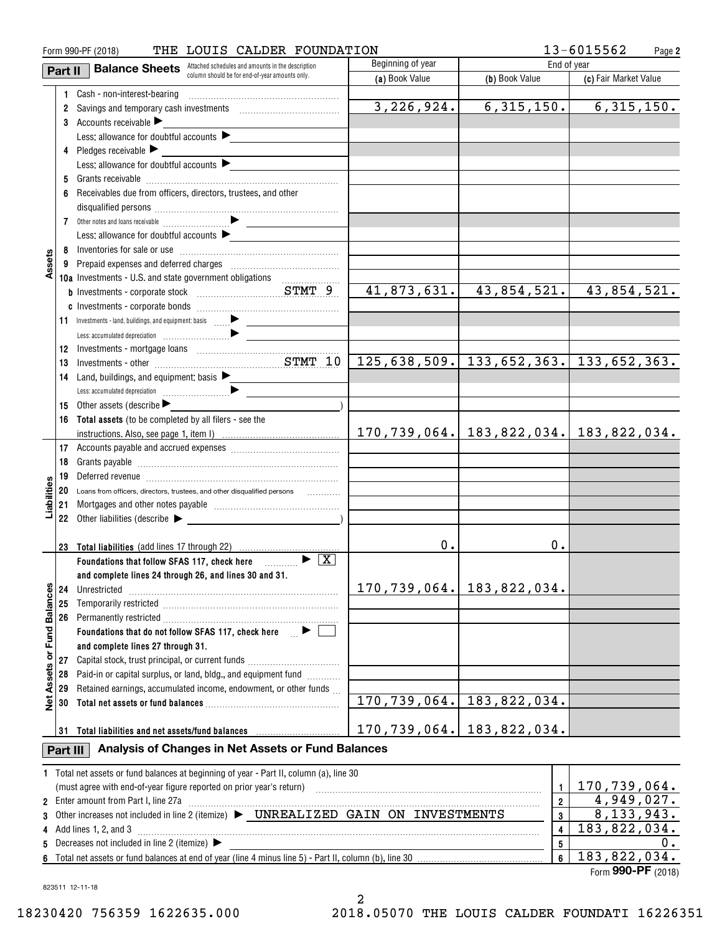| THE LOUIS CALDER FOUNDATION<br>Form 990-PF (2018) |          |                                                                                                                                                                                                                                |                         |                                                      | 13-6015562<br>Page 2         |
|---------------------------------------------------|----------|--------------------------------------------------------------------------------------------------------------------------------------------------------------------------------------------------------------------------------|-------------------------|------------------------------------------------------|------------------------------|
|                                                   | Part II  | <b>Balance Sheets</b> Attached schedules and amounts in the description                                                                                                                                                        | Beginning of year       | End of year                                          |                              |
|                                                   |          | column should be for end-of-year amounts only.                                                                                                                                                                                 | (a) Book Value          | (b) Book Value                                       | (c) Fair Market Value        |
|                                                   |          |                                                                                                                                                                                                                                |                         |                                                      |                              |
|                                                   |          | 2 Savings and temporary cash investments [111] Saving Savings and temporary cash investments                                                                                                                                   | 3, 226, 924.            | 6, 315, 150.                                         | $\overline{6,315},150.$      |
|                                                   |          | 3 Accounts receivable $\blacktriangleright$                                                                                                                                                                                    |                         |                                                      |                              |
|                                                   |          | Less: allowance for doubtful accounts $\blacktriangleright$                                                                                                                                                                    |                         |                                                      |                              |
|                                                   |          | 4 Pledges receivable $\blacktriangleright$                                                                                                                                                                                     |                         |                                                      |                              |
|                                                   |          | Less: allowance for doubtful accounts                                                                                                                                                                                          |                         |                                                      |                              |
|                                                   |          |                                                                                                                                                                                                                                |                         |                                                      |                              |
|                                                   |          | 6 Receivables due from officers, directors, trustees, and other                                                                                                                                                                |                         |                                                      |                              |
|                                                   |          |                                                                                                                                                                                                                                |                         |                                                      |                              |
|                                                   |          |                                                                                                                                                                                                                                |                         |                                                      |                              |
|                                                   |          | Less: allowance for doubtful accounts                                                                                                                                                                                          |                         |                                                      |                              |
|                                                   |          |                                                                                                                                                                                                                                |                         |                                                      |                              |
| Assets                                            |          |                                                                                                                                                                                                                                |                         |                                                      |                              |
|                                                   |          | 10a Investments - U.S. and state government obligations                                                                                                                                                                        |                         |                                                      |                              |
|                                                   |          |                                                                                                                                                                                                                                | 41,873,631.             |                                                      | 43,854,521. 43,854,521.      |
|                                                   |          |                                                                                                                                                                                                                                |                         |                                                      |                              |
|                                                   |          |                                                                                                                                                                                                                                |                         |                                                      |                              |
|                                                   |          |                                                                                                                                                                                                                                |                         |                                                      |                              |
|                                                   | 12       |                                                                                                                                                                                                                                |                         |                                                      |                              |
|                                                   | 13       |                                                                                                                                                                                                                                |                         | $125,638,509.$ 133,652,363. 133,652,363.             |                              |
|                                                   | 14       | Land, buildings, and equipment; basis $\blacktriangleright$                                                                                                                                                                    |                         |                                                      |                              |
|                                                   |          |                                                                                                                                                                                                                                |                         |                                                      |                              |
|                                                   | 15       | Other assets (describe                                                                                                                                                                                                         |                         |                                                      |                              |
|                                                   |          | 16 Total assets (to be completed by all filers - see the                                                                                                                                                                       |                         |                                                      |                              |
|                                                   |          |                                                                                                                                                                                                                                |                         | $170, 739, 064.$ $ 183, 822, 034.$ $ 183, 822, 034.$ |                              |
|                                                   |          |                                                                                                                                                                                                                                |                         |                                                      |                              |
|                                                   | 18       |                                                                                                                                                                                                                                |                         |                                                      |                              |
|                                                   | 19       | Deferred revenue imminimum contracts and the contracts of the contracts of the contracts of the contracts of the contracts of the contracts of the contracts of the contracts of the contracts of the contracts of the contrac |                         |                                                      |                              |
| Liabilities                                       |          | 20 Loans from officers, directors, trustees, and other disqualified persons                                                                                                                                                    |                         |                                                      |                              |
|                                                   | 21       |                                                                                                                                                                                                                                |                         |                                                      |                              |
|                                                   |          | 22 Other liabilities (describe $\blacktriangleright$                                                                                                                                                                           |                         |                                                      |                              |
|                                                   |          | 23 Total liabilities (add lines 17 through 22)                                                                                                                                                                                 | 0.                      | 0.                                                   |                              |
|                                                   |          | Foundations that follow SFAS 117, check here $\Box$                                                                                                                                                                            |                         |                                                      |                              |
|                                                   |          | and complete lines 24 through 26, and lines 30 and 31.                                                                                                                                                                         |                         |                                                      |                              |
|                                                   | 24       | Unrestricted                                                                                                                                                                                                                   |                         | 170, 739, 064.   183, 822, 034.                      |                              |
|                                                   | 25       |                                                                                                                                                                                                                                |                         |                                                      |                              |
|                                                   | 26       |                                                                                                                                                                                                                                |                         |                                                      |                              |
| Assets or Fund Balances                           |          | Foundations that do not follow SFAS 117, check here $\Box$                                                                                                                                                                     |                         |                                                      |                              |
|                                                   |          | and complete lines 27 through 31.                                                                                                                                                                                              |                         |                                                      |                              |
|                                                   | 27       | Capital stock, trust principal, or current funds                                                                                                                                                                               |                         |                                                      |                              |
|                                                   | 28       | Paid-in or capital surplus, or land, bldg., and equipment fund                                                                                                                                                                 |                         |                                                      |                              |
|                                                   | 29       | Retained earnings, accumulated income, endowment, or other funds                                                                                                                                                               |                         |                                                      |                              |
| اقع<br>ا                                          | 30       |                                                                                                                                                                                                                                |                         | 170, 739, 064.   183, 822, 034.                      |                              |
|                                                   |          |                                                                                                                                                                                                                                |                         |                                                      |                              |
|                                                   |          |                                                                                                                                                                                                                                | 170,739,064.            | 183,822,034.                                         |                              |
|                                                   | Part III | Analysis of Changes in Net Assets or Fund Balances                                                                                                                                                                             |                         |                                                      |                              |
|                                                   |          | 1 Total net assets or fund balances at beginning of year - Part II, column (a), line 30                                                                                                                                        |                         |                                                      |                              |
|                                                   |          | (must agree with end-of-year figure reported on prior year's return) with an accommutation and agree with end-of-year figure reported on prior year's return)                                                                  |                         | $\mathbf{1}$                                         | 170,739,064.                 |
|                                                   |          | 2 Enter amount from Part I, line 27a                                                                                                                                                                                           | $\overline{\mathbf{2}}$ | $\overline{4,949,027}$ .                             |                              |
| 3                                                 |          | Other increases not included in line 2 (itemize) > UNREALIZED GAIN ON INVESTMENTS                                                                                                                                              | $\boldsymbol{3}$        | $\overline{8,133,943}$ .                             |                              |
|                                                   |          | 4 Add lines 1, 2, and 3                                                                                                                                                                                                        |                         | 4                                                    | $\overline{183}$ , 822, 034. |
| 5                                                 |          | Decreases not included in line 2 (itemize) $\blacktriangleright$                                                                                                                                                               |                         | $\sqrt{5}$                                           | 0.                           |
|                                                   |          |                                                                                                                                                                                                                                |                         | $\boldsymbol{6}$                                     | 183,822,034.                 |

Form (2018) **990-PF**

823511 12-11-18

2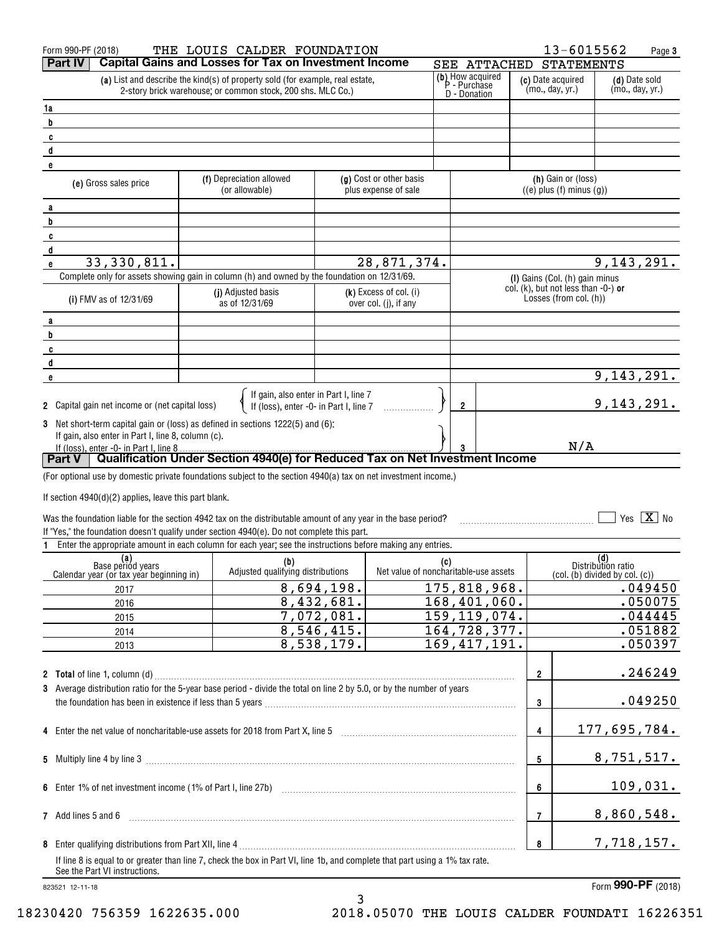|    | Form 990-PF (2018)                                                                                                                                            | THE LOUIS CALDER FOUNDATION                                                                                                                  |            |                                                 |     |                                                  |                |                         | 13-6015562                                                            |                           | Page 3                           |
|----|---------------------------------------------------------------------------------------------------------------------------------------------------------------|----------------------------------------------------------------------------------------------------------------------------------------------|------------|-------------------------------------------------|-----|--------------------------------------------------|----------------|-------------------------|-----------------------------------------------------------------------|---------------------------|----------------------------------|
|    | Part IV                                                                                                                                                       | <b>Capital Gains and Losses for Tax on Investment Income</b>                                                                                 |            |                                                 |     |                                                  | SEE ATTACHED   |                         | <b>STATEMENTS</b>                                                     |                           |                                  |
|    |                                                                                                                                                               | (a) List and describe the kind(s) of property sold (for example, real estate,<br>2-story brick warehouse; or common stock, 200 shs. MLC Co.) |            |                                                 |     | (b) How acquired<br>P - Purchase<br>D - Donation |                |                         | (c) Date acquired<br>(mo., day, yr.)                                  |                           | (d) Date sold<br>(mo., day, yr.) |
| 1a |                                                                                                                                                               |                                                                                                                                              |            |                                                 |     |                                                  |                |                         |                                                                       |                           |                                  |
| b  |                                                                                                                                                               |                                                                                                                                              |            |                                                 |     |                                                  |                |                         |                                                                       |                           |                                  |
| C  |                                                                                                                                                               |                                                                                                                                              |            |                                                 |     |                                                  |                |                         |                                                                       |                           |                                  |
| d  |                                                                                                                                                               |                                                                                                                                              |            |                                                 |     |                                                  |                |                         |                                                                       |                           |                                  |
| e  |                                                                                                                                                               |                                                                                                                                              |            |                                                 |     |                                                  |                |                         |                                                                       |                           |                                  |
|    | (e) Gross sales price                                                                                                                                         | (f) Depreciation allowed<br>(or allowable)                                                                                                   |            | (g) Cost or other basis<br>plus expense of sale |     |                                                  |                |                         | (h) Gain or (loss)<br>$((e)$ plus $(f)$ minus $(g)$ )                 |                           |                                  |
| a  |                                                                                                                                                               |                                                                                                                                              |            |                                                 |     |                                                  |                |                         |                                                                       |                           |                                  |
| b  |                                                                                                                                                               |                                                                                                                                              |            |                                                 |     |                                                  |                |                         |                                                                       |                           |                                  |
| C  |                                                                                                                                                               |                                                                                                                                              |            |                                                 |     |                                                  |                |                         |                                                                       |                           |                                  |
| d  | 33,330,811.                                                                                                                                                   |                                                                                                                                              |            | 28,871,374.                                     |     |                                                  |                |                         |                                                                       |                           | 9,143,291.                       |
| e  | Complete only for assets showing gain in column (h) and owned by the foundation on 12/31/69.                                                                  |                                                                                                                                              |            |                                                 |     |                                                  |                |                         |                                                                       |                           |                                  |
|    |                                                                                                                                                               | (j) Adjusted basis                                                                                                                           |            | $(k)$ Excess of col. (i)                        |     |                                                  |                |                         | (I) Gains (Col. (h) gain minus<br>col. (k), but not less than -0-) or |                           |                                  |
|    | (i) FMV as of 12/31/69                                                                                                                                        | as of 12/31/69                                                                                                                               |            | over col. (j), if any                           |     |                                                  |                |                         | Losses (from col. (h))                                                |                           |                                  |
| a  |                                                                                                                                                               |                                                                                                                                              |            |                                                 |     |                                                  |                |                         |                                                                       |                           |                                  |
| b  |                                                                                                                                                               |                                                                                                                                              |            |                                                 |     |                                                  |                |                         |                                                                       |                           |                                  |
| C  |                                                                                                                                                               |                                                                                                                                              |            |                                                 |     |                                                  |                |                         |                                                                       |                           |                                  |
| d  |                                                                                                                                                               |                                                                                                                                              |            |                                                 |     |                                                  |                |                         |                                                                       |                           |                                  |
| e  |                                                                                                                                                               |                                                                                                                                              |            |                                                 |     |                                                  |                |                         |                                                                       |                           | 9, 143, 291.                     |
|    | <b>2</b> Capital gain net income or (net capital loss)                                                                                                        | If gain, also enter in Part I, line 7<br>If (loss), enter -0- in Part I, line 7                                                              |            |                                                 |     | $\overline{2}$                                   |                |                         |                                                                       |                           | 9, 143, 291.                     |
|    | 3 Net short-term capital gain or (loss) as defined in sections 1222(5) and (6):                                                                               |                                                                                                                                              |            |                                                 |     |                                                  |                |                         |                                                                       |                           |                                  |
|    | If gain, also enter in Part I, line 8, column (c).                                                                                                            |                                                                                                                                              |            |                                                 |     |                                                  |                |                         |                                                                       |                           |                                  |
|    | If (loss), enter -0- in Part I, line 8<br>Part V   Qualification Under Section 4940(e) for Reduced Tax on Net Investment Income                               |                                                                                                                                              |            |                                                 |     |                                                  |                |                         | N/A                                                                   |                           |                                  |
|    |                                                                                                                                                               |                                                                                                                                              |            |                                                 |     |                                                  |                |                         |                                                                       |                           |                                  |
|    | (For optional use by domestic private foundations subject to the section 4940(a) tax on net investment income.)                                               |                                                                                                                                              |            |                                                 |     |                                                  |                |                         |                                                                       |                           |                                  |
|    | If section $4940(d)(2)$ applies, leave this part blank.                                                                                                       |                                                                                                                                              |            |                                                 |     |                                                  |                |                         |                                                                       |                           |                                  |
|    | Was the foundation liable for the section 4942 tax on the distributable amount of any year in the base period?                                                |                                                                                                                                              |            |                                                 |     |                                                  |                |                         |                                                                       |                           | Yes $X$ No                       |
|    | If "Yes," the foundation doesn't qualify under section 4940(e). Do not complete this part.                                                                    |                                                                                                                                              |            |                                                 |     |                                                  |                |                         |                                                                       |                           |                                  |
| 1. | Enter the appropriate amount in each column for each year; see the instructions before making any entries.                                                    |                                                                                                                                              |            |                                                 |     |                                                  |                |                         |                                                                       |                           |                                  |
|    | (a)<br>Base period years                                                                                                                                      | (b)                                                                                                                                          |            |                                                 | (c) |                                                  |                |                         |                                                                       | (d)<br>Distribution ratio |                                  |
|    | Calendar year (or tax year beginning in)                                                                                                                      | Adjusted qualifying distributions                                                                                                            |            | Net value of noncharitable-use assets           |     |                                                  |                |                         | (col. (b) divided by col. (c))                                        |                           |                                  |
|    | 2017                                                                                                                                                          |                                                                                                                                              | 8,694,198. |                                                 |     |                                                  | 175,818,968.   |                         |                                                                       |                           | .049450                          |
|    | 2016                                                                                                                                                          |                                                                                                                                              | 8,432,681. |                                                 |     |                                                  | 168,401,060.   |                         |                                                                       |                           | .050075                          |
|    | 2015                                                                                                                                                          |                                                                                                                                              | 7,072,081. |                                                 |     |                                                  | 159, 119, 074. |                         |                                                                       |                           | .044445                          |
|    | 2014                                                                                                                                                          |                                                                                                                                              | 8,546,415. |                                                 |     |                                                  | 164,728,377.   |                         |                                                                       |                           | .051882                          |
|    | 2013                                                                                                                                                          |                                                                                                                                              | 8,538,179. |                                                 |     |                                                  | 169, 417, 191. |                         |                                                                       |                           | .050397                          |
|    |                                                                                                                                                               |                                                                                                                                              |            |                                                 |     |                                                  |                |                         |                                                                       |                           |                                  |
|    | 2 Total of line 1, column (d) Martin Communication and Column Communication and Communication and Communication                                               |                                                                                                                                              |            |                                                 |     |                                                  |                | $\overline{\mathbf{2}}$ |                                                                       |                           | .246249                          |
|    | 3 Average distribution ratio for the 5-year base period - divide the total on line 2 by 5.0, or by the number of years                                        |                                                                                                                                              |            |                                                 |     |                                                  |                |                         |                                                                       |                           |                                  |
|    |                                                                                                                                                               |                                                                                                                                              |            |                                                 |     |                                                  |                | 3                       |                                                                       |                           | .049250                          |
|    |                                                                                                                                                               |                                                                                                                                              |            |                                                 |     |                                                  |                | 4                       |                                                                       |                           | 177,695,784.                     |
|    |                                                                                                                                                               |                                                                                                                                              |            |                                                 |     |                                                  |                |                         |                                                                       |                           |                                  |
|    |                                                                                                                                                               |                                                                                                                                              |            |                                                 |     |                                                  |                | 5                       |                                                                       |                           | 8,751,517.                       |
|    |                                                                                                                                                               |                                                                                                                                              |            |                                                 |     |                                                  |                | 6                       |                                                                       |                           | 109,031.                         |
|    |                                                                                                                                                               |                                                                                                                                              |            |                                                 |     |                                                  |                |                         |                                                                       |                           |                                  |
|    | 7 Add lines 5 and 6                                                                                                                                           |                                                                                                                                              |            |                                                 |     |                                                  |                | 7                       |                                                                       |                           | 8,860,548.                       |
|    |                                                                                                                                                               |                                                                                                                                              |            |                                                 |     |                                                  |                | 8                       |                                                                       |                           | 7,718,157.                       |
|    | If line 8 is equal to or greater than line 7, check the box in Part VI, line 1b, and complete that part using a 1% tax rate.<br>See the Part VI instructions. |                                                                                                                                              |            |                                                 |     |                                                  |                |                         |                                                                       |                           |                                  |

3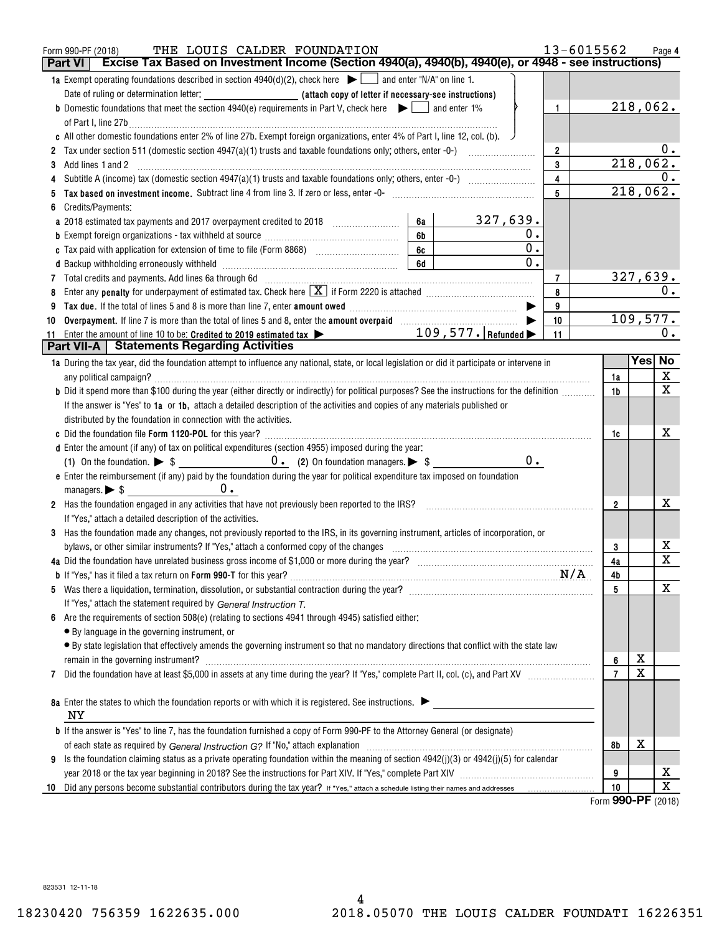|    | 13-6015562<br>THE LOUIS CALDER FOUNDATION<br>Form 990-PF (2018)<br>Excise Tax Based on Investment Income (Section 4940(a), 4940(b), 4940(e), or 4948 - see instructions)<br><b>Part VI</b>                                                       |                |                  | Page 4      |
|----|--------------------------------------------------------------------------------------------------------------------------------------------------------------------------------------------------------------------------------------------------|----------------|------------------|-------------|
|    | <b>1a</b> Exempt operating foundations described in section 4940(d)(2), check here $\Box$ and enter "N/A" on line 1.                                                                                                                             |                |                  |             |
|    | Date of ruling or determination letter: <b>All entity of the Case of Letter if necessary-see instructions</b> )                                                                                                                                  |                |                  |             |
|    | <b>b</b> Domestic foundations that meet the section 4940(e) requirements in Part V, check here $\blacktriangleright$   and enter 1%<br>$\mathbf{1}$                                                                                              |                | 218,062.         |             |
|    | of Part I, line 27b $\ldots$                                                                                                                                                                                                                     |                |                  |             |
|    | c All other domestic foundations enter 2% of line 27b. Exempt foreign organizations, enter 4% of Part I, line 12, col. (b). $\sqrt{ }$                                                                                                           |                |                  |             |
|    | $\overline{2}$                                                                                                                                                                                                                                   |                |                  | $0$ .       |
|    | 3                                                                                                                                                                                                                                                |                | 218,062.         |             |
|    | $\overline{\mathbf{4}}$                                                                                                                                                                                                                          |                |                  | 0.          |
|    | $5\phantom{.0}$                                                                                                                                                                                                                                  |                | 218,062.         |             |
|    | Credits/Payments:                                                                                                                                                                                                                                |                |                  |             |
|    | 327,639.<br>a 2018 estimated tax payments and 2017 overpayment credited to 2018 [100] [100] [100] [100] [100] and 2018 [100] [100] and 2018 [100] [100] and 2018 [100] [100] and 2018 [100] [100] and 2018 [100] [100] and 2018 [100] [100<br>6а |                |                  |             |
|    | 6b<br>0.                                                                                                                                                                                                                                         |                |                  |             |
|    | 0.<br>6c                                                                                                                                                                                                                                         |                |                  |             |
|    | 0.<br>6d                                                                                                                                                                                                                                         |                |                  |             |
|    | $\overline{7}$                                                                                                                                                                                                                                   |                | <u>327,639.</u>  |             |
|    | Enter any <b>penalty</b> for underpayment of estimated tax. Check here $\boxed{\mathbf{X}}$ if Form 2220 is attached <i>manumumumum</i><br>8                                                                                                     |                |                  | 0.          |
|    | Tax due. If the total of lines 5 and 8 is more than line 7, enter amount owed <i>manumerand communicancerem</i><br>9                                                                                                                             |                |                  |             |
| 10 | Overpayment. If line 7 is more than the total of lines 5 and 8, enter the amount overpaid [11,111] (11,111) (11,111)<br>10                                                                                                                       |                | 109,577.         | 0.          |
|    | 11<br><b>Part VII-A</b>   Statements Regarding Activities                                                                                                                                                                                        |                |                  |             |
|    | 1a During the tax year, did the foundation attempt to influence any national, state, or local legislation or did it participate or intervene in                                                                                                  |                | Yes No           |             |
|    |                                                                                                                                                                                                                                                  | 1a             |                  | X           |
|    | b Did it spend more than \$100 during the year (either directly or indirectly) for political purposes? See the instructions for the definition                                                                                                   | 1 <sub>b</sub> |                  | X           |
|    | If the answer is "Yes" to 1a or 1b, attach a detailed description of the activities and copies of any materials published or                                                                                                                     |                |                  |             |
|    | distributed by the foundation in connection with the activities.                                                                                                                                                                                 |                |                  |             |
|    |                                                                                                                                                                                                                                                  | 1c             |                  | х           |
|    | d Enter the amount (if any) of tax on political expenditures (section 4955) imposed during the year:                                                                                                                                             |                |                  |             |
|    | $0 \cdot$                                                                                                                                                                                                                                        |                |                  |             |
|    | e Enter the reimbursement (if any) paid by the foundation during the year for political expenditure tax imposed on foundation                                                                                                                    |                |                  |             |
|    |                                                                                                                                                                                                                                                  |                |                  |             |
|    | 2 Has the foundation engaged in any activities that have not previously been reported to the IRS?                                                                                                                                                | $\overline{2}$ |                  | х           |
|    | If "Yes," attach a detailed description of the activities.                                                                                                                                                                                       |                |                  |             |
|    | 3 Has the foundation made any changes, not previously reported to the IRS, in its governing instrument, articles of incorporation, or                                                                                                            |                |                  |             |
|    | bylaws, or other similar instruments? If "Yes," attach a conformed copy of the changes                                                                                                                                                           | 3              |                  | х           |
|    | 4a Did the foundation have unrelated business gross income of \$1,000 or more during the year?<br>1997 The control of the context of the second the second term in the context of the second term in the second<br>1997 The context              | 4a             |                  | $\mathbf x$ |
|    |                                                                                                                                                                                                                                                  | 4b             |                  |             |
|    |                                                                                                                                                                                                                                                  | 5              |                  | X           |
|    | If "Yes," attach the statement required by General Instruction T.                                                                                                                                                                                |                |                  |             |
| 6  | Are the requirements of section 508(e) (relating to sections 4941 through 4945) satisfied either:                                                                                                                                                |                |                  |             |
|    | • By language in the governing instrument, or                                                                                                                                                                                                    |                |                  |             |
|    | · By state legislation that effectively amends the governing instrument so that no mandatory directions that conflict with the state law                                                                                                         |                |                  |             |
|    |                                                                                                                                                                                                                                                  | 6              | х                |             |
| 7  |                                                                                                                                                                                                                                                  | $\overline{7}$ | X                |             |
|    |                                                                                                                                                                                                                                                  |                |                  |             |
|    | 8a Enter the states to which the foundation reports or with which it is registered. See instructions.                                                                                                                                            |                |                  |             |
|    | ΝY                                                                                                                                                                                                                                               |                |                  |             |
|    | <b>b</b> If the answer is "Yes" to line 7, has the foundation furnished a copy of Form 990-PF to the Attorney General (or designate)                                                                                                             |                |                  |             |
|    |                                                                                                                                                                                                                                                  | 8b             | х                |             |
| 9  | Is the foundation claiming status as a private operating foundation within the meaning of section $4942(j)(3)$ or $4942(j)(5)$ for calendar                                                                                                      |                |                  |             |
|    |                                                                                                                                                                                                                                                  | 9              |                  | х           |
| 10 |                                                                                                                                                                                                                                                  | 10             | 000 <sub>0</sub> | $\mathbf X$ |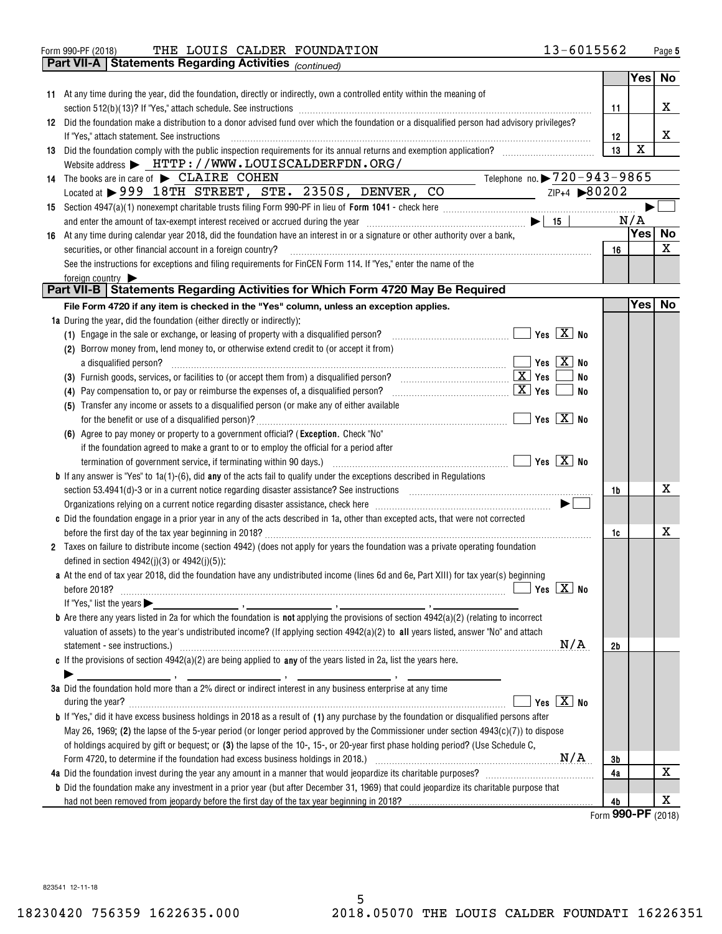| THE LOUIS CALDER FOUNDATION<br>Form 990-PF (2018) | 13-6015562 | Page |
|---------------------------------------------------|------------|------|
|---------------------------------------------------|------------|------|

|    | Part VII-A   Statements Regarding Activities <sub>(continued)</sub>                                                                                                                                                                           |                           |             |        |
|----|-----------------------------------------------------------------------------------------------------------------------------------------------------------------------------------------------------------------------------------------------|---------------------------|-------------|--------|
|    |                                                                                                                                                                                                                                               |                           | Yes         | No     |
|    | 11 At any time during the year, did the foundation, directly or indirectly, own a controlled entity within the meaning of                                                                                                                     |                           |             |        |
|    |                                                                                                                                                                                                                                               | 11                        |             | X      |
|    | 12 Did the foundation make a distribution to a donor advised fund over which the foundation or a disqualified person had advisory privileges?                                                                                                 |                           |             |        |
|    |                                                                                                                                                                                                                                               |                           |             | x      |
|    | If "Yes," attach statement. See instructions                                                                                                                                                                                                  | 12                        |             |        |
|    | 13 Did the foundation comply with the public inspection requirements for its annual returns and exemption application?                                                                                                                        | 13                        | $\mathbf X$ |        |
|    | Website address > HTTP://WWW.LOUISCALDERFDN.ORG/                                                                                                                                                                                              |                           |             |        |
| 14 | Telephone no. $\triangleright$ $\frac{720-943-9865}{ }$<br>The books are in care of $\blacktriangleright$ CLAIRE COHEN                                                                                                                        |                           |             |        |
|    | $ZIP+4$ $\rightarrow 80202$<br>Located at > 999 18TH STREET, STE. 2350S, DENVER, CO                                                                                                                                                           |                           |             |        |
|    |                                                                                                                                                                                                                                               |                           |             |        |
|    |                                                                                                                                                                                                                                               |                           | N/A         |        |
| 16 | At any time during calendar year 2018, did the foundation have an interest in or a signature or other authority over a bank,                                                                                                                  |                           |             | Yes No |
|    | securities, or other financial account in a foreign country?                                                                                                                                                                                  | 16                        |             | X      |
|    | See the instructions for exceptions and filing requirements for FinCEN Form 114. If "Yes," enter the name of the                                                                                                                              |                           |             |        |
|    | foreign country                                                                                                                                                                                                                               |                           |             |        |
|    | Part VII-B   Statements Regarding Activities for Which Form 4720 May Be Required                                                                                                                                                              |                           |             |        |
|    | File Form 4720 if any item is checked in the "Yes" column, unless an exception applies.                                                                                                                                                       |                           | Yes         | No     |
|    | 1a During the year, did the foundation (either directly or indirectly):                                                                                                                                                                       |                           |             |        |
|    | (1) Engage in the sale or exchange, or leasing of property with a disqualified person?                                                                                                                                                        | Yes $\boxed{\text{X}}$ No |             |        |
|    | (2) Borrow money from, lend money to, or otherwise extend credit to (or accept it from)                                                                                                                                                       |                           |             |        |
|    | a disqualified person?                                                                                                                                                                                                                        | Yes $X$ No                |             |        |
|    |                                                                                                                                                                                                                                               | No                        |             |        |
|    | <u>x   Yes</u><br>(4) Pay compensation to, or pay or reimburse the expenses of, a disqualified person?                                                                                                                                        | No                        |             |        |
|    | (5) Transfer any income or assets to a disqualified person (or make any of either available                                                                                                                                                   |                           |             |        |
|    |                                                                                                                                                                                                                                               | $Yes \nX \nNo$            |             |        |
|    | (6) Agree to pay money or property to a government official? (Exception. Check "No"                                                                                                                                                           |                           |             |        |
|    | if the foundation agreed to make a grant to or to employ the official for a period after                                                                                                                                                      |                           |             |        |
|    |                                                                                                                                                                                                                                               | $Yes \ \boxed{X}$ No      |             |        |
|    | <b>b</b> If any answer is "Yes" to $1a(1)-(6)$ , did any of the acts fail to qualify under the exceptions described in Regulations                                                                                                            |                           |             |        |
|    |                                                                                                                                                                                                                                               | 1b                        |             | х      |
|    | Organizations relying on a current notice regarding disaster assistance, check here [11,111] contains the contraction on a current notice regarding disaster assistance, check here [11,11] and a current mass and the contrac                |                           |             |        |
|    | c Did the foundation engage in a prior year in any of the acts described in 1a, other than excepted acts, that were not corrected                                                                                                             |                           |             |        |
|    |                                                                                                                                                                                                                                               | 1c                        |             | х      |
|    | 2 Taxes on failure to distribute income (section 4942) (does not apply for years the foundation was a private operating foundation                                                                                                            |                           |             |        |
|    | defined in section $4942(j)(3)$ or $4942(j)(5)$ :                                                                                                                                                                                             |                           |             |        |
|    | a At the end of tax year 2018, did the foundation have any undistributed income (lines 6d and 6e, Part XIII) for tax year(s) beginning                                                                                                        |                           |             |        |
|    |                                                                                                                                                                                                                                               |                           |             |        |
|    |                                                                                                                                                                                                                                               |                           |             |        |
|    | If "Yes," list the years $\blacktriangleright$<br><b>b</b> Are there any years listed in 2a for which the foundation is <b>not</b> applying the provisions of section $4942(a)(2)$ (relating to incorrect                                     |                           |             |        |
|    |                                                                                                                                                                                                                                               |                           |             |        |
|    | valuation of assets) to the year's undistributed income? (If applying section $4942(a)(2)$ to all years listed, answer "No" and attach                                                                                                        |                           |             |        |
|    |                                                                                                                                                                                                                                               | N/A<br>2b                 |             |        |
|    | c If the provisions of section $4942(a)(2)$ are being applied to any of the years listed in 2a, list the years here.                                                                                                                          |                           |             |        |
|    | $\frac{1}{2}$ , $\frac{1}{2}$ , $\frac{1}{2}$ , $\frac{1}{2}$ , $\frac{1}{2}$ , $\frac{1}{2}$ , $\frac{1}{2}$ , $\frac{1}{2}$<br>3a Did the foundation hold more than a 2% direct or indirect interest in any business enterprise at any time |                           |             |        |
|    |                                                                                                                                                                                                                                               |                           |             |        |
|    | during the year?                                                                                                                                                                                                                              | Yes $X$ No                |             |        |
|    | <b>b</b> If "Yes," did it have excess business holdings in 2018 as a result of (1) any purchase by the foundation or disqualified persons after                                                                                               |                           |             |        |
|    | May 26, 1969; (2) the lapse of the 5-year period (or longer period approved by the Commissioner under section $4943(c)(7)$ ) to dispose                                                                                                       |                           |             |        |
|    | of holdings acquired by gift or bequest; or (3) the lapse of the 10-, 15-, or 20-year first phase holding period? (Use Schedule C,                                                                                                            |                           |             |        |
|    |                                                                                                                                                                                                                                               | 3b                        |             |        |
|    |                                                                                                                                                                                                                                               | 4a                        |             | х      |
|    | <b>b</b> Did the foundation make any investment in a prior year (but after December 31, 1969) that could jeopardize its charitable purpose that                                                                                               |                           |             |        |
|    |                                                                                                                                                                                                                                               | 4b<br>nnn.                |             | х      |

Form (2018) **990-PF**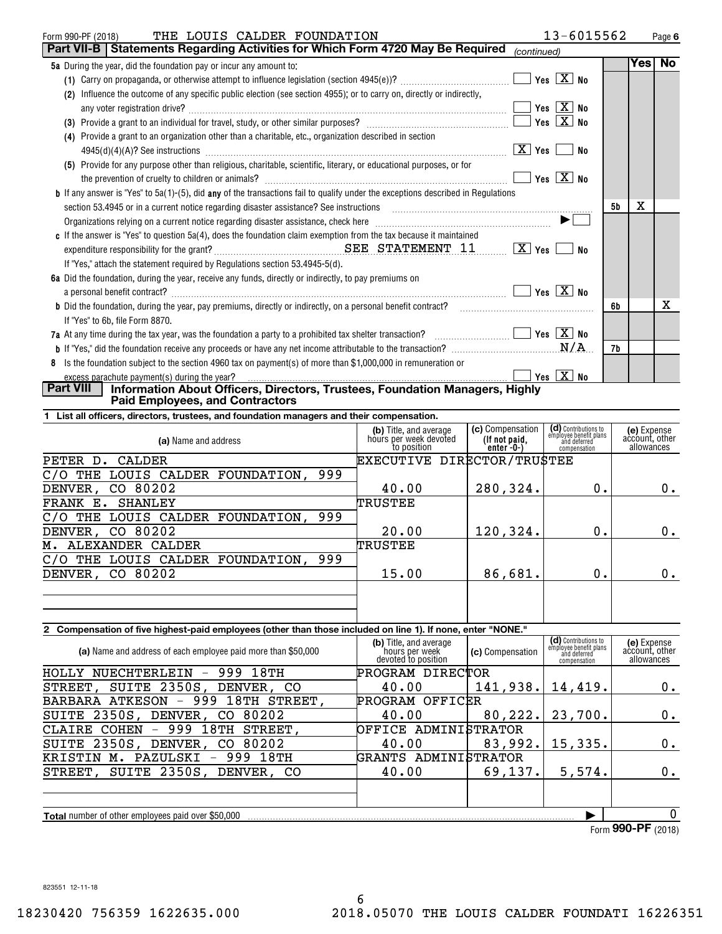| THE LOUIS CALDER FOUNDATION<br>Form 990-PF (2018)                                                                                              |                                            | 13-6015562                |    |     | Page 6    |
|------------------------------------------------------------------------------------------------------------------------------------------------|--------------------------------------------|---------------------------|----|-----|-----------|
| Part VII-B   Statements Regarding Activities for Which Form 4720 May Be Required                                                               | (continued)                                |                           |    |     |           |
| <b>5a</b> During the year, did the foundation pay or incur any amount to:                                                                      |                                            |                           |    | Yes | <b>No</b> |
| (1) Carry on propaganda, or otherwise attempt to influence legislation (section $4945(e)$ )?                                                   |                                            | Yes $\boxed{\text{X}}$ No |    |     |           |
| Influence the outcome of any specific public election (see section 4955); or to carry on, directly or indirectly,<br>(2)                       |                                            |                           |    |     |           |
|                                                                                                                                                |                                            | $Yes \ \boxed{X}$ No      |    |     |           |
| (3) Provide a grant to an individual for travel, study, or other similar purposes?                                                             | $\blacksquare$ Yes $\boxed{\mathrm{X}}$ No |                           |    |     |           |
| Provide a grant to an organization other than a charitable, etc., organization described in section<br>(4)                                     |                                            |                           |    |     |           |
|                                                                                                                                                | X   Yes                                    | No                        |    |     |           |
| (5) Provide for any purpose other than religious, charitable, scientific, literary, or educational purposes, or for                            |                                            |                           |    |     |           |
|                                                                                                                                                |                                            | $Yes$ $X$ No              |    |     |           |
| <b>b</b> If any answer is "Yes" to 5a(1)-(5), did <b>any</b> of the transactions fail to qualify under the exceptions described in Regulations |                                            |                           |    |     |           |
| section 53.4945 or in a current notice regarding disaster assistance? See instructions                                                         |                                            |                           | 5b | Χ   |           |
| Organizations relying on a current notice regarding disaster assistance, check here <i>manumerandial containamerandia</i>                      |                                            |                           |    |     |           |
| c If the answer is "Yes" to question 5a(4), does the foundation claim exemption from the tax because it maintained                             |                                            |                           |    |     |           |
|                                                                                                                                                |                                            | <b>No</b>                 |    |     |           |
| If "Yes," attach the statement required by Regulations section 53.4945-5(d).                                                                   |                                            |                           |    |     |           |
| 6a Did the foundation, during the year, receive any funds, directly or indirectly, to pay premiums on                                          |                                            |                           |    |     |           |
|                                                                                                                                                |                                            |                           |    |     |           |
| <b>b</b> Did the foundation, during the year, pay premiums, directly or indirectly, on a personal benefit contract?                            |                                            |                           | 6b |     | x         |
| If "Yes" to 6b, file Form 8870.                                                                                                                |                                            |                           |    |     |           |
| 7a At any time during the tax year, was the foundation a party to a prohibited tax shelter transaction? $\ldots$ $\ldots$ $\ldots$             |                                            |                           |    |     |           |
|                                                                                                                                                |                                            |                           | 7b |     |           |
| Is the foundation subject to the section 4960 tax on payment(s) of more than \$1,000,000 in remuneration or<br>8                               |                                            |                           |    |     |           |
| excess parachute payment(s) during the year?                                                                                                   |                                            |                           |    |     |           |
| <b>Part VIII</b><br>Information About Officers, Directors, Trustees, Foundation Managers, Highly                                               |                                            |                           |    |     |           |
| <b>Paid Employees, and Contractors</b>                                                                                                         |                                            |                           |    |     |           |

**1 List all officers, directors, trustees, and foundation managers and their compensation.**

| (b) Title, and average<br>hours per week devoted<br>to position | (c) Compensation<br>(If not paid,<br>enter-0-) | (d) Contributions to<br>employee benefit plans<br>and deferred<br>compensation | (e) Expense<br>account, other<br>allowances |
|-----------------------------------------------------------------|------------------------------------------------|--------------------------------------------------------------------------------|---------------------------------------------|
|                                                                 |                                                |                                                                                |                                             |
|                                                                 |                                                |                                                                                |                                             |
| 40.00                                                           | 280,324.                                       | 0.                                                                             | 0.                                          |
| TRUSTEE                                                         |                                                |                                                                                |                                             |
|                                                                 |                                                |                                                                                |                                             |
| 20.00                                                           | 120,324.                                       | 0.                                                                             | $0$ .                                       |
| TRUSTEE                                                         |                                                |                                                                                |                                             |
|                                                                 |                                                |                                                                                |                                             |
| 15.00                                                           | 86,681.                                        | 0.                                                                             | 0.                                          |
|                                                                 |                                                |                                                                                |                                             |
|                                                                 |                                                |                                                                                |                                             |
|                                                                 |                                                |                                                                                | EXECUTIVE DIRECTOR/TRUSTEE                  |

# **2 Compensation of five highest-paid employees (other than those included on line 1). If none, enter "NONE."**

| (a) Name and address of each employee paid more than \$50,000                | (b) Title, and average<br>hours per week<br>devoted to position | (c) Compensation | (d) Contributions to<br>employee benefit plans<br>and deferred<br>compensation | (e) Expense<br>account, other<br>allowances |
|------------------------------------------------------------------------------|-----------------------------------------------------------------|------------------|--------------------------------------------------------------------------------|---------------------------------------------|
| 999<br>18TH<br>HOLLY NUECHTERLEIN<br>$\overline{\phantom{m}}$                | PROGRAM DIRECTOR                                                |                  |                                                                                |                                             |
| STREET, SUITE 2350S, DENVER, CO                                              | 40.00                                                           | 141,938.         | 14,419.                                                                        | 0.                                          |
| 18TH<br>999<br><b>BARBARA ATKESON</b><br>STREET,<br>$\overline{\phantom{m}}$ | PROGRAM OFFICER                                                 |                  |                                                                                |                                             |
| SUITE 2350S, DENVER,<br>80202<br>CO.                                         | 40.00                                                           | 80, 222.         | 23,700.                                                                        | 0.                                          |
| CLAIRE COHEN - 999<br>18TH<br>STREET,                                        | OFFICE ADMINISTRATOR                                            |                  |                                                                                |                                             |
| SUITE 2350S, DENVER,<br>80202<br>CO.                                         | 40.00                                                           | 83,992.          | 15,335.                                                                        | 0.                                          |
| 18TH<br>999<br>PAZULSKI<br>KRISTIN<br>м.                                     | GRANTS ADMINISTRATOR                                            |                  |                                                                                |                                             |
| STREET, SUITE 2350S, DENVER, CO                                              | 40.00                                                           | 69, 137.         | 5,574.                                                                         | 0.                                          |
|                                                                              |                                                                 |                  |                                                                                |                                             |
|                                                                              |                                                                 |                  |                                                                                |                                             |
| <b>Total</b> number of other employees paid over \$50,000                    |                                                                 |                  |                                                                                | 0                                           |
|                                                                              |                                                                 |                  |                                                                                | $E_{\text{arm}}$ QQ $\Omega$ -DF (2019)     |

Form (2018) **990-PF**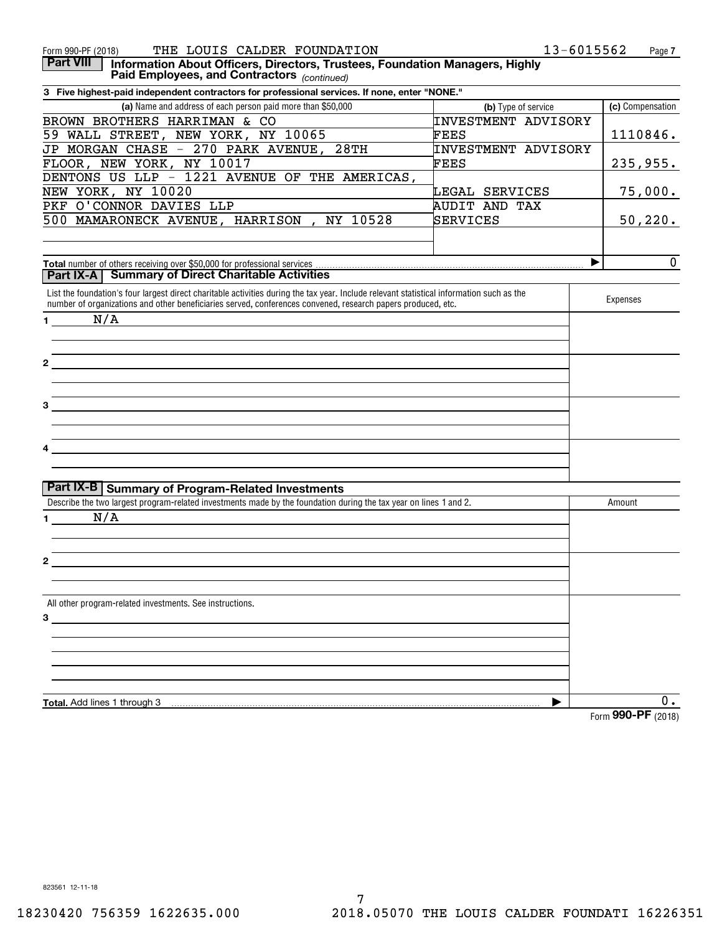| 13-6015562<br>THE LOUIS CALDER FOUNDATION<br>Form 990-PF (2018)<br>Page 7<br><b>Part VIII</b><br>Information About Officers, Directors, Trustees, Foundation Managers, Highly<br>Paid Employees, and Contractors (continued)<br>3 Five highest-paid independent contractors for professional services. If none, enter "NONE."<br>(a) Name and address of each person paid more than \$50,000<br>(c) Compensation<br>(b) Type of service<br><b>INVESTMENT ADVISORY</b><br>BROWN BROTHERS HARRIMAN & CO<br>59 WALL STREET, NEW YORK, NY 10065<br>FEES<br>1110846.<br>JP MORGAN CHASE - 270 PARK AVENUE,<br>28TH<br><b>INVESTMENT ADVISORY</b><br>FLOOR, NEW YORK, NY 10017<br>FEES<br>235,955.<br>DENTONS US LLP - 1221 AVENUE OF THE AMERICAS,<br>NEW YORK, NY 10020<br>75,000.<br>LEGAL SERVICES<br>PKF O'CONNOR DAVIES LLP<br>AUDIT AND TAX<br>500 MAMARONECK AVENUE, HARRISON, NY 10528<br>SERVICES<br>50, 220.<br>$\mathbf{0}$<br>▶<br>Total number of others receiving over \$50,000 for professional services<br><b>Summary of Direct Charitable Activities</b><br>Part IX-A<br>List the foundation's four largest direct charitable activities during the tax year. Include relevant statistical information such as the<br>Expenses<br>number of organizations and other beneficiaries served, conferences convened, research papers produced, etc.<br>N/A<br>$\mathbf 1$<br><u> 1989 - Johann Stein, mars and de Branch and de Branch and de Branch and de Branch and de Branch and de Branch</u><br>$\mathbf{2}$<br><u> 1989 - Andrea Andrew Maria (h. 1989).</u><br>the control of the control of the control of the control of the control of the control of the control of the control of the control of the control of the control of the control of the control of the control of the control<br>the control of the control of the control of the control of the control of the control of the control of the control of the control of the control of the control of the control of the control of the control of the control<br>Part IX-B   Summary of Program-Related Investments<br>Describe the two largest program-related investments made by the foundation during the tax year on lines 1 and 2.<br>Amount<br>N/A<br>$\mathbf 1$<br>All other program-related investments. See instructions.<br>$\overline{\mathbf{3}}$ $\overline{\mathbf{1}}$ $\overline{\mathbf{2}}$ $\overline{\mathbf{3}}$ $\overline{\mathbf{4}}$ $\overline{\mathbf{5}}$ $\overline{\mathbf{4}}$ $\overline{\mathbf{5}}$ $\overline{\mathbf{6}}$ $\overline{\mathbf{1}}$ $\overline{\mathbf{5}}$ $\overline{\mathbf{1}}$ $\overline{\mathbf{3}}$ $\overline{\mathbf{1}}$ $\overline{\mathbf{5}}$ $\overline{\mathbf{1}}$ $\overline{\mathbf{1}}$ $\overline{\mathbf{5}}$ $\overline{\$<br>$0$ .<br>Total. Add lines 1 through 3<br>▶<br>Form 990-PF (2018) |  |  |
|----------------------------------------------------------------------------------------------------------------------------------------------------------------------------------------------------------------------------------------------------------------------------------------------------------------------------------------------------------------------------------------------------------------------------------------------------------------------------------------------------------------------------------------------------------------------------------------------------------------------------------------------------------------------------------------------------------------------------------------------------------------------------------------------------------------------------------------------------------------------------------------------------------------------------------------------------------------------------------------------------------------------------------------------------------------------------------------------------------------------------------------------------------------------------------------------------------------------------------------------------------------------------------------------------------------------------------------------------------------------------------------------------------------------------------------------------------------------------------------------------------------------------------------------------------------------------------------------------------------------------------------------------------------------------------------------------------------------------------------------------------------------------------------------------------------------------------------------------------------------------------------------------------------------------------------------------------------------------------------------------------------------------------------------------------------------------------------------------------------------------------------------------------------------------------------------------------------------------------------------------------------------------------------------------------------------------------------------------------------------------------------------------------------------------------------------------------------------------------------------------------------------------------------------------------------------------------------------------------------------------------------------------------------------------------------------------------------------------------------------------------------------------------------------------------------------------------------------------------|--|--|
|                                                                                                                                                                                                                                                                                                                                                                                                                                                                                                                                                                                                                                                                                                                                                                                                                                                                                                                                                                                                                                                                                                                                                                                                                                                                                                                                                                                                                                                                                                                                                                                                                                                                                                                                                                                                                                                                                                                                                                                                                                                                                                                                                                                                                                                                                                                                                                                                                                                                                                                                                                                                                                                                                                                                                                                                                                                          |  |  |
|                                                                                                                                                                                                                                                                                                                                                                                                                                                                                                                                                                                                                                                                                                                                                                                                                                                                                                                                                                                                                                                                                                                                                                                                                                                                                                                                                                                                                                                                                                                                                                                                                                                                                                                                                                                                                                                                                                                                                                                                                                                                                                                                                                                                                                                                                                                                                                                                                                                                                                                                                                                                                                                                                                                                                                                                                                                          |  |  |
|                                                                                                                                                                                                                                                                                                                                                                                                                                                                                                                                                                                                                                                                                                                                                                                                                                                                                                                                                                                                                                                                                                                                                                                                                                                                                                                                                                                                                                                                                                                                                                                                                                                                                                                                                                                                                                                                                                                                                                                                                                                                                                                                                                                                                                                                                                                                                                                                                                                                                                                                                                                                                                                                                                                                                                                                                                                          |  |  |
|                                                                                                                                                                                                                                                                                                                                                                                                                                                                                                                                                                                                                                                                                                                                                                                                                                                                                                                                                                                                                                                                                                                                                                                                                                                                                                                                                                                                                                                                                                                                                                                                                                                                                                                                                                                                                                                                                                                                                                                                                                                                                                                                                                                                                                                                                                                                                                                                                                                                                                                                                                                                                                                                                                                                                                                                                                                          |  |  |
|                                                                                                                                                                                                                                                                                                                                                                                                                                                                                                                                                                                                                                                                                                                                                                                                                                                                                                                                                                                                                                                                                                                                                                                                                                                                                                                                                                                                                                                                                                                                                                                                                                                                                                                                                                                                                                                                                                                                                                                                                                                                                                                                                                                                                                                                                                                                                                                                                                                                                                                                                                                                                                                                                                                                                                                                                                                          |  |  |
|                                                                                                                                                                                                                                                                                                                                                                                                                                                                                                                                                                                                                                                                                                                                                                                                                                                                                                                                                                                                                                                                                                                                                                                                                                                                                                                                                                                                                                                                                                                                                                                                                                                                                                                                                                                                                                                                                                                                                                                                                                                                                                                                                                                                                                                                                                                                                                                                                                                                                                                                                                                                                                                                                                                                                                                                                                                          |  |  |
|                                                                                                                                                                                                                                                                                                                                                                                                                                                                                                                                                                                                                                                                                                                                                                                                                                                                                                                                                                                                                                                                                                                                                                                                                                                                                                                                                                                                                                                                                                                                                                                                                                                                                                                                                                                                                                                                                                                                                                                                                                                                                                                                                                                                                                                                                                                                                                                                                                                                                                                                                                                                                                                                                                                                                                                                                                                          |  |  |
|                                                                                                                                                                                                                                                                                                                                                                                                                                                                                                                                                                                                                                                                                                                                                                                                                                                                                                                                                                                                                                                                                                                                                                                                                                                                                                                                                                                                                                                                                                                                                                                                                                                                                                                                                                                                                                                                                                                                                                                                                                                                                                                                                                                                                                                                                                                                                                                                                                                                                                                                                                                                                                                                                                                                                                                                                                                          |  |  |
|                                                                                                                                                                                                                                                                                                                                                                                                                                                                                                                                                                                                                                                                                                                                                                                                                                                                                                                                                                                                                                                                                                                                                                                                                                                                                                                                                                                                                                                                                                                                                                                                                                                                                                                                                                                                                                                                                                                                                                                                                                                                                                                                                                                                                                                                                                                                                                                                                                                                                                                                                                                                                                                                                                                                                                                                                                                          |  |  |
|                                                                                                                                                                                                                                                                                                                                                                                                                                                                                                                                                                                                                                                                                                                                                                                                                                                                                                                                                                                                                                                                                                                                                                                                                                                                                                                                                                                                                                                                                                                                                                                                                                                                                                                                                                                                                                                                                                                                                                                                                                                                                                                                                                                                                                                                                                                                                                                                                                                                                                                                                                                                                                                                                                                                                                                                                                                          |  |  |
|                                                                                                                                                                                                                                                                                                                                                                                                                                                                                                                                                                                                                                                                                                                                                                                                                                                                                                                                                                                                                                                                                                                                                                                                                                                                                                                                                                                                                                                                                                                                                                                                                                                                                                                                                                                                                                                                                                                                                                                                                                                                                                                                                                                                                                                                                                                                                                                                                                                                                                                                                                                                                                                                                                                                                                                                                                                          |  |  |
|                                                                                                                                                                                                                                                                                                                                                                                                                                                                                                                                                                                                                                                                                                                                                                                                                                                                                                                                                                                                                                                                                                                                                                                                                                                                                                                                                                                                                                                                                                                                                                                                                                                                                                                                                                                                                                                                                                                                                                                                                                                                                                                                                                                                                                                                                                                                                                                                                                                                                                                                                                                                                                                                                                                                                                                                                                                          |  |  |
|                                                                                                                                                                                                                                                                                                                                                                                                                                                                                                                                                                                                                                                                                                                                                                                                                                                                                                                                                                                                                                                                                                                                                                                                                                                                                                                                                                                                                                                                                                                                                                                                                                                                                                                                                                                                                                                                                                                                                                                                                                                                                                                                                                                                                                                                                                                                                                                                                                                                                                                                                                                                                                                                                                                                                                                                                                                          |  |  |
|                                                                                                                                                                                                                                                                                                                                                                                                                                                                                                                                                                                                                                                                                                                                                                                                                                                                                                                                                                                                                                                                                                                                                                                                                                                                                                                                                                                                                                                                                                                                                                                                                                                                                                                                                                                                                                                                                                                                                                                                                                                                                                                                                                                                                                                                                                                                                                                                                                                                                                                                                                                                                                                                                                                                                                                                                                                          |  |  |
|                                                                                                                                                                                                                                                                                                                                                                                                                                                                                                                                                                                                                                                                                                                                                                                                                                                                                                                                                                                                                                                                                                                                                                                                                                                                                                                                                                                                                                                                                                                                                                                                                                                                                                                                                                                                                                                                                                                                                                                                                                                                                                                                                                                                                                                                                                                                                                                                                                                                                                                                                                                                                                                                                                                                                                                                                                                          |  |  |
|                                                                                                                                                                                                                                                                                                                                                                                                                                                                                                                                                                                                                                                                                                                                                                                                                                                                                                                                                                                                                                                                                                                                                                                                                                                                                                                                                                                                                                                                                                                                                                                                                                                                                                                                                                                                                                                                                                                                                                                                                                                                                                                                                                                                                                                                                                                                                                                                                                                                                                                                                                                                                                                                                                                                                                                                                                                          |  |  |
|                                                                                                                                                                                                                                                                                                                                                                                                                                                                                                                                                                                                                                                                                                                                                                                                                                                                                                                                                                                                                                                                                                                                                                                                                                                                                                                                                                                                                                                                                                                                                                                                                                                                                                                                                                                                                                                                                                                                                                                                                                                                                                                                                                                                                                                                                                                                                                                                                                                                                                                                                                                                                                                                                                                                                                                                                                                          |  |  |
|                                                                                                                                                                                                                                                                                                                                                                                                                                                                                                                                                                                                                                                                                                                                                                                                                                                                                                                                                                                                                                                                                                                                                                                                                                                                                                                                                                                                                                                                                                                                                                                                                                                                                                                                                                                                                                                                                                                                                                                                                                                                                                                                                                                                                                                                                                                                                                                                                                                                                                                                                                                                                                                                                                                                                                                                                                                          |  |  |
|                                                                                                                                                                                                                                                                                                                                                                                                                                                                                                                                                                                                                                                                                                                                                                                                                                                                                                                                                                                                                                                                                                                                                                                                                                                                                                                                                                                                                                                                                                                                                                                                                                                                                                                                                                                                                                                                                                                                                                                                                                                                                                                                                                                                                                                                                                                                                                                                                                                                                                                                                                                                                                                                                                                                                                                                                                                          |  |  |
|                                                                                                                                                                                                                                                                                                                                                                                                                                                                                                                                                                                                                                                                                                                                                                                                                                                                                                                                                                                                                                                                                                                                                                                                                                                                                                                                                                                                                                                                                                                                                                                                                                                                                                                                                                                                                                                                                                                                                                                                                                                                                                                                                                                                                                                                                                                                                                                                                                                                                                                                                                                                                                                                                                                                                                                                                                                          |  |  |
|                                                                                                                                                                                                                                                                                                                                                                                                                                                                                                                                                                                                                                                                                                                                                                                                                                                                                                                                                                                                                                                                                                                                                                                                                                                                                                                                                                                                                                                                                                                                                                                                                                                                                                                                                                                                                                                                                                                                                                                                                                                                                                                                                                                                                                                                                                                                                                                                                                                                                                                                                                                                                                                                                                                                                                                                                                                          |  |  |
|                                                                                                                                                                                                                                                                                                                                                                                                                                                                                                                                                                                                                                                                                                                                                                                                                                                                                                                                                                                                                                                                                                                                                                                                                                                                                                                                                                                                                                                                                                                                                                                                                                                                                                                                                                                                                                                                                                                                                                                                                                                                                                                                                                                                                                                                                                                                                                                                                                                                                                                                                                                                                                                                                                                                                                                                                                                          |  |  |
|                                                                                                                                                                                                                                                                                                                                                                                                                                                                                                                                                                                                                                                                                                                                                                                                                                                                                                                                                                                                                                                                                                                                                                                                                                                                                                                                                                                                                                                                                                                                                                                                                                                                                                                                                                                                                                                                                                                                                                                                                                                                                                                                                                                                                                                                                                                                                                                                                                                                                                                                                                                                                                                                                                                                                                                                                                                          |  |  |
|                                                                                                                                                                                                                                                                                                                                                                                                                                                                                                                                                                                                                                                                                                                                                                                                                                                                                                                                                                                                                                                                                                                                                                                                                                                                                                                                                                                                                                                                                                                                                                                                                                                                                                                                                                                                                                                                                                                                                                                                                                                                                                                                                                                                                                                                                                                                                                                                                                                                                                                                                                                                                                                                                                                                                                                                                                                          |  |  |
|                                                                                                                                                                                                                                                                                                                                                                                                                                                                                                                                                                                                                                                                                                                                                                                                                                                                                                                                                                                                                                                                                                                                                                                                                                                                                                                                                                                                                                                                                                                                                                                                                                                                                                                                                                                                                                                                                                                                                                                                                                                                                                                                                                                                                                                                                                                                                                                                                                                                                                                                                                                                                                                                                                                                                                                                                                                          |  |  |
|                                                                                                                                                                                                                                                                                                                                                                                                                                                                                                                                                                                                                                                                                                                                                                                                                                                                                                                                                                                                                                                                                                                                                                                                                                                                                                                                                                                                                                                                                                                                                                                                                                                                                                                                                                                                                                                                                                                                                                                                                                                                                                                                                                                                                                                                                                                                                                                                                                                                                                                                                                                                                                                                                                                                                                                                                                                          |  |  |
|                                                                                                                                                                                                                                                                                                                                                                                                                                                                                                                                                                                                                                                                                                                                                                                                                                                                                                                                                                                                                                                                                                                                                                                                                                                                                                                                                                                                                                                                                                                                                                                                                                                                                                                                                                                                                                                                                                                                                                                                                                                                                                                                                                                                                                                                                                                                                                                                                                                                                                                                                                                                                                                                                                                                                                                                                                                          |  |  |
|                                                                                                                                                                                                                                                                                                                                                                                                                                                                                                                                                                                                                                                                                                                                                                                                                                                                                                                                                                                                                                                                                                                                                                                                                                                                                                                                                                                                                                                                                                                                                                                                                                                                                                                                                                                                                                                                                                                                                                                                                                                                                                                                                                                                                                                                                                                                                                                                                                                                                                                                                                                                                                                                                                                                                                                                                                                          |  |  |
|                                                                                                                                                                                                                                                                                                                                                                                                                                                                                                                                                                                                                                                                                                                                                                                                                                                                                                                                                                                                                                                                                                                                                                                                                                                                                                                                                                                                                                                                                                                                                                                                                                                                                                                                                                                                                                                                                                                                                                                                                                                                                                                                                                                                                                                                                                                                                                                                                                                                                                                                                                                                                                                                                                                                                                                                                                                          |  |  |
|                                                                                                                                                                                                                                                                                                                                                                                                                                                                                                                                                                                                                                                                                                                                                                                                                                                                                                                                                                                                                                                                                                                                                                                                                                                                                                                                                                                                                                                                                                                                                                                                                                                                                                                                                                                                                                                                                                                                                                                                                                                                                                                                                                                                                                                                                                                                                                                                                                                                                                                                                                                                                                                                                                                                                                                                                                                          |  |  |
|                                                                                                                                                                                                                                                                                                                                                                                                                                                                                                                                                                                                                                                                                                                                                                                                                                                                                                                                                                                                                                                                                                                                                                                                                                                                                                                                                                                                                                                                                                                                                                                                                                                                                                                                                                                                                                                                                                                                                                                                                                                                                                                                                                                                                                                                                                                                                                                                                                                                                                                                                                                                                                                                                                                                                                                                                                                          |  |  |
|                                                                                                                                                                                                                                                                                                                                                                                                                                                                                                                                                                                                                                                                                                                                                                                                                                                                                                                                                                                                                                                                                                                                                                                                                                                                                                                                                                                                                                                                                                                                                                                                                                                                                                                                                                                                                                                                                                                                                                                                                                                                                                                                                                                                                                                                                                                                                                                                                                                                                                                                                                                                                                                                                                                                                                                                                                                          |  |  |
|                                                                                                                                                                                                                                                                                                                                                                                                                                                                                                                                                                                                                                                                                                                                                                                                                                                                                                                                                                                                                                                                                                                                                                                                                                                                                                                                                                                                                                                                                                                                                                                                                                                                                                                                                                                                                                                                                                                                                                                                                                                                                                                                                                                                                                                                                                                                                                                                                                                                                                                                                                                                                                                                                                                                                                                                                                                          |  |  |
|                                                                                                                                                                                                                                                                                                                                                                                                                                                                                                                                                                                                                                                                                                                                                                                                                                                                                                                                                                                                                                                                                                                                                                                                                                                                                                                                                                                                                                                                                                                                                                                                                                                                                                                                                                                                                                                                                                                                                                                                                                                                                                                                                                                                                                                                                                                                                                                                                                                                                                                                                                                                                                                                                                                                                                                                                                                          |  |  |
|                                                                                                                                                                                                                                                                                                                                                                                                                                                                                                                                                                                                                                                                                                                                                                                                                                                                                                                                                                                                                                                                                                                                                                                                                                                                                                                                                                                                                                                                                                                                                                                                                                                                                                                                                                                                                                                                                                                                                                                                                                                                                                                                                                                                                                                                                                                                                                                                                                                                                                                                                                                                                                                                                                                                                                                                                                                          |  |  |
|                                                                                                                                                                                                                                                                                                                                                                                                                                                                                                                                                                                                                                                                                                                                                                                                                                                                                                                                                                                                                                                                                                                                                                                                                                                                                                                                                                                                                                                                                                                                                                                                                                                                                                                                                                                                                                                                                                                                                                                                                                                                                                                                                                                                                                                                                                                                                                                                                                                                                                                                                                                                                                                                                                                                                                                                                                                          |  |  |
|                                                                                                                                                                                                                                                                                                                                                                                                                                                                                                                                                                                                                                                                                                                                                                                                                                                                                                                                                                                                                                                                                                                                                                                                                                                                                                                                                                                                                                                                                                                                                                                                                                                                                                                                                                                                                                                                                                                                                                                                                                                                                                                                                                                                                                                                                                                                                                                                                                                                                                                                                                                                                                                                                                                                                                                                                                                          |  |  |
|                                                                                                                                                                                                                                                                                                                                                                                                                                                                                                                                                                                                                                                                                                                                                                                                                                                                                                                                                                                                                                                                                                                                                                                                                                                                                                                                                                                                                                                                                                                                                                                                                                                                                                                                                                                                                                                                                                                                                                                                                                                                                                                                                                                                                                                                                                                                                                                                                                                                                                                                                                                                                                                                                                                                                                                                                                                          |  |  |
|                                                                                                                                                                                                                                                                                                                                                                                                                                                                                                                                                                                                                                                                                                                                                                                                                                                                                                                                                                                                                                                                                                                                                                                                                                                                                                                                                                                                                                                                                                                                                                                                                                                                                                                                                                                                                                                                                                                                                                                                                                                                                                                                                                                                                                                                                                                                                                                                                                                                                                                                                                                                                                                                                                                                                                                                                                                          |  |  |
|                                                                                                                                                                                                                                                                                                                                                                                                                                                                                                                                                                                                                                                                                                                                                                                                                                                                                                                                                                                                                                                                                                                                                                                                                                                                                                                                                                                                                                                                                                                                                                                                                                                                                                                                                                                                                                                                                                                                                                                                                                                                                                                                                                                                                                                                                                                                                                                                                                                                                                                                                                                                                                                                                                                                                                                                                                                          |  |  |
|                                                                                                                                                                                                                                                                                                                                                                                                                                                                                                                                                                                                                                                                                                                                                                                                                                                                                                                                                                                                                                                                                                                                                                                                                                                                                                                                                                                                                                                                                                                                                                                                                                                                                                                                                                                                                                                                                                                                                                                                                                                                                                                                                                                                                                                                                                                                                                                                                                                                                                                                                                                                                                                                                                                                                                                                                                                          |  |  |
|                                                                                                                                                                                                                                                                                                                                                                                                                                                                                                                                                                                                                                                                                                                                                                                                                                                                                                                                                                                                                                                                                                                                                                                                                                                                                                                                                                                                                                                                                                                                                                                                                                                                                                                                                                                                                                                                                                                                                                                                                                                                                                                                                                                                                                                                                                                                                                                                                                                                                                                                                                                                                                                                                                                                                                                                                                                          |  |  |
|                                                                                                                                                                                                                                                                                                                                                                                                                                                                                                                                                                                                                                                                                                                                                                                                                                                                                                                                                                                                                                                                                                                                                                                                                                                                                                                                                                                                                                                                                                                                                                                                                                                                                                                                                                                                                                                                                                                                                                                                                                                                                                                                                                                                                                                                                                                                                                                                                                                                                                                                                                                                                                                                                                                                                                                                                                                          |  |  |
|                                                                                                                                                                                                                                                                                                                                                                                                                                                                                                                                                                                                                                                                                                                                                                                                                                                                                                                                                                                                                                                                                                                                                                                                                                                                                                                                                                                                                                                                                                                                                                                                                                                                                                                                                                                                                                                                                                                                                                                                                                                                                                                                                                                                                                                                                                                                                                                                                                                                                                                                                                                                                                                                                                                                                                                                                                                          |  |  |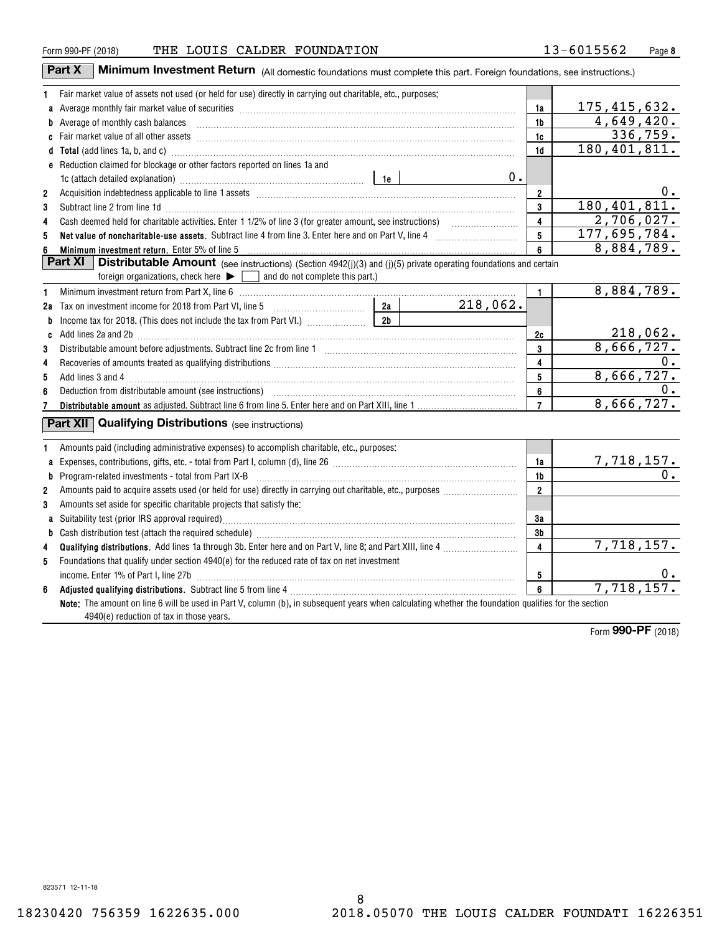|    | Part X<br><b>Minimum Investment Return</b> (All domestic foundations must complete this part. Foreign foundations, see instructions.)                                                                                               |                |          |                         |                                       |
|----|-------------------------------------------------------------------------------------------------------------------------------------------------------------------------------------------------------------------------------------|----------------|----------|-------------------------|---------------------------------------|
| 1. | Fair market value of assets not used (or held for use) directly in carrying out charitable, etc., purposes:                                                                                                                         |                |          |                         |                                       |
|    |                                                                                                                                                                                                                                     |                |          | 1a                      | 175, 415, 632.                        |
|    | b Average of monthly cash balances <b>constructed and all and all and all an</b> Average of monthly cash balances                                                                                                                   |                |          | 1b                      | 4,649,420.                            |
|    | c Fair market value of all other assets [111] contained a set of the contained a set of all other assets [11] contained a set of the contained a set of the contained a set of the contained a set of the contained a set of t      |                |          | 1c                      | 336, 759.                             |
|    | d Total (add lines 1a, b, and c) <b>manufacture and contract and contract a</b> contract and contract and contract a contract and contract and contract a contract and contract and contract a contract and contract and contract a |                |          | 1d                      | $\overline{180, 401}$ , 811.          |
|    | <b>e</b> Reduction claimed for blockage or other factors reported on lines 1a and                                                                                                                                                   |                |          |                         |                                       |
|    |                                                                                                                                                                                                                                     |                | $0$ .    |                         |                                       |
| 2  |                                                                                                                                                                                                                                     |                |          | $\overline{\mathbf{2}}$ | $0 \cdot$                             |
| 3  | Subtract line 2 from line 1d <b>Machinese and Contract Line 2</b> from line 1d <b>machinese and the 2</b> from line 1d <b>machinese</b>                                                                                             |                |          | 3                       | 180, 401, 811.                        |
| 4  | Cash deemed held for charitable activities. Enter 1 1/2% of line 3 (for greater amount, see instructions)                                                                                                                           |                |          | 4                       | 2,706,027.                            |
| 5  | Net value of noncharitable-use assets. Subtract line 4 from line 3. Enter here and on Part V, line 4 [11, 11]                                                                                                                       |                |          | 5                       | 177,695,784.                          |
|    | Minimum investment return. Enter 5% of line 5                                                                                                                                                                                       |                |          | 6                       | 8,884,789.                            |
|    | <b>Part XI</b>   Distributable Amount (see instructions) (Section 4942(j)(3) and (j)(5) private operating foundations and certain                                                                                                   |                |          |                         |                                       |
|    | foreign organizations, check here $\blacktriangleright \Box$ and do not complete this part.)                                                                                                                                        |                |          |                         |                                       |
| 1  |                                                                                                                                                                                                                                     |                |          | $\mathbf{1}$            | 8,884,789.                            |
|    |                                                                                                                                                                                                                                     |                | 218,062. |                         |                                       |
|    |                                                                                                                                                                                                                                     | 2 <sub>b</sub> |          |                         |                                       |
|    |                                                                                                                                                                                                                                     |                |          | 2c                      | 218,062.                              |
| 3  |                                                                                                                                                                                                                                     |                |          | 3                       | 8,666,727.                            |
| 4  |                                                                                                                                                                                                                                     |                |          | $\overline{\mathbf{4}}$ | $0$ .                                 |
| 5  |                                                                                                                                                                                                                                     |                |          | 5                       | 8,666,727.                            |
| 6  |                                                                                                                                                                                                                                     |                |          | 6                       |                                       |
|    |                                                                                                                                                                                                                                     |                |          | $\overline{7}$          | 8,666,727.                            |
|    | <b>Part XII</b> Qualifying Distributions (see instructions)                                                                                                                                                                         |                |          |                         |                                       |
| 1. | Amounts paid (including administrative expenses) to accomplish charitable, etc., purposes:                                                                                                                                          |                |          |                         |                                       |
| a  |                                                                                                                                                                                                                                     |                |          | 1a                      | <u>7,718,157.</u><br>$\overline{0}$ . |
|    | b Program-related investments - total from Part IX-B [11] [120] [120] [120] [120] [120] [120] [120] [120] [120] [120] [120] [120] [120] [120] [120] [120] [120] [120] [120] [120] [120] [120] [120] [120] [120] [120] [120] [1      |                |          | 1b                      |                                       |
| 2  |                                                                                                                                                                                                                                     |                |          | $\overline{\mathbf{2}}$ |                                       |
| 3  | Amounts set aside for specific charitable projects that satisfy the:                                                                                                                                                                |                |          |                         |                                       |
|    |                                                                                                                                                                                                                                     |                |          | 3a                      |                                       |
| b  |                                                                                                                                                                                                                                     |                |          | 3 <sub>b</sub>          |                                       |
| 4  | Qualifying distributions. Add lines 1a through 3b. Enter here and on Part V, line 8; and Part XIII, line 4 <i>mass</i>                                                                                                              |                |          | $\overline{4}$          | 7,718,157.                            |
| 5  | Foundations that qualify under section 4940(e) for the reduced rate of tax on net investment                                                                                                                                        |                |          |                         |                                       |
|    | income. Enter 1% of Part I, line 27b                                                                                                                                                                                                |                |          | 5                       |                                       |
| 6  |                                                                                                                                                                                                                                     |                |          | 6                       | 7,718,157.                            |
|    | Note: The amount on line 6 will be used in Part V, column (b), in subsequent years when calculating whether the foundation qualifies for the section                                                                                |                |          |                         |                                       |
|    | 4940(e) reduction of tax in those years.                                                                                                                                                                                            |                |          |                         | $0.00 \text{ } \text{D} \text{ }$     |

Form (2018) **990-PF**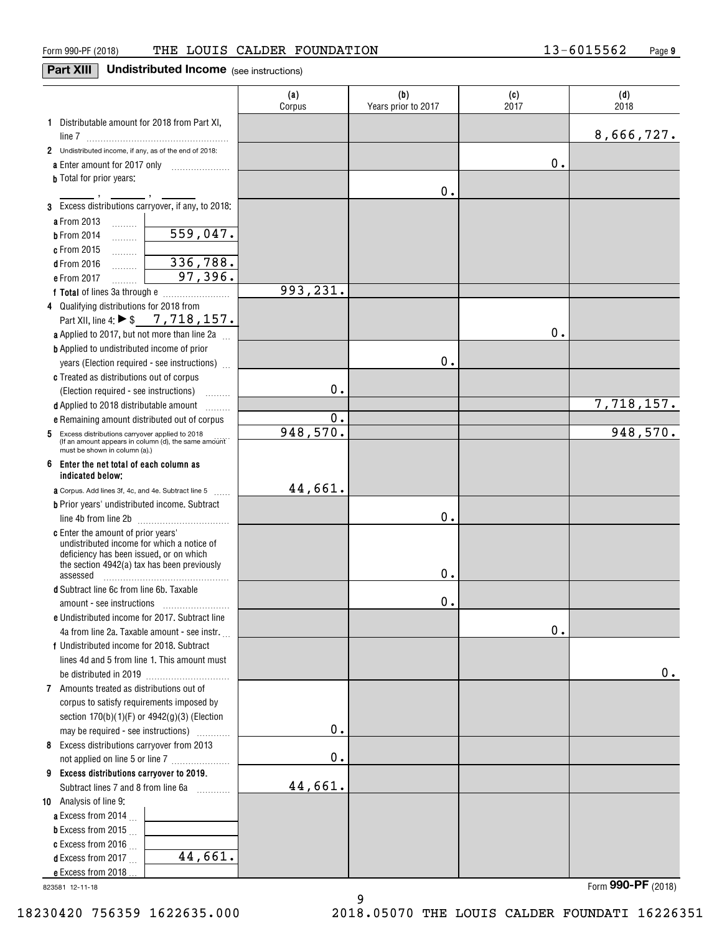# **Part XIII** Undistributed Income (see instructions)

|                                                                                                   | (a)<br>Corpus | (b)<br>Years prior to 2017 | (c)<br>2017 | (d)<br>2018 |
|---------------------------------------------------------------------------------------------------|---------------|----------------------------|-------------|-------------|
| 1 Distributable amount for 2018 from Part XI,                                                     |               |                            |             |             |
|                                                                                                   |               |                            |             | 8,666,727.  |
| 2 Undistributed income, if any, as of the end of 2018:                                            |               |                            | 0.          |             |
| a Enter amount for 2017 only                                                                      |               |                            |             |             |
| <b>b</b> Total for prior years:                                                                   |               | 0.                         |             |             |
| 3 Excess distributions carryover, if any, to 2018:                                                |               |                            |             |             |
|                                                                                                   |               |                            |             |             |
| a From 2013<br>.<br>559,047.                                                                      |               |                            |             |             |
| <b>b</b> From 2014<br>.                                                                           |               |                            |             |             |
| c From 2015<br>.<br>336,788.                                                                      |               |                            |             |             |
| <b>d</b> From 2016<br>.<br>97,396.                                                                |               |                            |             |             |
| e From 2017                                                                                       | 993,231.      |                            |             |             |
|                                                                                                   |               |                            |             |             |
| 4 Qualifying distributions for 2018 from<br>Part XII, line 4: $\triangleright$ \$ 7, 718, 157.    |               |                            |             |             |
|                                                                                                   |               |                            | $0$ .       |             |
| a Applied to 2017, but not more than line 2a<br><b>b</b> Applied to undistributed income of prior |               |                            |             |             |
|                                                                                                   |               | 0.                         |             |             |
| years (Election required - see instructions)                                                      |               |                            |             |             |
| c Treated as distributions out of corpus                                                          | 0.            |                            |             |             |
| (Election required - see instructions)                                                            |               |                            |             | 7,718,157.  |
| d Applied to 2018 distributable amount<br>.<br>e Remaining amount distributed out of corpus       | 0.            |                            |             |             |
| Excess distributions carryover applied to 2018<br>5                                               | 948,570.      |                            |             | 948,570.    |
| (If an amount appears in column (d), the same amount<br>must be shown in column (a).)             |               |                            |             |             |
| 6<br>Enter the net total of each column as<br>indicated below:                                    |               |                            |             |             |
| <b>a</b> Corpus. Add lines 3f, 4c, and 4e. Subtract line 5                                        | 44,661.       |                            |             |             |
| <b>b</b> Prior years' undistributed income. Subtract                                              |               |                            |             |             |
|                                                                                                   |               | 0.                         |             |             |
| c Enter the amount of prior years'                                                                |               |                            |             |             |
| undistributed income for which a notice of<br>deficiency has been issued, or on which             |               |                            |             |             |
| the section 4942(a) tax has been previously                                                       |               |                            |             |             |
| assessed                                                                                          |               | 0.                         |             |             |
| d Subtract line 6c from line 6b. Taxable                                                          |               |                            |             |             |
|                                                                                                   |               | 0.                         |             |             |
| e Undistributed income for 2017. Subtract line                                                    |               |                            |             |             |
| 4a from line 2a. Taxable amount - see instr.                                                      |               |                            | $0$ .       |             |
| f Undistributed income for 2018. Subtract                                                         |               |                            |             |             |
| lines 4d and 5 from line 1. This amount must                                                      |               |                            |             |             |
|                                                                                                   |               |                            |             | 0.          |
| 7 Amounts treated as distributions out of                                                         |               |                            |             |             |
| corpus to satisfy requirements imposed by                                                         |               |                            |             |             |
| section $170(b)(1)(F)$ or $4942(g)(3)$ (Election                                                  |               |                            |             |             |
| may be required - see instructions)<br>.                                                          | 0.            |                            |             |             |
| 8 Excess distributions carryover from 2013                                                        |               |                            |             |             |
| not applied on line 5 or line 7                                                                   | 0.            |                            |             |             |
| 9 Excess distributions carryover to 2019.                                                         |               |                            |             |             |
| Subtract lines 7 and 8 from line 6a                                                               | 44,661.       |                            |             |             |
| 10 Analysis of line 9:                                                                            |               |                            |             |             |
| a Excess from 2014 $\ldots$                                                                       |               |                            |             |             |
| <b>b</b> Excess from 2015 $\ldots$                                                                |               |                            |             |             |
| c Excess from 2016<br>44,661.                                                                     |               |                            |             |             |
| <b>d</b> Excess from 2017.                                                                        |               |                            |             |             |
| e Excess from 2018                                                                                |               |                            |             |             |

9

823581 12-11-18

Form (2018) **990-PF**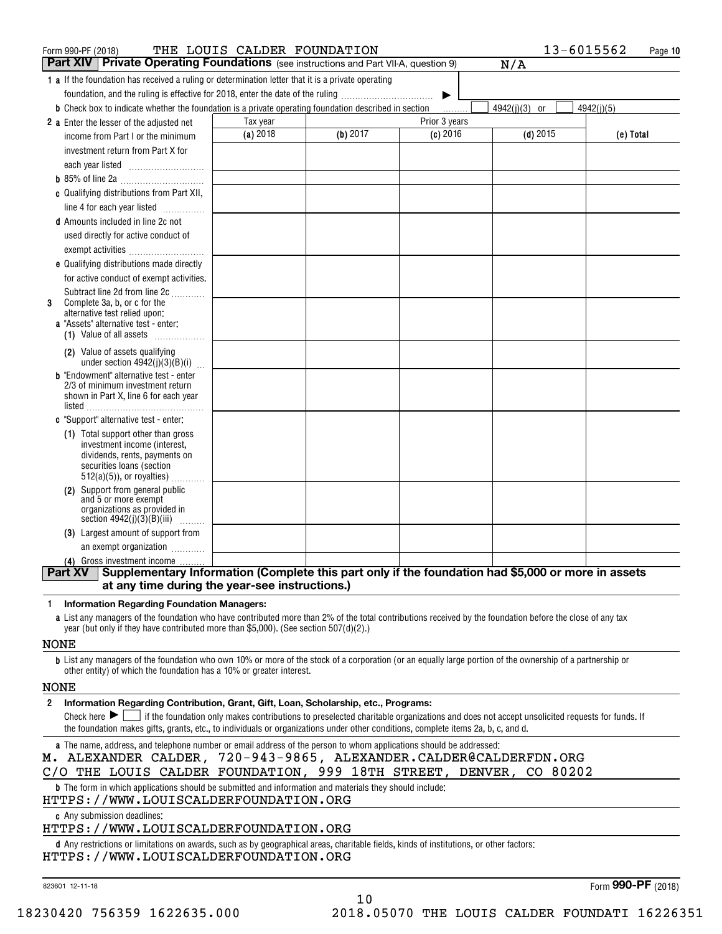| Form 990-PF (2018)                                                                                                   | THE LOUIS CALDER FOUNDATION |          |                       | 13-6015562    | Page 10    |
|----------------------------------------------------------------------------------------------------------------------|-----------------------------|----------|-----------------------|---------------|------------|
| Private Operating Foundations (see instructions and Part VII-A, question 9)<br>∣ Part XIV I                          |                             |          |                       | N/A           |            |
| 1 a If the foundation has received a ruling or determination letter that it is a private operating                   |                             |          |                       |               |            |
| foundation, and the ruling is effective for 2018, enter the date of the ruling                                       |                             |          | $\blacktriangleright$ |               |            |
| <b>b</b> Check box to indicate whether the foundation is a private operating foundation described in section         |                             |          | .                     | 4942(j)(3) or | 4942(i)(5) |
| 2 a Enter the lesser of the adjusted net                                                                             | Tax year                    |          | Prior 3 years         |               |            |
| income from Part I or the minimum                                                                                    | (a) 2018                    | (b) 2017 | $(c)$ 2016            | $(d)$ 2015    | (e) Total  |
| investment return from Part X for                                                                                    |                             |          |                       |               |            |
|                                                                                                                      |                             |          |                       |               |            |
|                                                                                                                      |                             |          |                       |               |            |
| c Qualifying distributions from Part XII,                                                                            |                             |          |                       |               |            |
| line 4 for each year listed                                                                                          |                             |          |                       |               |            |
| <b>d</b> Amounts included in line 2c not                                                                             |                             |          |                       |               |            |
| used directly for active conduct of                                                                                  |                             |          |                       |               |            |
|                                                                                                                      |                             |          |                       |               |            |
| e Qualifying distributions made directly                                                                             |                             |          |                       |               |            |
| for active conduct of exempt activities.                                                                             |                             |          |                       |               |            |
| Subtract line 2d from line 2c                                                                                        |                             |          |                       |               |            |
| Complete 3a, b, or c for the<br>3<br>alternative test relied upon:                                                   |                             |          |                       |               |            |
| a "Assets" alternative test - enter:                                                                                 |                             |          |                       |               |            |
| (1) Value of all assets                                                                                              |                             |          |                       |               |            |
| (2) Value of assets qualifying                                                                                       |                             |          |                       |               |            |
| under section $4942(j)(3)(B)(i)$<br><b>b</b> "Endowment" alternative test - enter                                    |                             |          |                       |               |            |
| 2/3 of minimum investment return                                                                                     |                             |          |                       |               |            |
| shown in Part X, line 6 for each year                                                                                |                             |          |                       |               |            |
|                                                                                                                      |                             |          |                       |               |            |
| c "Support" alternative test - enter:                                                                                |                             |          |                       |               |            |
| (1) Total support other than gross<br>investment income (interest,                                                   |                             |          |                       |               |            |
| dividends, rents, payments on                                                                                        |                             |          |                       |               |            |
| securities loans (section                                                                                            |                             |          |                       |               |            |
| $512(a)(5)$ , or royalties)                                                                                          |                             |          |                       |               |            |
| Support from general public<br>(2)<br>and 5 or more exempt                                                           |                             |          |                       |               |            |
| organizations as provided in<br>section $4942(j)(3)(B)(iii)$                                                         |                             |          |                       |               |            |
| (3) Largest amount of support from                                                                                   |                             |          |                       |               |            |
| an exempt organization                                                                                               |                             |          |                       |               |            |
| (4) Gross investment income.                                                                                         |                             |          |                       |               |            |
| <b>Part XV</b><br>Supplementary Information (Complete this part only if the foundation had \$5,000 or more in assets |                             |          |                       |               |            |
| at any time during the year-see instructions.)                                                                       |                             |          |                       |               |            |
|                                                                                                                      |                             |          |                       |               |            |

**1Information Regarding Foundation Managers:**

**a**List any managers of the foundation who have contributed more than 2% of the total contributions received by the foundation before the close of any tax year (but only if they have contributed more than \$5,000). (See section 507(d)(2).)

NONE

**b**List any managers of the foundation who own 10% or more of the stock of a corporation (or an equally large portion of the ownership of a partnership or other entity) of which the foundation has a 10% or greater interest.

## NONE

**2Information Regarding Contribution, Grant, Gift, Loan, Scholarship, etc., Programs:**

Check here  $\blacktriangleright$   $\Box$  if the foundation only makes contributions to preselected charitable organizations and does not accept unsolicited requests for funds. If<br>the foundation makes gifts, grants, etc. to individuals or the foundation makes gifts, grants, etc., to individuals or organizations under other conditions, complete items 2a, b, c, and d.

10

**a**The name, address, and telephone number or email address of the person to whom applications should be addressed:

# M. ALEXANDER CALDER, 720-943-9865, ALEXANDER.CALDER@CALDERFDN.ORG

C/O THE LOUIS CALDER FOUNDATION, 999 18TH STREET, DENVER, CO 80202

**b**The form in which applications should be submitted and information and materials they should include:

HTTPS://WWW.LOUISCALDERFOUNDATION.ORG

**c**Any submission deadlines:

# HTTPS://WWW.LOUISCALDERFOUNDATION.ORG

**d** Any restrictions or limitations on awards, such as by geographical areas, charitable fields, kinds of institutions, or other factors: HTTPS://WWW.LOUISCALDERFOUNDATION.ORG

823601 12-11-18

Form (2018) **990-PF**

18230420 756359 1622635.000 2018.05070 THE LOUIS CALDER FOUNDATI 16226351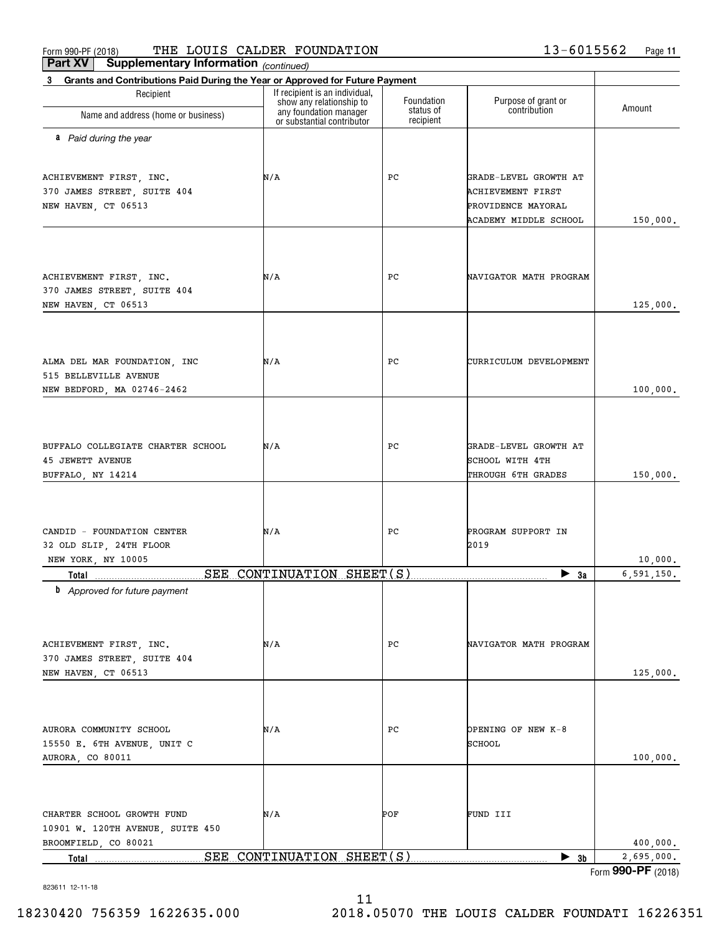### $_{\rm Form}$  990-PF (2018) THE LOUIS CALDER FOUNDATION  $13-6015562$  Page THE LOUIS CALDER FOUNDATION 13-6015562

| Part XV<br>Supplementary Information (continued)                                  |                                                                                      |                         |                                     |                    |
|-----------------------------------------------------------------------------------|--------------------------------------------------------------------------------------|-------------------------|-------------------------------------|--------------------|
| Grants and Contributions Paid During the Year or Approved for Future Payment<br>3 |                                                                                      |                         |                                     |                    |
| Recipient                                                                         | If recipient is an individual,<br>show any relationship to<br>any foundation manager | Foundation<br>status of | Purpose of grant or<br>contribution | Amount             |
| Name and address (home or business)                                               | or substantial contributor                                                           | recipient               |                                     |                    |
| a Paid during the year                                                            |                                                                                      |                         |                                     |                    |
| ACHIEVEMENT FIRST, INC.                                                           | N/A                                                                                  | РC                      | GRADE-LEVEL GROWTH AT               |                    |
| 370 JAMES STREET, SUITE 404                                                       |                                                                                      |                         | <b>ACHIEVEMENT FIRST</b>            |                    |
| NEW HAVEN, CT 06513                                                               |                                                                                      |                         | PROVIDENCE MAYORAL                  |                    |
|                                                                                   |                                                                                      |                         | <b>ACADEMY MIDDLE SCHOOL</b>        | 150,000.           |
|                                                                                   |                                                                                      |                         |                                     |                    |
| ACHIEVEMENT FIRST, INC.                                                           | N/A                                                                                  | РC                      | NAVIGATOR MATH PROGRAM              |                    |
| 370 JAMES STREET, SUITE 404                                                       |                                                                                      |                         |                                     |                    |
| NEW HAVEN, CT 06513                                                               |                                                                                      |                         |                                     | 125,000.           |
|                                                                                   |                                                                                      |                         |                                     |                    |
| ALMA DEL MAR FOUNDATION, INC                                                      | N/A                                                                                  | РC                      | CURRICULUM DEVELOPMENT              |                    |
| 515 BELLEVILLE AVENUE                                                             |                                                                                      |                         |                                     |                    |
| NEW BEDFORD, MA 02746-2462                                                        |                                                                                      |                         |                                     | 100,000.           |
|                                                                                   |                                                                                      |                         |                                     |                    |
|                                                                                   |                                                                                      |                         |                                     |                    |
| BUFFALO COLLEGIATE CHARTER SCHOOL                                                 | N/A                                                                                  | РC                      | GRADE-LEVEL GROWTH AT               |                    |
| <b>45 JEWETT AVENUE</b>                                                           |                                                                                      |                         | SCHOOL WITH 4TH                     |                    |
| BUFFALO, NY 14214                                                                 |                                                                                      |                         | THROUGH 6TH GRADES                  | 150,000.           |
|                                                                                   |                                                                                      |                         |                                     |                    |
| CANDID - FOUNDATION CENTER                                                        | N/A                                                                                  | РC                      | PROGRAM SUPPORT IN                  |                    |
| 32 OLD SLIP, 24TH FLOOR                                                           |                                                                                      |                         | 2019                                |                    |
| NEW YORK, NY 10005                                                                |                                                                                      |                         |                                     | 10,000.            |
|                                                                                   |                                                                                      |                         | $\blacktriangleright$ 3a            | 6,591,150.         |
| <b>b</b> Approved for future payment                                              |                                                                                      |                         |                                     |                    |
|                                                                                   |                                                                                      |                         |                                     |                    |
| ACHIEVEMENT FIRST, INC.                                                           | N/A                                                                                  | РC                      | NAVIGATOR MATH PROGRAM              |                    |
| 370 JAMES STREET, SUITE 404                                                       |                                                                                      |                         |                                     |                    |
| NEW HAVEN, CT 06513                                                               |                                                                                      |                         |                                     | 125,000.           |
|                                                                                   |                                                                                      |                         |                                     |                    |
| AURORA COMMUNITY SCHOOL                                                           | N/A                                                                                  | РC                      | OPENING OF NEW K-8                  |                    |
| 15550 E. 6TH AVENUE, UNIT C                                                       |                                                                                      |                         | SCHOOL                              |                    |
| AURORA, CO 80011                                                                  |                                                                                      |                         |                                     | 100,000.           |
|                                                                                   |                                                                                      |                         |                                     |                    |
|                                                                                   |                                                                                      |                         |                                     |                    |
| CHARTER SCHOOL GROWTH FUND                                                        | N/A                                                                                  | POF                     | FUND III                            |                    |
| 10901 W. 120TH AVENUE, SUITE 450<br>BROOMFIELD, CO 80021                          |                                                                                      |                         |                                     | 400,000.           |
| Total                                                                             | SEE CONTINUATION SHEET(S)                                                            |                         | $\blacktriangleright$ 3b            | 2,695,000.         |
|                                                                                   |                                                                                      |                         |                                     | Form 990-PF (2018) |

11

823611 12-11-18

18230420 756359 1622635.000 2018.05070 THE LOUIS CALDER FOUNDATI 16226351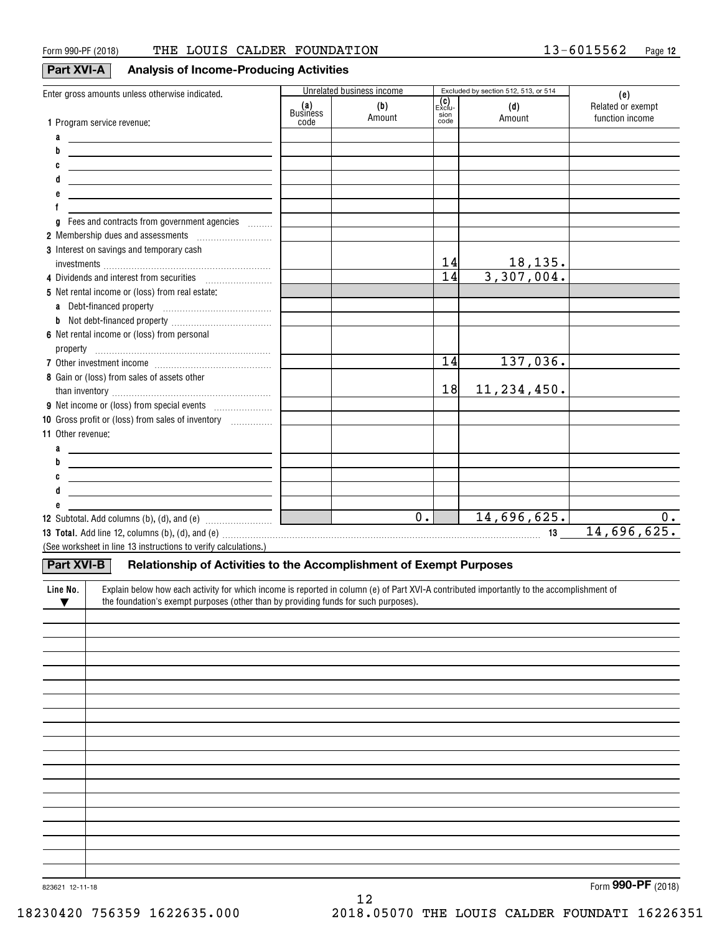# **Part XVI-A Analysis of Income-Producing Activities**

| Enter gross amounts unless otherwise indicated.                                                                                                                                                                                |                 | Unrelated business income |                               | Excluded by section 512, 513, or 514 | (e)                                  |
|--------------------------------------------------------------------------------------------------------------------------------------------------------------------------------------------------------------------------------|-----------------|---------------------------|-------------------------------|--------------------------------------|--------------------------------------|
|                                                                                                                                                                                                                                | (a)<br>Business | (b)<br>Amount             | (C)<br>Exclu-<br>sion<br>code | (d)<br>Amount                        | Related or exempt<br>function income |
| 1 Program service revenue:                                                                                                                                                                                                     | code            |                           |                               |                                      |                                      |
| a                                                                                                                                                                                                                              |                 |                           |                               |                                      |                                      |
| b<br><u> 1989 - Andrea Aonaich an Chomhair an t-</u>                                                                                                                                                                           |                 |                           |                               |                                      |                                      |
| C<br><u> 1980 - Johann Barn, amerikansk politiker (</u>                                                                                                                                                                        |                 |                           |                               |                                      |                                      |
| <u> 1989 - Johann John Stone, markin fizikar (h. 1982).</u>                                                                                                                                                                    |                 |                           |                               |                                      |                                      |
| the control of the control of the control of the control of the control of the control of                                                                                                                                      |                 |                           |                               |                                      |                                      |
|                                                                                                                                                                                                                                |                 |                           |                               |                                      |                                      |
| Fees and contracts from government agencies<br>g                                                                                                                                                                               |                 |                           |                               |                                      |                                      |
| 2 Membership dues and assessments [1001] Membership dues and assessments                                                                                                                                                       |                 |                           |                               |                                      |                                      |
| 3 Interest on savings and temporary cash                                                                                                                                                                                       |                 |                           |                               |                                      |                                      |
|                                                                                                                                                                                                                                |                 |                           | 14<br>$\overline{14}$         | $\frac{18,135}{3,307,004}$           |                                      |
| 4 Dividends and interest from securities                                                                                                                                                                                       |                 |                           |                               |                                      |                                      |
| 5 Net rental income or (loss) from real estate:                                                                                                                                                                                |                 |                           |                               |                                      |                                      |
|                                                                                                                                                                                                                                |                 |                           |                               |                                      |                                      |
|                                                                                                                                                                                                                                |                 |                           |                               |                                      |                                      |
| 6 Net rental income or (loss) from personal                                                                                                                                                                                    |                 |                           |                               |                                      |                                      |
|                                                                                                                                                                                                                                |                 |                           |                               |                                      |                                      |
|                                                                                                                                                                                                                                |                 |                           | 14                            | 137,036.                             |                                      |
| 8 Gain or (loss) from sales of assets other                                                                                                                                                                                    |                 |                           |                               |                                      |                                      |
|                                                                                                                                                                                                                                |                 |                           | 18                            | 11, 234, 450.                        |                                      |
|                                                                                                                                                                                                                                |                 |                           |                               |                                      |                                      |
| 10 Gross profit or (loss) from sales of inventory                                                                                                                                                                              |                 |                           |                               |                                      |                                      |
| <b>11 Other revenue:</b>                                                                                                                                                                                                       |                 |                           |                               |                                      |                                      |
| a                                                                                                                                                                                                                              |                 |                           |                               |                                      |                                      |
| b<br><u> 1989 - Johann Stoff, fransk politik (d. 1989)</u>                                                                                                                                                                     |                 |                           |                               |                                      |                                      |
| <u> 1989 - Johann Barn, mars ann an t-Amhair an t-Amhair an t-Amhair an t-Amhair an t-Amhair an t-Amhair an t-Amh</u>                                                                                                          |                 |                           |                               |                                      |                                      |
| <u> 1989 - Johann Barn, mars and de Brasilian (b. 1989)</u>                                                                                                                                                                    |                 |                           |                               |                                      |                                      |
|                                                                                                                                                                                                                                |                 |                           |                               |                                      |                                      |
| <b>12</b> Subtotal. Add columns (b), (d), and (e) $\quad \ldots \ldots \ldots \ldots \ldots \quad \Box$                                                                                                                        |                 | $\overline{0}$ .          |                               | 14,696,625.                          | 0.                                   |
| 13 Total. Add line 12, columns (b), (d), and (e) with an array contained an array contained and array contained and the contact of the contact and array contact and array contact and array contact and array contact and arr |                 |                           |                               | 13                                   | 14,696,625.                          |
| (See worksheet in line 13 instructions to verify calculations.)                                                                                                                                                                |                 |                           |                               |                                      |                                      |
| Part XVI-B<br>Relationship of Activities to the Accomplishment of Exempt Purposes                                                                                                                                              |                 |                           |                               |                                      |                                      |
| Line No.<br>Explain below how each activity for which income is reported in column (e) of Part XVI-A contributed importantly to the accomplishment of                                                                          |                 |                           |                               |                                      |                                      |
| the foundation's exempt purposes (other than by providing funds for such purposes).<br>$\blacktriangledown$                                                                                                                    |                 |                           |                               |                                      |                                      |
|                                                                                                                                                                                                                                |                 |                           |                               |                                      |                                      |
|                                                                                                                                                                                                                                |                 |                           |                               |                                      |                                      |
|                                                                                                                                                                                                                                |                 |                           |                               |                                      |                                      |
|                                                                                                                                                                                                                                |                 |                           |                               |                                      |                                      |
|                                                                                                                                                                                                                                |                 |                           |                               |                                      |                                      |
|                                                                                                                                                                                                                                |                 |                           |                               |                                      |                                      |
|                                                                                                                                                                                                                                |                 |                           |                               |                                      |                                      |
|                                                                                                                                                                                                                                |                 |                           |                               |                                      |                                      |
|                                                                                                                                                                                                                                |                 |                           |                               |                                      |                                      |
|                                                                                                                                                                                                                                |                 |                           |                               |                                      |                                      |
|                                                                                                                                                                                                                                |                 |                           |                               |                                      |                                      |
|                                                                                                                                                                                                                                |                 |                           |                               |                                      |                                      |
|                                                                                                                                                                                                                                |                 |                           |                               |                                      |                                      |
|                                                                                                                                                                                                                                |                 |                           |                               |                                      |                                      |
|                                                                                                                                                                                                                                |                 |                           |                               |                                      |                                      |
|                                                                                                                                                                                                                                |                 |                           |                               |                                      |                                      |
|                                                                                                                                                                                                                                |                 |                           |                               |                                      |                                      |
|                                                                                                                                                                                                                                |                 |                           |                               |                                      |                                      |

12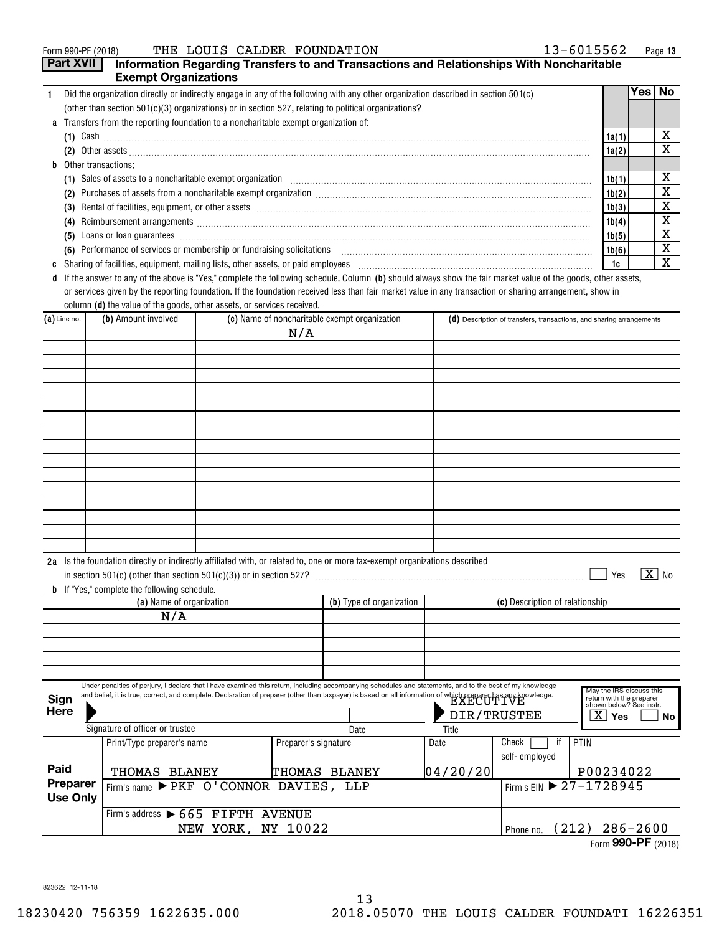|   | 13-6015562<br>THE LOUIS CALDER FOUNDATION<br>Form 990-PF (2018)                                                                                                                                                                       |       |      | Page 13 |
|---|---------------------------------------------------------------------------------------------------------------------------------------------------------------------------------------------------------------------------------------|-------|------|---------|
|   | <b>Part XVII</b><br>Information Regarding Transfers to and Transactions and Relationships With Noncharitable                                                                                                                          |       |      |         |
|   | <b>Exempt Organizations</b>                                                                                                                                                                                                           |       |      |         |
|   | Did the organization directly or indirectly engage in any of the following with any other organization described in section 501(c)                                                                                                    |       | Yes⊺ | No.     |
|   | (other than section $501(c)(3)$ organizations) or in section 527, relating to political organizations?                                                                                                                                |       |      |         |
|   | a Transfers from the reporting foundation to a noncharitable exempt organization of:                                                                                                                                                  |       |      |         |
|   | $(1)$ Cash                                                                                                                                                                                                                            | 1a(1) |      | х       |
|   | (2)                                                                                                                                                                                                                                   | 1a(2) |      | x       |
| b | Other transactions:                                                                                                                                                                                                                   |       |      |         |
|   |                                                                                                                                                                                                                                       | 1b(1) |      | х       |
|   | Purchases of assets from a noncharitable exempt organization [11] manufacture manufacture of assets from a noncharitable exempt organization [11] manufacture manufacture of assets from a noncharitable exempt organization [<br>(2) | 1b(2) |      | x       |
|   |                                                                                                                                                                                                                                       | 1b(3) |      | х       |
|   | Reimbursement arrangements [111] March 2014 (2015) 2014 (2016) 2014 2015 2016 2017 2018 2019 2014 2015 2016 201<br>(4)                                                                                                                | 1b(4) |      | х       |
|   | Loans or loan guarantees encourance entertainment and all the contract of the contract of the contract of the contract of the contract of the contract of the contract of the contract of the contract of the contract of the<br>(5)  | 1b(5) |      | х       |
|   | (6) Performance of services or membership or fundraising solicitations [11] manufacture material manufacture of services or membership or fundraising solicitations [11] manufacture material material material material mater        | 1b(6) |      | X       |
| C | Sharing of facilities, equipment, mailing lists, other assets, or paid employees [11,11] matches and the subsequent of facilities, equipment, mailing lists, other assets, or paid employees [11,11] matches and the subsequen        | 1c    |      | x       |
| đ | If the answer to any of the above is "Yes," complete the following schedule. Column (b) should always show the fair market value of the goods, other assets,                                                                          |       |      |         |
|   | render and the second control of the second control of the second control of the second control of the second c                                                                                                                       |       |      |         |

column **(d)** the value of the goods, other assets, or services received. or services given by the reporting foundation. If the foundation received less than fair market value in any transaction or sharing arrangement, show in

| $(a)$ Line no.              |  | (b) Amount involved                                 |                    |                                      | (c) Name of noncharitable exempt organization                                                                                                                                                                                                                                                                             |             | $(d)$ Description of transfers, transactions, and sharing arrangements |                                                                                              |                       |
|-----------------------------|--|-----------------------------------------------------|--------------------|--------------------------------------|---------------------------------------------------------------------------------------------------------------------------------------------------------------------------------------------------------------------------------------------------------------------------------------------------------------------------|-------------|------------------------------------------------------------------------|----------------------------------------------------------------------------------------------|-----------------------|
|                             |  |                                                     |                    | N/A                                  |                                                                                                                                                                                                                                                                                                                           |             |                                                                        |                                                                                              |                       |
|                             |  |                                                     |                    |                                      |                                                                                                                                                                                                                                                                                                                           |             |                                                                        |                                                                                              |                       |
|                             |  |                                                     |                    |                                      |                                                                                                                                                                                                                                                                                                                           |             |                                                                        |                                                                                              |                       |
|                             |  |                                                     |                    |                                      |                                                                                                                                                                                                                                                                                                                           |             |                                                                        |                                                                                              |                       |
|                             |  |                                                     |                    |                                      |                                                                                                                                                                                                                                                                                                                           |             |                                                                        |                                                                                              |                       |
|                             |  |                                                     |                    |                                      |                                                                                                                                                                                                                                                                                                                           |             |                                                                        |                                                                                              |                       |
|                             |  |                                                     |                    |                                      |                                                                                                                                                                                                                                                                                                                           |             |                                                                        |                                                                                              |                       |
|                             |  |                                                     |                    |                                      |                                                                                                                                                                                                                                                                                                                           |             |                                                                        |                                                                                              |                       |
|                             |  |                                                     |                    |                                      |                                                                                                                                                                                                                                                                                                                           |             |                                                                        |                                                                                              |                       |
|                             |  |                                                     |                    |                                      |                                                                                                                                                                                                                                                                                                                           |             |                                                                        |                                                                                              |                       |
|                             |  |                                                     |                    |                                      |                                                                                                                                                                                                                                                                                                                           |             |                                                                        |                                                                                              |                       |
|                             |  |                                                     |                    |                                      |                                                                                                                                                                                                                                                                                                                           |             |                                                                        |                                                                                              |                       |
|                             |  |                                                     |                    |                                      |                                                                                                                                                                                                                                                                                                                           |             |                                                                        |                                                                                              |                       |
|                             |  |                                                     |                    |                                      |                                                                                                                                                                                                                                                                                                                           |             |                                                                        |                                                                                              |                       |
|                             |  |                                                     |                    |                                      |                                                                                                                                                                                                                                                                                                                           |             |                                                                        |                                                                                              |                       |
|                             |  |                                                     |                    |                                      |                                                                                                                                                                                                                                                                                                                           |             |                                                                        |                                                                                              |                       |
|                             |  | <b>b</b> If "Yes," complete the following schedule. |                    |                                      | 2a Is the foundation directly or indirectly affiliated with, or related to, one or more tax-exempt organizations described<br>in section 501(c) (other than section 501(c)(3)) or in section 527?                                                                                                                         |             |                                                                        | Yes                                                                                          | $\boxed{\text{X}}$ No |
|                             |  | (a) Name of organization                            |                    |                                      | (b) Type of organization                                                                                                                                                                                                                                                                                                  |             | (c) Description of relationship                                        |                                                                                              |                       |
|                             |  | N/A                                                 |                    |                                      |                                                                                                                                                                                                                                                                                                                           |             |                                                                        |                                                                                              |                       |
|                             |  |                                                     |                    |                                      |                                                                                                                                                                                                                                                                                                                           |             |                                                                        |                                                                                              |                       |
|                             |  |                                                     |                    |                                      |                                                                                                                                                                                                                                                                                                                           |             |                                                                        |                                                                                              |                       |
|                             |  |                                                     |                    |                                      |                                                                                                                                                                                                                                                                                                                           |             |                                                                        |                                                                                              |                       |
|                             |  |                                                     |                    |                                      |                                                                                                                                                                                                                                                                                                                           |             |                                                                        |                                                                                              |                       |
| Sign<br><b>Here</b>         |  |                                                     |                    |                                      | Under penalties of perjury, I declare that I have examined this return, including accompanying schedules and statements, and to the best of my knowledge<br>and belief, it is true, correct, and complete. Declaration of preparer (other than taxpayer) is based on all information of which preparer has any knowledge. | DIR/TRUSTEE |                                                                        | May the IRS discuss this<br>return with the preparer<br>shown below? See instr.<br>ΧI<br>Yes | No                    |
|                             |  | Signature of officer or trustee                     |                    |                                      | Date                                                                                                                                                                                                                                                                                                                      | Title       |                                                                        |                                                                                              |                       |
|                             |  | Print/Type preparer's name                          |                    | Preparer's signature                 |                                                                                                                                                                                                                                                                                                                           | Date        | if<br>Check                                                            | PTIN                                                                                         |                       |
|                             |  |                                                     |                    |                                      |                                                                                                                                                                                                                                                                                                                           |             | self-employed                                                          |                                                                                              |                       |
| Paid                        |  | THOMAS BLANEY                                       |                    |                                      | THOMAS BLANEY                                                                                                                                                                                                                                                                                                             | 04/20/20    |                                                                        | P00234022                                                                                    |                       |
| Preparer<br><b>Use Only</b> |  |                                                     |                    | Firm's name PKF O'CONNOR DAVIES, LLP |                                                                                                                                                                                                                                                                                                                           |             | Firm's EIN 27-1728945                                                  |                                                                                              |                       |
|                             |  | Firm's address > 665 FIFTH AVENUE                   |                    |                                      |                                                                                                                                                                                                                                                                                                                           |             |                                                                        |                                                                                              |                       |
|                             |  |                                                     | NEW YORK, NY 10022 |                                      |                                                                                                                                                                                                                                                                                                                           |             | Phone no. (212) 286-2600                                               |                                                                                              |                       |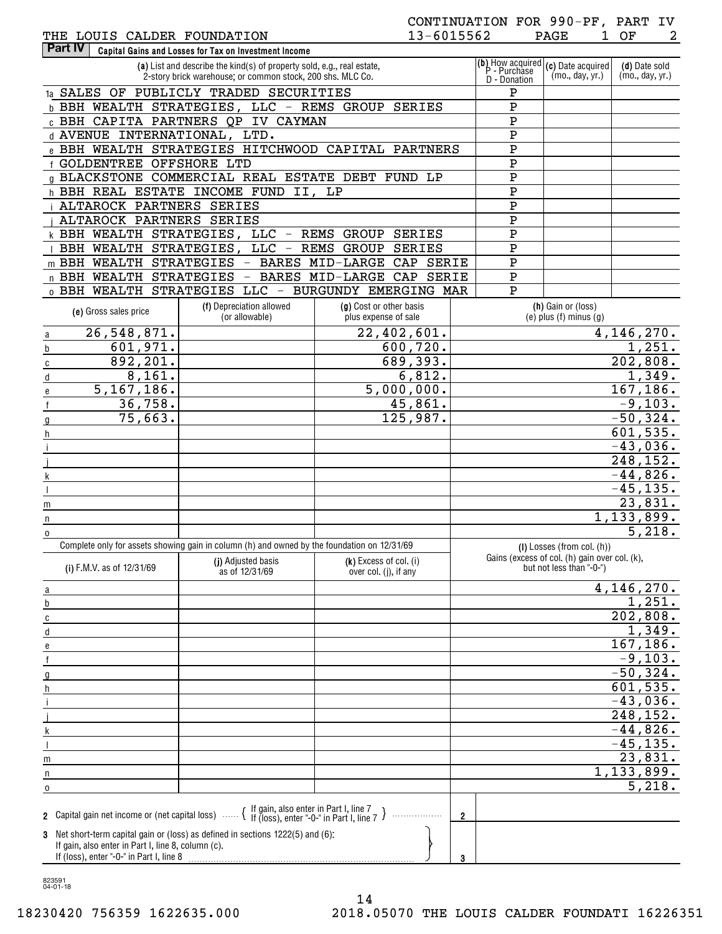# THE LOUIS CALDER FOUNDATION

# CONTINUATION FOR 990-PF, PART IV

| THE LOUIS CALDER FOUNDATION                                                                                                                                                                                                                                 |                                                                                                                             | 13-6015562                  |                |             | 1<br>PAGE                                                                 | 2<br>OF                          |
|-------------------------------------------------------------------------------------------------------------------------------------------------------------------------------------------------------------------------------------------------------------|-----------------------------------------------------------------------------------------------------------------------------|-----------------------------|----------------|-------------|---------------------------------------------------------------------------|----------------------------------|
| Part IV                                                                                                                                                                                                                                                     | Capital Gains and Losses for Tax on Investment Income                                                                       |                             |                |             |                                                                           |                                  |
| $\sqrt{\frac{b}{m}}$ acquired $\sqrt{\frac{c}{m}}$ Date acquired<br>(a) List and describe the kind(s) of property sold, e.g., real estate,<br>P - Purchase<br>(mo., day, yr.)<br>2-story brick warehouse; or common stock, 200 shs. MLC Co.<br>D - Donation |                                                                                                                             |                             |                |             |                                                                           | (d) Date sold<br>(mo., day, yr.) |
| 1a SALES OF PUBLICLY TRADED SECURITIES                                                                                                                                                                                                                      |                                                                                                                             |                             |                |             |                                                                           |                                  |
|                                                                                                                                                                                                                                                             | b BBH WEALTH STRATEGIES, LLC - REMS GROUP                                                                                   | <b>SERIES</b>               |                | ${\tt P}$   |                                                                           |                                  |
|                                                                                                                                                                                                                                                             | c BBH CAPITA PARTNERS QP IV CAYMAN                                                                                          |                             |                | ${\bf P}$   |                                                                           |                                  |
| d AVENUE INTERNATIONAL, LTD.                                                                                                                                                                                                                                |                                                                                                                             |                             |                | ${\bf P}$   |                                                                           |                                  |
|                                                                                                                                                                                                                                                             | e BBH WEALTH STRATEGIES HITCHWOOD CAPITAL PARTNERS                                                                          |                             |                | ${\bf P}$   |                                                                           |                                  |
| f GOLDENTREE OFFSHORE LTD                                                                                                                                                                                                                                   |                                                                                                                             |                             |                | ${\bf P}$   |                                                                           |                                  |
|                                                                                                                                                                                                                                                             | g BLACKSTONE COMMERCIAL REAL ESTATE DEBT FUND LP                                                                            |                             |                | ${\bf P}$   |                                                                           |                                  |
|                                                                                                                                                                                                                                                             | h BBH REAL ESTATE INCOME FUND II, LP                                                                                        |                             |                | ${\bf P}$   |                                                                           |                                  |
| ALTAROCK PARTNERS SERIES                                                                                                                                                                                                                                    |                                                                                                                             |                             |                | ${\bf P}$   |                                                                           |                                  |
| ALTAROCK PARTNERS SERIES                                                                                                                                                                                                                                    |                                                                                                                             |                             |                | ${\bf P}$   |                                                                           |                                  |
|                                                                                                                                                                                                                                                             | k BBH WEALTH STRATEGIES, LLC - REMS GROUP SERIES                                                                            |                             |                | ${\bf P}$   |                                                                           |                                  |
|                                                                                                                                                                                                                                                             | BBH WEALTH STRATEGIES, LLC - REMS GROUP SERIES                                                                              |                             |                | ${\bf P}$   |                                                                           |                                  |
| m BBH WEALTH STRATEGIES                                                                                                                                                                                                                                     |                                                                                                                             | - BARES MID-LARGE CAP SERIE |                | ${\bf P}$   |                                                                           |                                  |
| n BBH WEALTH STRATEGIES                                                                                                                                                                                                                                     |                                                                                                                             | - BARES MID-LARGE CAP SERIE |                | ${\bf P}$   |                                                                           |                                  |
|                                                                                                                                                                                                                                                             | 0 BBH WEALTH STRATEGIES LLC - BURGUNDY EMERGING MAR                                                                         |                             |                | $\mathbf P$ |                                                                           |                                  |
|                                                                                                                                                                                                                                                             | (f) Depreciation allowed                                                                                                    | (g) Cost or other basis     |                |             | (h) Gain or (loss)                                                        |                                  |
| (e) Gross sales price                                                                                                                                                                                                                                       | (or allowable)                                                                                                              | plus expense of sale        |                |             | $(e)$ plus $(f)$ minus $(g)$                                              |                                  |
| 26,548,871.<br>a                                                                                                                                                                                                                                            |                                                                                                                             | $\overline{22,402,601}$ .   |                |             |                                                                           | 4, 146, 270.                     |
| 601,971.<br>b                                                                                                                                                                                                                                               |                                                                                                                             | 600,720.                    |                |             |                                                                           | 1,251.                           |
| 892,201.<br>С                                                                                                                                                                                                                                               |                                                                                                                             | 689,393.                    |                |             |                                                                           | 202,808.                         |
| 8,161.<br>d                                                                                                                                                                                                                                                 |                                                                                                                             | 6,812.                      |                |             |                                                                           | 1,349.                           |
| 5, 167, 186.<br>e                                                                                                                                                                                                                                           |                                                                                                                             | 5,000,000.                  |                |             |                                                                           | 167, 186.                        |
| 36,758.                                                                                                                                                                                                                                                     |                                                                                                                             | 45,861.                     |                |             |                                                                           | $-9,103.$                        |
| 75,663.                                                                                                                                                                                                                                                     |                                                                                                                             | 125,987.                    |                |             |                                                                           | $-50,324.$                       |
| h                                                                                                                                                                                                                                                           |                                                                                                                             |                             |                |             |                                                                           | 601, 535.                        |
|                                                                                                                                                                                                                                                             |                                                                                                                             |                             |                |             |                                                                           | $-43,036.$                       |
|                                                                                                                                                                                                                                                             |                                                                                                                             |                             |                |             |                                                                           | 248,152.                         |
|                                                                                                                                                                                                                                                             |                                                                                                                             |                             |                |             |                                                                           | $-44,826.$                       |
|                                                                                                                                                                                                                                                             |                                                                                                                             |                             |                |             |                                                                           | $-45, 135.$                      |
| m                                                                                                                                                                                                                                                           |                                                                                                                             |                             |                |             |                                                                           | 23,831.                          |
| n                                                                                                                                                                                                                                                           |                                                                                                                             |                             |                |             |                                                                           | 1,133,899.                       |
| $\mathbf 0$                                                                                                                                                                                                                                                 |                                                                                                                             |                             |                |             |                                                                           | 5,218.                           |
|                                                                                                                                                                                                                                                             | Complete only for assets showing gain in column (h) and owned by the foundation on 12/31/69                                 |                             |                |             | $(I)$ Losses (from col. $(h)$ )                                           |                                  |
| (i) F.M.V. as of 12/31/69                                                                                                                                                                                                                                   | (j) Adjusted basis                                                                                                          | (k) Excess of col. (i)      |                |             | Gains (excess of col. (h) gain over col. (k),<br>but not less than "-0-") |                                  |
|                                                                                                                                                                                                                                                             | as of 12/31/69                                                                                                              | over col. (j), if any       |                |             |                                                                           |                                  |
| a                                                                                                                                                                                                                                                           |                                                                                                                             |                             |                |             |                                                                           | 4,146,270.                       |
| b                                                                                                                                                                                                                                                           |                                                                                                                             |                             |                |             |                                                                           | 1,251.                           |
| С                                                                                                                                                                                                                                                           |                                                                                                                             |                             |                |             |                                                                           | 202,808.                         |
| d                                                                                                                                                                                                                                                           |                                                                                                                             |                             |                |             |                                                                           | 1,349.                           |
| е                                                                                                                                                                                                                                                           |                                                                                                                             |                             |                |             |                                                                           | 167, 186.                        |
|                                                                                                                                                                                                                                                             |                                                                                                                             |                             |                |             |                                                                           | $-9,103.$                        |
|                                                                                                                                                                                                                                                             |                                                                                                                             |                             |                |             |                                                                           | $-50,324.$                       |
|                                                                                                                                                                                                                                                             |                                                                                                                             |                             |                |             |                                                                           | 601, 535.                        |
|                                                                                                                                                                                                                                                             |                                                                                                                             |                             |                |             |                                                                           | $-43,036.$                       |
|                                                                                                                                                                                                                                                             |                                                                                                                             |                             |                |             |                                                                           | 248, 152.                        |
|                                                                                                                                                                                                                                                             |                                                                                                                             |                             |                |             |                                                                           | $-44,826.$                       |
|                                                                                                                                                                                                                                                             |                                                                                                                             |                             |                |             |                                                                           | $-45, 135.$                      |
| m                                                                                                                                                                                                                                                           |                                                                                                                             |                             |                |             |                                                                           | 23,831.                          |
|                                                                                                                                                                                                                                                             | <u> 1989 - Johann Stein, fransk politik (d. 1989)</u>                                                                       |                             |                |             |                                                                           | 1, 133, 899.                     |
| $\Omega$                                                                                                                                                                                                                                                    |                                                                                                                             |                             |                |             |                                                                           | 5,218.                           |
|                                                                                                                                                                                                                                                             |                                                                                                                             |                             |                |             |                                                                           |                                  |
|                                                                                                                                                                                                                                                             | 2 Capital gain net income or (net capital loss) $\cdots$ $\left\{\right.}$ If gain, also enter in Part I, line 7 $\right\}$ |                             | $\overline{2}$ |             |                                                                           |                                  |
|                                                                                                                                                                                                                                                             | 3 Net short-term capital gain or (loss) as defined in sections 1222(5) and (6):                                             |                             |                |             |                                                                           |                                  |
| If gain, also enter in Part I, line 8, column (c).                                                                                                                                                                                                          |                                                                                                                             |                             |                |             |                                                                           |                                  |
|                                                                                                                                                                                                                                                             |                                                                                                                             |                             | 3              |             |                                                                           |                                  |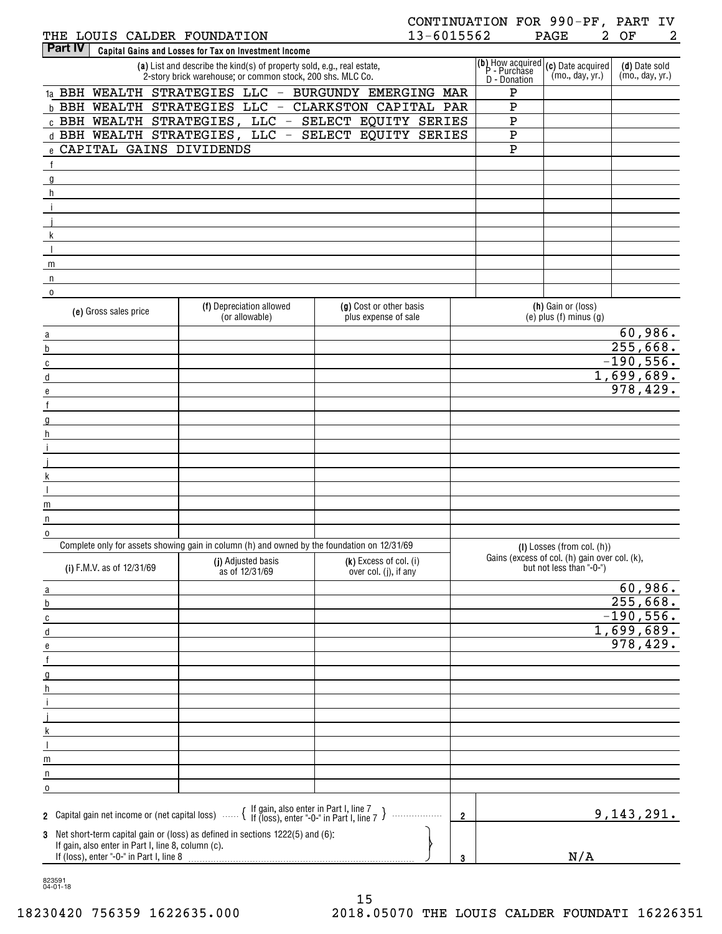# THE LOUIS CALDER FOUNDATION

# CONTINUATION FOR 990-PF, PART IV PAGE 2 OF 2

| <b>Part IV</b>                                                                                 | Capital Gains and Losses for Tax on Investment Income                                                                                                                                                                         |                                                            |                         |                                                                                                                                                    |                                  |
|------------------------------------------------------------------------------------------------|-------------------------------------------------------------------------------------------------------------------------------------------------------------------------------------------------------------------------------|------------------------------------------------------------|-------------------------|----------------------------------------------------------------------------------------------------------------------------------------------------|----------------------------------|
|                                                                                                | (a) List and describe the kind(s) of property sold, e.g., real estate,<br>2-story brick warehouse; or common stock, 200 shs. MLC Co.                                                                                          |                                                            | D - Donation            | $\overline{(\mathbf{b})}$ How acquired $(\mathbf{c})$ Date acquired $\overline{P}$ - Purchase $(m_0, \text{ day}, \text{ vr.})$<br>(mo., day, yr.) | (d) Date sold<br>(mo., day, yr.) |
|                                                                                                |                                                                                                                                                                                                                               | 1a BBH WEALTH STRATEGIES LLC - BURGUNDY EMERGING MAR       | Ρ                       |                                                                                                                                                    |                                  |
|                                                                                                |                                                                                                                                                                                                                               | <b>b BBH WEALTH STRATEGIES LLC - CLARKSTON CAPITAL PAR</b> | ${\bf P}$               |                                                                                                                                                    |                                  |
|                                                                                                |                                                                                                                                                                                                                               | c BBH WEALTH STRATEGIES, LLC - SELECT EQUITY SERIES        | $\overline{\textbf{P}}$ |                                                                                                                                                    |                                  |
|                                                                                                |                                                                                                                                                                                                                               | d BBH WEALTH STRATEGIES, LLC - SELECT EQUITY SERIES        | $\overline{\textbf{P}}$ |                                                                                                                                                    |                                  |
| e CAPITAL GAINS DIVIDENDS                                                                      |                                                                                                                                                                                                                               |                                                            | $\overline{P}$          |                                                                                                                                                    |                                  |
| $\frac{f}{\sqrt{2}}$                                                                           |                                                                                                                                                                                                                               |                                                            |                         |                                                                                                                                                    |                                  |
| $\overline{g}$                                                                                 | the control of the control of the control of the control of the control of the control of the control of the control of the control of the control of the control of the control of the control of the control of the control |                                                            |                         |                                                                                                                                                    |                                  |
| h                                                                                              |                                                                                                                                                                                                                               |                                                            |                         |                                                                                                                                                    |                                  |
| $\frac{1}{\sqrt{2}}$                                                                           |                                                                                                                                                                                                                               |                                                            |                         |                                                                                                                                                    |                                  |
|                                                                                                |                                                                                                                                                                                                                               |                                                            |                         |                                                                                                                                                    |                                  |
| $\mathsf{k}$                                                                                   |                                                                                                                                                                                                                               |                                                            |                         |                                                                                                                                                    |                                  |
| $\blacksquare$                                                                                 |                                                                                                                                                                                                                               |                                                            |                         |                                                                                                                                                    |                                  |
| m<br>n                                                                                         |                                                                                                                                                                                                                               |                                                            |                         |                                                                                                                                                    |                                  |
| $\overline{0}$                                                                                 |                                                                                                                                                                                                                               |                                                            |                         |                                                                                                                                                    |                                  |
|                                                                                                | (f) Depreciation allowed                                                                                                                                                                                                      | (g) Cost or other basis                                    |                         | (h) Gain or (loss)                                                                                                                                 |                                  |
| (e) Gross sales price                                                                          | (or allowable)                                                                                                                                                                                                                | plus expense of sale                                       |                         | $(e)$ plus $(f)$ minus $(g)$                                                                                                                       |                                  |
| $\underline{a}$<br><u> 1989 - Johann Barbara, martxa a</u>                                     |                                                                                                                                                                                                                               |                                                            |                         |                                                                                                                                                    | 60,986.                          |
| $\underline{b}$<br><u> 1989 - Johann Barbara, martxa a</u>                                     |                                                                                                                                                                                                                               |                                                            |                         |                                                                                                                                                    | 255,668.                         |
| $\overline{c}$<br><u> 1989 - Johann Barnett, fransk politiker (</u>                            |                                                                                                                                                                                                                               |                                                            |                         |                                                                                                                                                    | $-190,556.$                      |
| $\overline{\mathsf{d}}$<br><u> 1989 - Johann Barbara, martxa a</u>                             |                                                                                                                                                                                                                               |                                                            |                         |                                                                                                                                                    | 1,699,689.                       |
| $\overline{e}$                                                                                 |                                                                                                                                                                                                                               |                                                            |                         |                                                                                                                                                    | 978,429.                         |
| $\mathsf{f}$                                                                                   |                                                                                                                                                                                                                               |                                                            |                         |                                                                                                                                                    |                                  |
| $\underline{\mathfrak{g}}$<br><u> 1989 - Johann Barn, mars eta bainar eta idazlea (</u>        |                                                                                                                                                                                                                               |                                                            |                         |                                                                                                                                                    |                                  |
| $\mathsf{h}$<br><u> 1989 - Johann Barbara, martxa a</u><br>$\mathbf i$                         |                                                                                                                                                                                                                               |                                                            |                         |                                                                                                                                                    |                                  |
| <u> 1989 - Johann Barbara, martxa a</u><br><u> 1989 - Johann Barbara, martxa a</u>             |                                                                                                                                                                                                                               |                                                            |                         |                                                                                                                                                    |                                  |
| $\sf k$<br><u> 1989 - Johann Barbara, martxa a</u>                                             |                                                                                                                                                                                                                               |                                                            |                         |                                                                                                                                                    |                                  |
| $\mathbf{I}$                                                                                   |                                                                                                                                                                                                                               |                                                            |                         |                                                                                                                                                    |                                  |
| m                                                                                              |                                                                                                                                                                                                                               |                                                            |                         |                                                                                                                                                    |                                  |
| n                                                                                              |                                                                                                                                                                                                                               |                                                            |                         |                                                                                                                                                    |                                  |
| $\overline{0}$                                                                                 |                                                                                                                                                                                                                               |                                                            |                         |                                                                                                                                                    |                                  |
|                                                                                                | Complete only for assets showing gain in column (h) and owned by the foundation on 12/31/69                                                                                                                                   |                                                            |                         | $(I)$ Losses (from col. $(h)$ )                                                                                                                    |                                  |
| (i) F.M.V. as of 12/31/69                                                                      | (j) Adjusted basis<br>as of 12/31/69                                                                                                                                                                                          | (k) Excess of col. (i)<br>over col. (j), if any            |                         | Gains (excess of col. (h) gain over col. (k),<br>but not less than "-0-")                                                                          |                                  |
| $\underline{a}$                                                                                |                                                                                                                                                                                                                               |                                                            |                         |                                                                                                                                                    | 60,986.                          |
| $\underline{\mathbf{b}}$                                                                       |                                                                                                                                                                                                                               |                                                            |                         |                                                                                                                                                    | 255,668.                         |
| $\overline{c}$                                                                                 |                                                                                                                                                                                                                               |                                                            |                         |                                                                                                                                                    | $-190,556.$                      |
| $\underline{\mathsf{d}}$                                                                       |                                                                                                                                                                                                                               |                                                            |                         |                                                                                                                                                    | 1,699,689.                       |
| e                                                                                              |                                                                                                                                                                                                                               |                                                            |                         |                                                                                                                                                    | 978,429.                         |
| $\mathsf f$                                                                                    |                                                                                                                                                                                                                               |                                                            |                         |                                                                                                                                                    |                                  |
| $\underline{g}$                                                                                |                                                                                                                                                                                                                               |                                                            |                         |                                                                                                                                                    |                                  |
| $\boldsymbol{\mathsf{h}}$<br>$\mathbf i$                                                       |                                                                                                                                                                                                                               |                                                            |                         |                                                                                                                                                    |                                  |
| j                                                                                              |                                                                                                                                                                                                                               |                                                            |                         |                                                                                                                                                    |                                  |
| k                                                                                              |                                                                                                                                                                                                                               |                                                            |                         |                                                                                                                                                    |                                  |
| $\overline{\phantom{a}}$                                                                       |                                                                                                                                                                                                                               |                                                            |                         |                                                                                                                                                    |                                  |
| m                                                                                              |                                                                                                                                                                                                                               |                                                            |                         |                                                                                                                                                    |                                  |
| n                                                                                              |                                                                                                                                                                                                                               |                                                            |                         |                                                                                                                                                    |                                  |
| 0                                                                                              |                                                                                                                                                                                                                               |                                                            |                         |                                                                                                                                                    |                                  |
|                                                                                                | 2 Capital gain net income or (net capital loss) $\ldots$ $\{$ If gain, also enter in Part I, line 7 $\}$                                                                                                                      | .                                                          | $\overline{2}$          |                                                                                                                                                    | 9,143,291.                       |
|                                                                                                | 3 Net short-term capital gain or (loss) as defined in sections 1222(5) and (6):                                                                                                                                               |                                                            |                         |                                                                                                                                                    |                                  |
| If gain, also enter in Part I, line 8, column (c).<br>If (loss), enter "-0-" in Part I, line 8 |                                                                                                                                                                                                                               |                                                            |                         | N/A                                                                                                                                                |                                  |

823591 04-01-18

15 18230420 756359 1622635.000 2018.05070 THE LOUIS CALDER FOUNDATI 16226351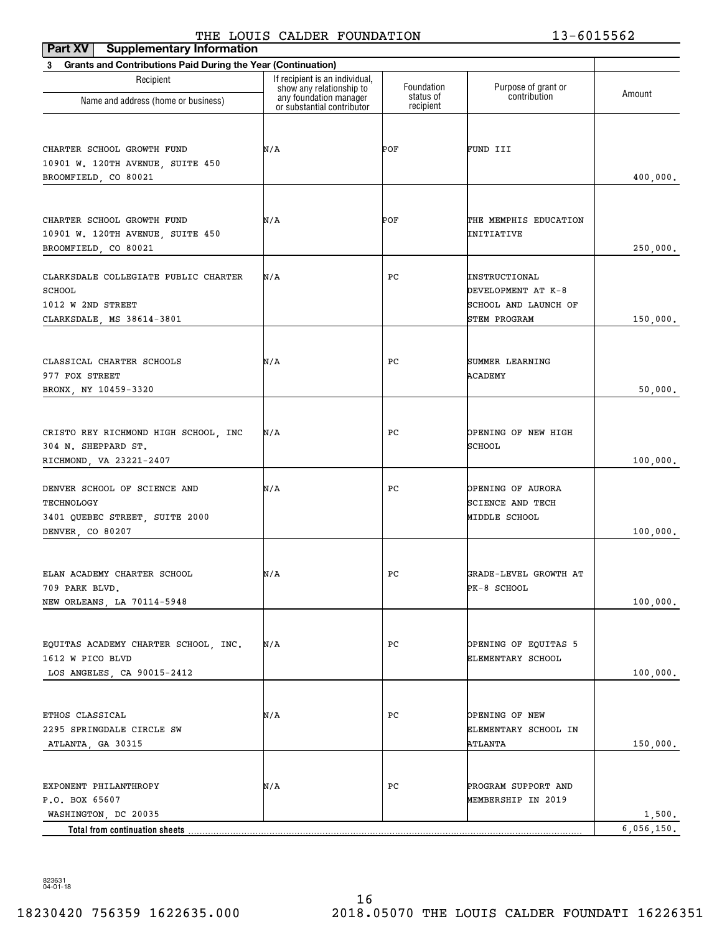# THE LOUIS CALDER FOUNDATION 13-6015562

| <b>Supplementary Information</b><br>Part XV                       | THE DOOTS CADDER FOONDAIION                                |                        | TA AATAAAT              |                      |
|-------------------------------------------------------------------|------------------------------------------------------------|------------------------|-------------------------|----------------------|
| Grants and Contributions Paid During the Year (Continuation)<br>3 |                                                            |                        |                         |                      |
| Recipient                                                         | If recipient is an individual,<br>show any relationship to | Foundation             | Purpose of grant or     |                      |
| Name and address (home or business)                               | any foundation manager<br>or substantial contributor       | status of<br>recipient | contribution            | Amount               |
| CHARTER SCHOOL GROWTH FUND                                        | N/A                                                        | POF                    | FUND III                |                      |
| 10901 W. 120TH AVENUE, SUITE 450<br>BROOMFIELD, CO 80021          |                                                            |                        |                         | 400,000.             |
|                                                                   |                                                            |                        |                         |                      |
| CHARTER SCHOOL GROWTH FUND                                        | N/A                                                        | POF                    | THE MEMPHIS EDUCATION   |                      |
| 10901 W. 120TH AVENUE, SUITE 450<br>BROOMFIELD, CO 80021          |                                                            |                        | INITIATIVE              | 250,000.             |
| CLARKSDALE COLLEGIATE PUBLIC CHARTER                              | N/A                                                        | PС                     | INSTRUCTIONAL           |                      |
| SCHOOL                                                            |                                                            |                        | DEVELOPMENT AT K-8      |                      |
| 1012 W 2ND STREET                                                 |                                                            |                        | SCHOOL AND LAUNCH OF    |                      |
| CLARKSDALE, MS 38614-3801                                         |                                                            |                        | <b>STEM PROGRAM</b>     | 150,000.             |
|                                                                   |                                                            |                        |                         |                      |
| CLASSICAL CHARTER SCHOOLS                                         | N/A                                                        | PС                     | SUMMER LEARNING         |                      |
| 977 FOX STREET                                                    |                                                            |                        | ACADEMY                 |                      |
| BRONX, NY 10459-3320                                              |                                                            |                        |                         | 50,000.              |
| CRISTO REY RICHMOND HIGH SCHOOL, INC                              | N/A                                                        | PС                     | OPENING OF NEW HIGH     |                      |
| 304 N. SHEPPARD ST.                                               |                                                            |                        | SCHOOL                  |                      |
| RICHMOND, VA 23221-2407                                           |                                                            |                        |                         | 100,000.             |
| DENVER SCHOOL OF SCIENCE AND                                      | N/A                                                        | PС                     | OPENING OF AURORA       |                      |
| TECHNOLOGY                                                        |                                                            |                        | <b>SCIENCE AND TECH</b> |                      |
| 3401 QUEBEC STREET, SUITE 2000                                    |                                                            |                        | MIDDLE SCHOOL           |                      |
| DENVER, CO 80207                                                  |                                                            |                        |                         | 100,000.             |
| ELAN ACADEMY CHARTER SCHOOL                                       | N/A                                                        | PС                     | GRADE-LEVEL GROWTH AT   |                      |
| 709 PARK BLVD.                                                    |                                                            |                        | PK-8 SCHOOL             |                      |
| NEW ORLEANS, LA 70114-5948                                        |                                                            |                        |                         | 100,000.             |
|                                                                   |                                                            |                        |                         |                      |
| EQUITAS ACADEMY CHARTER SCHOOL, INC.                              | N/A                                                        | PС                     | OPENING OF EQUITAS 5    |                      |
| 1612 W PICO BLVD                                                  |                                                            |                        | ELEMENTARY SCHOOL       |                      |
| LOS ANGELES, CA 90015-2412                                        |                                                            |                        |                         | 100,000.             |
| ETHOS CLASSICAL                                                   | N/A                                                        | PС                     | OPENING OF NEW          |                      |
| 2295 SPRINGDALE CIRCLE SW                                         |                                                            |                        | ELEMENTARY SCHOOL IN    |                      |
| ATLANTA, GA 30315                                                 |                                                            |                        | ATLANTA                 | 150,000.             |
|                                                                   |                                                            |                        |                         |                      |
| EXPONENT PHILANTHROPY                                             | N/A                                                        | PС                     | PROGRAM SUPPORT AND     |                      |
| P.O. BOX 65607                                                    |                                                            |                        | MEMBERSHIP IN 2019      |                      |
| WASHINGTON, DC 20035<br>Total from continuation sheets            |                                                            |                        |                         | 1,500.<br>6,056,150. |
|                                                                   |                                                            |                        |                         |                      |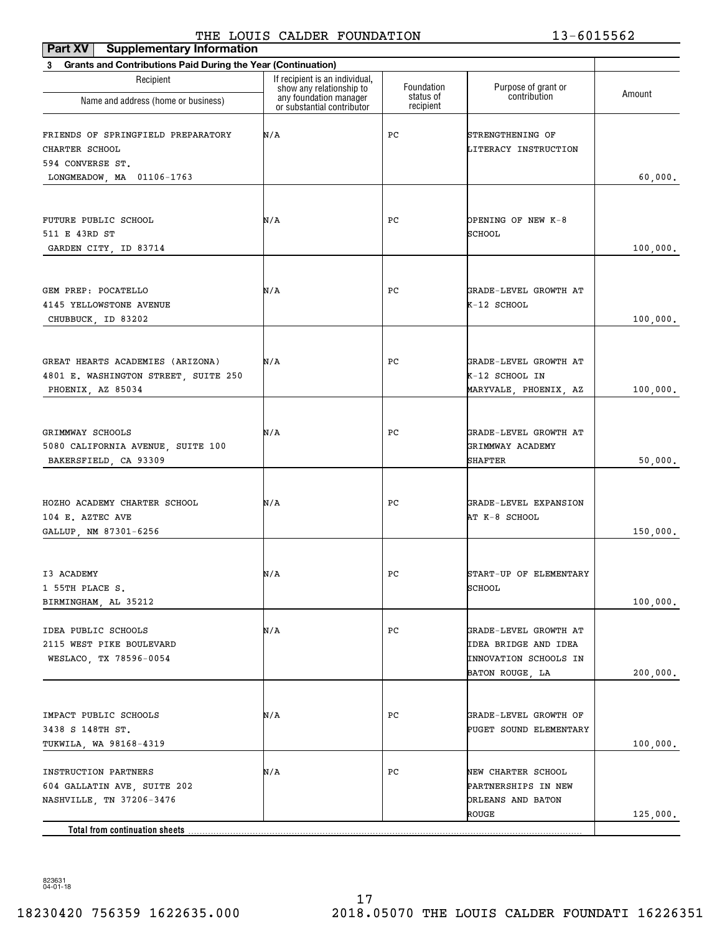## THE LOUIS CALDER FOUNDATION 13-6015562

| <b>Supplementary Information</b><br>Part XV                                    |                                                                                      |                         |                                                                                                  |          |
|--------------------------------------------------------------------------------|--------------------------------------------------------------------------------------|-------------------------|--------------------------------------------------------------------------------------------------|----------|
| Grants and Contributions Paid During the Year (Continuation)<br>3              |                                                                                      |                         |                                                                                                  |          |
| Recipient<br>Name and address (home or business)                               | If recipient is an individual,<br>show any relationship to<br>any foundation manager | Foundation<br>status of | Purpose of grant or<br>contribution                                                              | Amount   |
|                                                                                | or substantial contributor                                                           | recipient               |                                                                                                  |          |
| FRIENDS OF SPRINGFIELD PREPARATORY<br>CHARTER SCHOOL<br>594 CONVERSE ST.       | N/A                                                                                  | PС                      | STRENGTHENING OF<br>LITERACY INSTRUCTION                                                         |          |
| LONGMEADOW, MA 01106-1763                                                      |                                                                                      |                         |                                                                                                  | 60,000.  |
|                                                                                |                                                                                      |                         |                                                                                                  |          |
| FUTURE PUBLIC SCHOOL<br>511 E 43RD ST<br>GARDEN CITY, ID 83714                 | N/A                                                                                  | PС                      | OPENING OF NEW K-8<br><b>SCHOOL</b>                                                              | 100,000. |
|                                                                                |                                                                                      |                         |                                                                                                  |          |
| GEM PREP: POCATELLO<br>4145 YELLOWSTONE AVENUE<br>CHUBBUCK, ID 83202           | N/A                                                                                  | PС                      | GRADE-LEVEL GROWTH AT<br>K-12 SCHOOL                                                             | 100,000. |
|                                                                                |                                                                                      |                         |                                                                                                  |          |
| GREAT HEARTS ACADEMIES (ARIZONA)<br>4801 E. WASHINGTON STREET, SUITE 250       | N/A                                                                                  | PС                      | GRADE-LEVEL GROWTH AT<br>K-12 SCHOOL IN                                                          |          |
| PHOENIX, AZ 85034                                                              |                                                                                      |                         | MARYVALE, PHOENIX, AZ                                                                            | 100,000. |
|                                                                                |                                                                                      |                         |                                                                                                  |          |
| GRIMMWAY SCHOOLS<br>5080 CALIFORNIA AVENUE, SUITE 100<br>BAKERSFIELD, CA 93309 | N/A                                                                                  | PС                      | GRADE-LEVEL GROWTH AT<br>GRIMMWAY ACADEMY<br>SHAFTER                                             | 50,000.  |
|                                                                                |                                                                                      |                         |                                                                                                  |          |
| HOZHO ACADEMY CHARTER SCHOOL<br>104 E. AZTEC AVE<br>GALLUP, NM 87301-6256      | N/A                                                                                  | PС                      | GRADE-LEVEL EXPANSION<br>AT K-8 SCHOOL                                                           | 150,000. |
|                                                                                |                                                                                      |                         |                                                                                                  |          |
| I3 ACADEMY<br>1 55TH PLACE S.                                                  | N/A                                                                                  | PС                      | START-UP OF ELEMENTARY<br>SCHOOL                                                                 |          |
| BIRMINGHAM, AL 35212                                                           |                                                                                      |                         |                                                                                                  | 100,000. |
| IDEA PUBLIC SCHOOLS<br>2115 WEST PIKE BOULEVARD<br>WESLACO, TX 78596-0054      | N/A                                                                                  | PC                      | GRADE-LEVEL GROWTH AT<br><b>IDEA BRIDGE AND IDEA</b><br>INNOVATION SCHOOLS IN<br>BATON ROUGE, LA | 200,000. |
|                                                                                |                                                                                      |                         |                                                                                                  |          |
| IMPACT PUBLIC SCHOOLS<br>3438 S 148TH ST.<br>TUKWILA, WA 98168-4319            | N/A                                                                                  | PС                      | GRADE-LEVEL GROWTH OF<br>PUGET SOUND ELEMENTARY                                                  | 100,000. |
| INSTRUCTION PARTNERS                                                           | N/A                                                                                  | PC                      | NEW CHARTER SCHOOL                                                                               |          |
| 604 GALLATIN AVE, SUITE 202<br>NASHVILLE, TN 37206-3476                        |                                                                                      |                         | PARTNERSHIPS IN NEW<br>ORLEANS AND BATON<br>ROUGE                                                | 125,000. |
| Total from continuation sheets                                                 |                                                                                      |                         |                                                                                                  |          |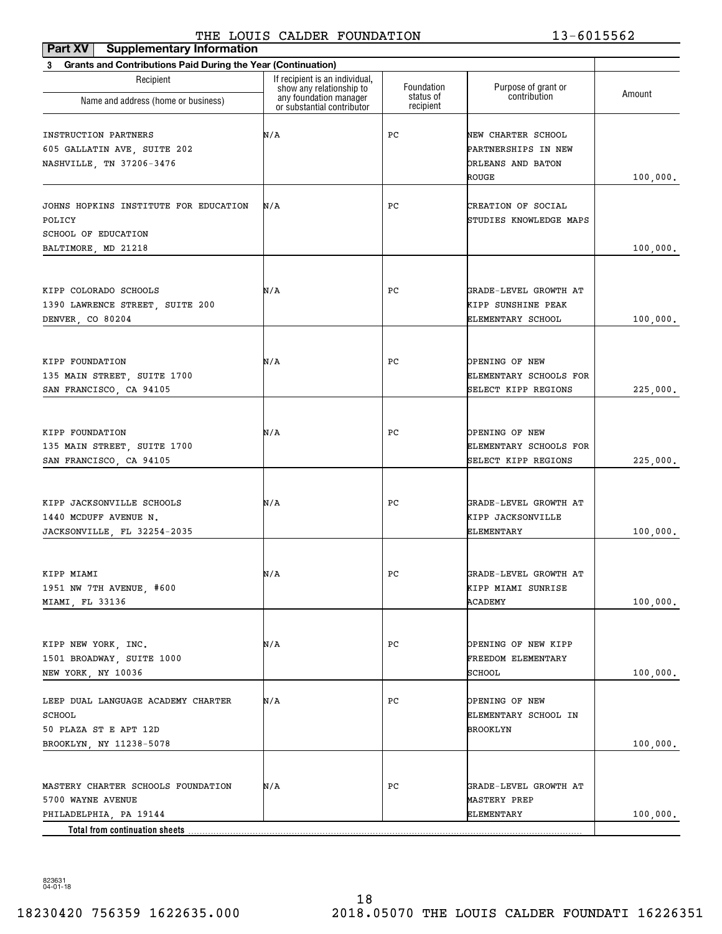| Part XV<br><b>Supplementary Information</b>                                                                         |                                                                                      |                         |                                                                         |           |
|---------------------------------------------------------------------------------------------------------------------|--------------------------------------------------------------------------------------|-------------------------|-------------------------------------------------------------------------|-----------|
| <b>Grants and Contributions Paid During the Year (Continuation)</b><br>3                                            |                                                                                      |                         |                                                                         |           |
| Recipient<br>Name and address (home or business)                                                                    | If recipient is an individual,<br>show any relationship to<br>any foundation manager | Foundation<br>status of | Purpose of grant or<br>contribution                                     | Amount    |
|                                                                                                                     | or substantial contributor                                                           | recipient               |                                                                         |           |
| <b>INSTRUCTION PARTNERS</b><br>605 GALLATIN AVE, SUITE 202<br>NASHVILLE, TN 37206-3476                              | N/A                                                                                  | РC                      | NEW CHARTER SCHOOL<br>PARTNERSHIPS IN NEW<br>ORLEANS AND BATON<br>ROUGE | 100,000.  |
| JOHNS HOPKINS INSTITUTE FOR EDUCATION<br>POLICY<br>SCHOOL OF EDUCATION<br>BALTIMORE, MD 21218                       | N/A                                                                                  | РC                      | CREATION OF SOCIAL<br>STUDIES KNOWLEDGE MAPS                            | 100,000.  |
|                                                                                                                     |                                                                                      |                         |                                                                         |           |
| KIPP COLORADO SCHOOLS<br>1390 LAWRENCE STREET, SUITE 200<br>DENVER, CO 80204                                        | N/A                                                                                  | РC                      | GRADE-LEVEL GROWTH AT<br>KIPP SUNSHINE PEAK<br>ELEMENTARY SCHOOL        | 100, 000. |
| KIPP FOUNDATION<br>135 MAIN STREET, SUITE 1700<br>SAN FRANCISCO, CA 94105                                           | N/A                                                                                  | РC                      | OPENING OF NEW<br>ELEMENTARY SCHOOLS FOR<br>SELECT KIPP REGIONS         | 225,000.  |
| KIPP FOUNDATION<br>135 MAIN STREET, SUITE 1700<br>SAN FRANCISCO, CA 94105                                           | N/A                                                                                  | РC                      | OPENING OF NEW<br>ELEMENTARY SCHOOLS FOR<br>SELECT KIPP REGIONS         | 225,000.  |
| KIPP JACKSONVILLE SCHOOLS<br>1440 MCDUFF AVENUE N.<br>JACKSONVILLE, FL 32254-2035                                   | N/A                                                                                  | РC                      | GRADE-LEVEL GROWTH AT<br>KIPP JACKSONVILLE<br>ELEMENTARY                | 100,000.  |
| KIPP MIAMI<br>1951 NW 7TH AVENUE, #600<br>MIAMI, FL 33136                                                           | N/A                                                                                  | $_{\rm PC}$             | GRADE-LEVEL GROWTH AT<br>KIPP MIAMI SUNRISE<br>ACADEMY                  | 100,000.  |
| KIPP NEW YORK, INC.<br>1501 BROADWAY, SUITE 1000<br>NEW YORK, NY 10036                                              | N/A                                                                                  | PС                      | OPENING OF NEW KIPP<br>FREEDOM ELEMENTARY<br>SCHOOL                     | 100,000.  |
| LEEP DUAL LANGUAGE ACADEMY CHARTER<br>SCHOOL<br>50 PLAZA ST E APT 12D<br>BROOKLYN, NY 11238-5078                    | N/A                                                                                  | PС                      | <b>OPENING OF NEW</b><br>ELEMENTARY SCHOOL IN<br>BROOKLYN               | 100,000.  |
| MASTERY CHARTER SCHOOLS FOUNDATION<br>5700 WAYNE AVENUE<br>PHILADELPHIA, PA 19144<br>Total from continuation sheets | N/A                                                                                  | PС                      | GRADE-LEVEL GROWTH AT<br>MASTERY PREP<br>ELEMENTARY                     | 100,000.  |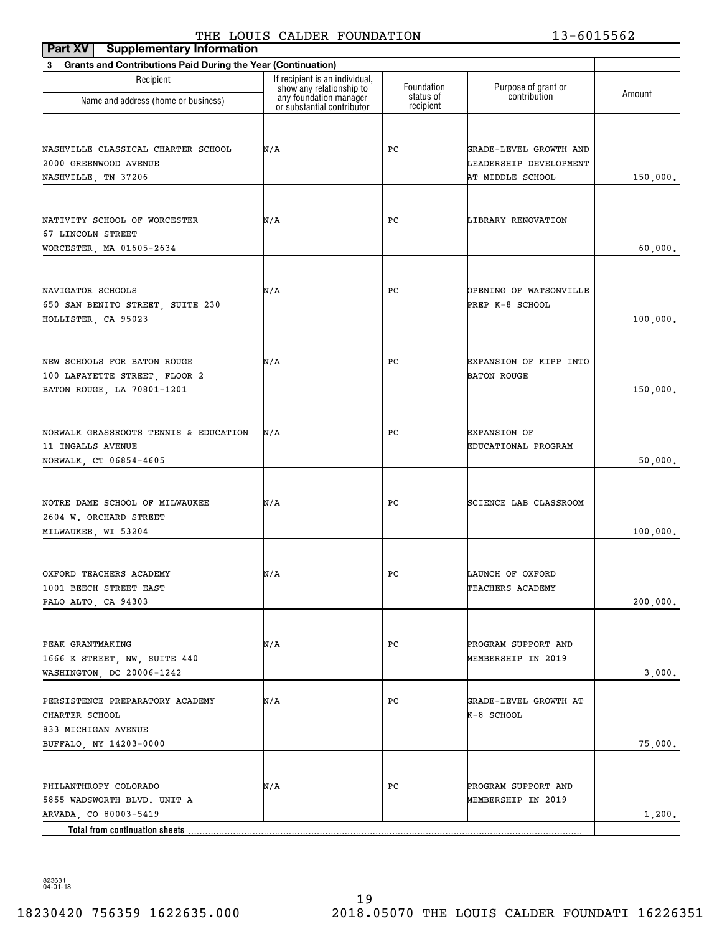# THE LOUIS CALDER FOUNDATION 13-6015562

| <b>Supplementary Information</b>                           |                                                                                        |                                                                      |              |
|------------------------------------------------------------|----------------------------------------------------------------------------------------|----------------------------------------------------------------------|--------------|
|                                                            |                                                                                        |                                                                      |              |
| If recipient is an individual,<br>show any relationship to | Foundation                                                                             | Purpose of grant or                                                  | Amount       |
| or substantial contributor                                 | recipient                                                                              |                                                                      |              |
| N/A                                                        | РC                                                                                     | GRADE-LEVEL GROWTH AND<br>LEADERSHIP DEVELOPMENT<br>AT MIDDLE SCHOOL | 150,000.     |
| N/A                                                        | PС                                                                                     | LIBRARY RENOVATION                                                   | 60,000.      |
| N/A                                                        | РC                                                                                     | OPENING OF WATSONVILLE<br>PREP K-8 SCHOOL                            | 100,000.     |
| N/A                                                        | РC                                                                                     | EXPANSION OF KIPP INTO<br><b>BATON ROUGE</b>                         | 150,000.     |
| N/A                                                        | РC                                                                                     | <b>EXPANSION OF</b><br>EDUCATIONAL PROGRAM                           | 50,000.      |
| N/A                                                        | РC                                                                                     | SCIENCE LAB CLASSROOM                                                | 100,000.     |
| N/A                                                        | PC                                                                                     | LAUNCH OF OXFORD<br>TEACHERS ACADEMY                                 | 200,000.     |
| N/A                                                        | РC                                                                                     | PROGRAM SUPPORT AND<br>MEMBERSHIP IN 2019                            | 3,000.       |
| N/A                                                        | РC                                                                                     | GRADE-LEVEL GROWTH AT<br>K-8 SCHOOL                                  | 75,000.      |
| N/A                                                        | РC                                                                                     | PROGRAM SUPPORT AND<br>MEMBERSHIP IN 2019                            | 1,200.       |
|                                                            | Grants and Contributions Paid During the Year (Continuation)<br>any foundation manager | status of                                                            | contribution |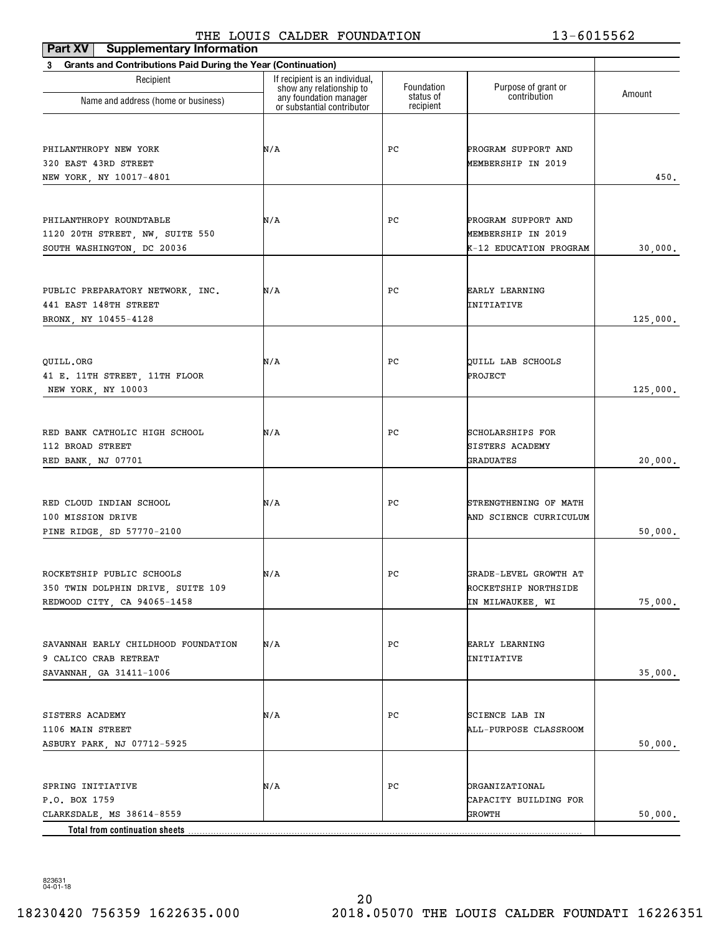| Part XV<br><b>Supplementary Information</b>                              |                                                                                      |                         |                                         |          |
|--------------------------------------------------------------------------|--------------------------------------------------------------------------------------|-------------------------|-----------------------------------------|----------|
| <b>Grants and Contributions Paid During the Year (Continuation)</b><br>3 |                                                                                      |                         |                                         |          |
| Recipient                                                                | If recipient is an individual,<br>show any relationship to<br>any foundation manager | Foundation<br>status of | Purpose of grant or<br>contribution     | Amount   |
| Name and address (home or business)                                      | or substantial contributor                                                           | recipient               |                                         |          |
|                                                                          |                                                                                      |                         |                                         |          |
| PHILANTHROPY NEW YORK                                                    | N/A                                                                                  | PС                      | PROGRAM SUPPORT AND                     |          |
| 320 EAST 43RD STREET                                                     |                                                                                      |                         | MEMBERSHIP IN 2019                      |          |
| NEW YORK, NY 10017-4801                                                  |                                                                                      |                         |                                         | 450.     |
|                                                                          |                                                                                      |                         |                                         |          |
| PHILANTHROPY ROUNDTABLE                                                  | N/A                                                                                  | PС                      | PROGRAM SUPPORT AND                     |          |
| 1120 20TH STREET, NW, SUITE 550                                          |                                                                                      |                         | MEMBERSHIP IN 2019                      |          |
| SOUTH WASHINGTON, DC 20036                                               |                                                                                      |                         | K-12 EDUCATION PROGRAM                  | 30,000.  |
|                                                                          |                                                                                      |                         |                                         |          |
| PUBLIC PREPARATORY NETWORK, INC.                                         | N/A                                                                                  | PС                      | EARLY LEARNING                          |          |
| 441 EAST 148TH STREET                                                    |                                                                                      |                         | INITIATIVE                              |          |
| BRONX, NY 10455-4128                                                     |                                                                                      |                         |                                         | 125,000. |
|                                                                          |                                                                                      |                         |                                         |          |
| QUILL.ORG<br>41 E. 11TH STREET, 11TH FLOOR                               | N/A                                                                                  | PС                      | QUILL LAB SCHOOLS<br>PROJECT            |          |
| NEW YORK, NY 10003                                                       |                                                                                      |                         |                                         | 125,000. |
|                                                                          |                                                                                      |                         |                                         |          |
| RED BANK CATHOLIC HIGH SCHOOL                                            | N/A                                                                                  | PС                      | SCHOLARSHIPS FOR                        |          |
| 112 BROAD STREET                                                         |                                                                                      |                         | <b>SISTERS ACADEMY</b>                  |          |
| RED BANK, NJ 07701                                                       |                                                                                      |                         | <b>GRADUATES</b>                        | 20,000.  |
|                                                                          |                                                                                      |                         |                                         |          |
| RED CLOUD INDIAN SCHOOL                                                  | N/A                                                                                  | PС                      | STRENGTHENING OF MATH                   |          |
| 100 MISSION DRIVE                                                        |                                                                                      |                         | AND SCIENCE CURRICULUM                  |          |
| PINE RIDGE, SD 57770-2100                                                |                                                                                      |                         |                                         | 50,000.  |
|                                                                          |                                                                                      |                         |                                         |          |
| ROCKETSHIP PUBLIC SCHOOLS                                                | N/A                                                                                  | $_{\rm PC}$             | GRADE-LEVEL GROWTH AT                   |          |
| 350 TWIN DOLPHIN DRIVE, SUITE 109                                        |                                                                                      |                         | ROCKETSHIP NORTHSIDE                    |          |
| REDWOOD CITY, CA 94065-1458                                              |                                                                                      |                         | IN MILWAUKEE, WI                        | 75,000.  |
|                                                                          |                                                                                      |                         |                                         |          |
| SAVANNAH EARLY CHILDHOOD FOUNDATION                                      | N/A                                                                                  | PС                      | EARLY LEARNING                          |          |
| 9 CALICO CRAB RETREAT                                                    |                                                                                      |                         | INITIATIVE                              |          |
| SAVANNAH, GA 31411-1006                                                  |                                                                                      |                         |                                         | 35,000.  |
|                                                                          |                                                                                      |                         |                                         |          |
| SISTERS ACADEMY<br>1106 MAIN STREET                                      | N/A                                                                                  | PС                      | SCIENCE LAB IN<br>ALL-PURPOSE CLASSROOM |          |
| ASBURY PARK, NJ 07712-5925                                               |                                                                                      |                         |                                         | 50,000.  |
|                                                                          |                                                                                      |                         |                                         |          |
| SPRING INITIATIVE                                                        | N/A                                                                                  | PС                      | <b>ORGANIZATIONAL</b>                   |          |
| P.O. BOX 1759                                                            |                                                                                      |                         | CAPACITY BUILDING FOR                   |          |
| CLARKSDALE, MS 38614-8559                                                |                                                                                      |                         | GROWTH                                  | 50,000.  |
| Total from continuation sheets.                                          |                                                                                      |                         |                                         |          |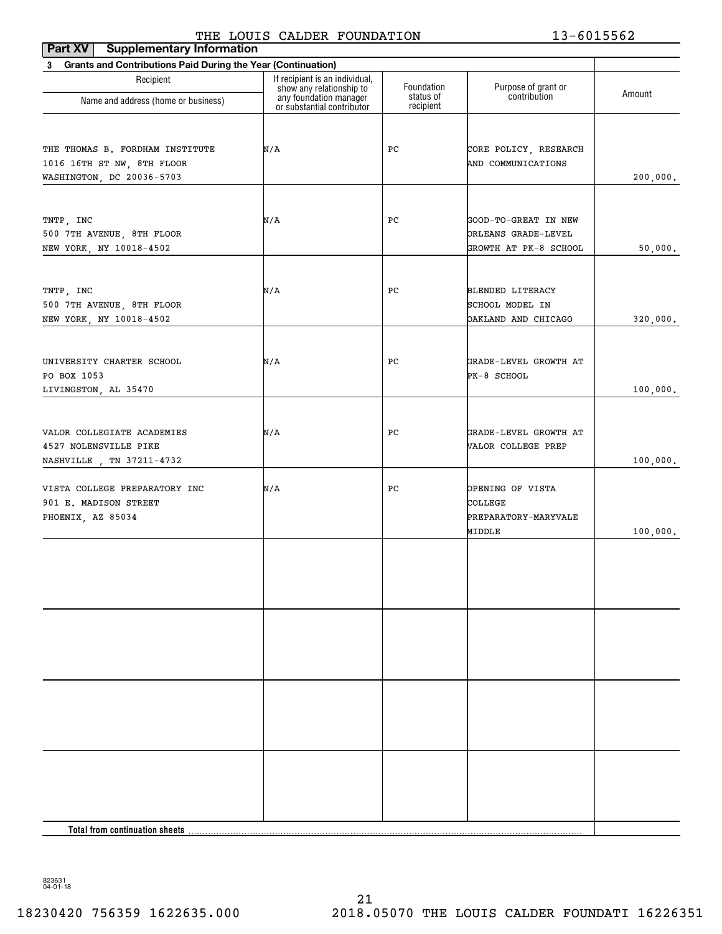| <b>Supplementary Information</b><br><b>Part XV</b>                       | 1 20010 Chaptin I Condition                                |                        | 19 001990 <i>4</i>         |          |
|--------------------------------------------------------------------------|------------------------------------------------------------|------------------------|----------------------------|----------|
| <b>Grants and Contributions Paid During the Year (Continuation)</b><br>3 |                                                            |                        |                            |          |
| Recipient                                                                | If recipient is an individual,<br>show any relationship to | Foundation             | Purpose of grant or        | Amount   |
| Name and address (home or business)                                      | any foundation manager<br>or substantial contributor       | status of<br>recipient | contribution               |          |
|                                                                          |                                                            |                        |                            |          |
| THE THOMAS B. FORDHAM INSTITUTE                                          | N/A                                                        | РC                     | CORE POLICY, RESEARCH      |          |
| 1016 16TH ST NW, 8TH FLOOR                                               |                                                            |                        | AND COMMUNICATIONS         |          |
| WASHINGTON, DC 20036-5703                                                |                                                            |                        |                            | 200,000. |
|                                                                          |                                                            |                        |                            |          |
| TNTP, INC                                                                | N/A                                                        | PС                     | GOOD-TO-GREAT IN NEW       |          |
| 500 7TH AVENUE, 8TH FLOOR                                                |                                                            |                        | ORLEANS GRADE-LEVEL        |          |
| NEW YORK, NY 10018-4502                                                  |                                                            |                        | GROWTH AT PK-8 SCHOOL      | 50,000.  |
|                                                                          |                                                            |                        |                            |          |
| TNTP, INC                                                                | N/A                                                        | PС                     | <b>BLENDED LITERACY</b>    |          |
| 500 7TH AVENUE, 8TH FLOOR                                                |                                                            |                        | SCHOOL MODEL IN            |          |
| NEW YORK, NY 10018-4502                                                  |                                                            |                        | <b>DAKLAND AND CHICAGO</b> | 320,000. |
|                                                                          |                                                            |                        |                            |          |
| UNIVERSITY CHARTER SCHOOL                                                | N/A                                                        | РC                     | GRADE-LEVEL GROWTH AT      |          |
| PO BOX 1053                                                              |                                                            |                        | PK-8 SCHOOL                |          |
| LIVINGSTON, AL 35470                                                     |                                                            |                        |                            | 100,000. |
|                                                                          |                                                            |                        |                            |          |
|                                                                          |                                                            |                        |                            |          |
| VALOR COLLEGIATE ACADEMIES                                               | N/A                                                        | РC                     | GRADE-LEVEL GROWTH AT      |          |
| 4527 NOLENSVILLE PIKE<br>NASHVILLE , TN 37211-4732                       |                                                            |                        | VALOR COLLEGE PREP         | 100,000. |
|                                                                          |                                                            |                        |                            |          |
| VISTA COLLEGE PREPARATORY INC                                            | N/A                                                        | PС                     | OPENING OF VISTA           |          |
| 901 E. MADISON STREET                                                    |                                                            |                        | COLLEGE                    |          |
| PHOENIX, AZ 85034                                                        |                                                            |                        | PREPARATORY-MARYVALE       |          |
|                                                                          |                                                            |                        | MIDDLE                     | 100,000. |
|                                                                          |                                                            |                        |                            |          |
|                                                                          |                                                            |                        |                            |          |
|                                                                          |                                                            |                        |                            |          |
|                                                                          |                                                            |                        |                            |          |
|                                                                          |                                                            |                        |                            |          |
|                                                                          |                                                            |                        |                            |          |
|                                                                          |                                                            |                        |                            |          |
|                                                                          |                                                            |                        |                            |          |
|                                                                          |                                                            |                        |                            |          |
|                                                                          |                                                            |                        |                            |          |
|                                                                          |                                                            |                        |                            |          |
|                                                                          |                                                            |                        |                            |          |
|                                                                          |                                                            |                        |                            |          |
|                                                                          |                                                            |                        |                            |          |
|                                                                          |                                                            |                        |                            |          |
| <b>Total from continuation sheets</b>                                    |                                                            |                        |                            |          |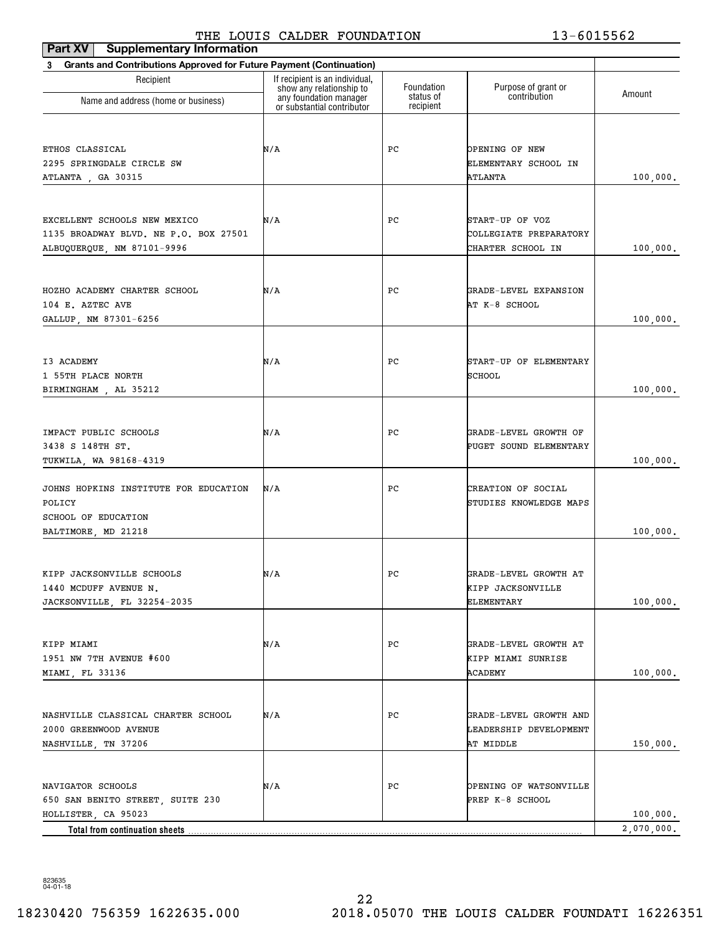| <b>Supplementary Information</b><br>Part XV                                     | THE HOOTS CALDER FOONDAITON                        |                         | TA AATAAR                           |            |
|---------------------------------------------------------------------------------|----------------------------------------------------|-------------------------|-------------------------------------|------------|
| <b>Grants and Contributions Approved for Future Payment (Continuation)</b><br>3 |                                                    |                         |                                     |            |
| Recipient                                                                       | If recipient is an individual,                     |                         |                                     |            |
|                                                                                 | show any relationship to<br>any foundation manager | Foundation<br>status of | Purpose of grant or<br>contribution | Amount     |
| Name and address (home or business)                                             | or substantial contributor                         | recipient               |                                     |            |
|                                                                                 |                                                    |                         |                                     |            |
| ETHOS CLASSICAL                                                                 | N/A                                                | PС                      | OPENING OF NEW                      |            |
| 2295 SPRINGDALE CIRCLE SW                                                       |                                                    |                         | ELEMENTARY SCHOOL IN                |            |
| ATLANTA, GA 30315                                                               |                                                    |                         | ATLANTA                             | 100,000.   |
|                                                                                 |                                                    |                         |                                     |            |
| EXCELLENT SCHOOLS NEW MEXICO                                                    | N/A                                                | PС                      | START-UP OF VOZ                     |            |
| 1135 BROADWAY BLVD. NE P.O. BOX 27501                                           |                                                    |                         | COLLEGIATE PREPARATORY              |            |
| ALBUQUERQUE, NM 87101-9996                                                      |                                                    |                         | CHARTER SCHOOL IN                   | 100,000.   |
|                                                                                 |                                                    |                         |                                     |            |
| HOZHO ACADEMY CHARTER SCHOOL                                                    | N/A                                                | PС                      | GRADE-LEVEL EXPANSION               |            |
| 104 E. AZTEC AVE                                                                |                                                    |                         | AT K-8 SCHOOL                       |            |
| GALLUP, NM 87301-6256                                                           |                                                    |                         |                                     | 100,000.   |
|                                                                                 |                                                    |                         |                                     |            |
| I3 ACADEMY                                                                      | N/A                                                | PС                      | START-UP OF ELEMENTARY              |            |
| 1 55TH PLACE NORTH                                                              |                                                    |                         | SCHOOL                              |            |
| BIRMINGHAM, AL 35212                                                            |                                                    |                         |                                     | 100,000.   |
|                                                                                 |                                                    |                         |                                     |            |
| IMPACT PUBLIC SCHOOLS                                                           | N/A                                                | PС                      | GRADE-LEVEL GROWTH OF               |            |
| 3438 S 148TH ST.                                                                |                                                    |                         | PUGET SOUND ELEMENTARY              |            |
| TUKWILA, WA 98168-4319                                                          |                                                    |                         |                                     | 100,000.   |
|                                                                                 |                                                    |                         |                                     |            |
| JOHNS HOPKINS INSTITUTE FOR EDUCATION                                           | N/A                                                | PС                      | CREATION OF SOCIAL                  |            |
| POLICY                                                                          |                                                    |                         | STUDIES KNOWLEDGE MAPS              |            |
| SCHOOL OF EDUCATION                                                             |                                                    |                         |                                     |            |
| BALTIMORE, MD 21218                                                             |                                                    |                         |                                     | 100,000.   |
|                                                                                 |                                                    |                         |                                     |            |
| KIPP JACKSONVILLE SCHOOLS                                                       | N/A                                                | PС                      | GRADE-LEVEL GROWTH AT               |            |
| 1440 MCDUFF AVENUE N.                                                           |                                                    |                         | KIPP JACKSONVILLE                   |            |
| JACKSONVILLE, FL 32254-2035                                                     |                                                    |                         | ELEMENTARY                          | 100,000.   |
|                                                                                 |                                                    |                         |                                     |            |
| KIPP MIAMI                                                                      | N/A                                                | PС                      | GRADE-LEVEL GROWTH AT               |            |
| 1951 NW 7TH AVENUE #600                                                         |                                                    |                         | KIPP MIAMI SUNRISE                  |            |
| MIAMI, FL 33136                                                                 |                                                    |                         | ACADEMY                             | 100,000.   |
|                                                                                 |                                                    |                         |                                     |            |
| NASHVILLE CLASSICAL CHARTER SCHOOL                                              | N/A                                                | PС                      | GRADE-LEVEL GROWTH AND              |            |
| 2000 GREENWOOD AVENUE                                                           |                                                    |                         | LEADERSHIP DEVELOPMENT              |            |
| NASHVILLE, TN 37206                                                             |                                                    |                         | AT MIDDLE                           | 150,000.   |
|                                                                                 |                                                    |                         |                                     |            |
| NAVIGATOR SCHOOLS                                                               | N/A                                                | PС                      | OPENING OF WATSONVILLE              |            |
| 650 SAN BENITO STREET, SUITE 230                                                |                                                    |                         | PREP K-8 SCHOOL                     |            |
| HOLLISTER, CA 95023                                                             |                                                    |                         |                                     | 100,000.   |
|                                                                                 |                                                    |                         |                                     | 2,070,000. |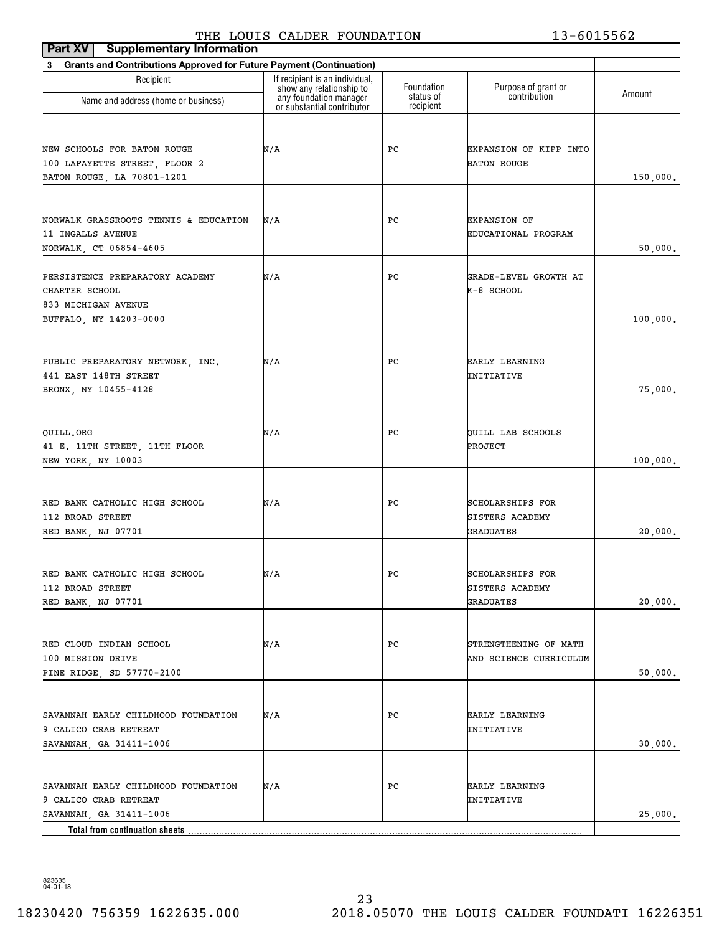## THE LOUIS CALDER FOUNDATION 13-6015562

| Part XV<br><b>Supplementary Information</b>                                                |                                                                                      |                         |                                                                |          |
|--------------------------------------------------------------------------------------------|--------------------------------------------------------------------------------------|-------------------------|----------------------------------------------------------------|----------|
| <b>Grants and Contributions Approved for Future Payment (Continuation)</b><br>3            |                                                                                      |                         |                                                                |          |
| Recipient                                                                                  | If recipient is an individual.<br>show any relationship to<br>any foundation manager | Foundation<br>status of | Purpose of grant or<br>contribution                            | Amount   |
| Name and address (home or business)                                                        | or substantial contributor                                                           | recipient               |                                                                |          |
| NEW SCHOOLS FOR BATON ROUGE<br>100 LAFAYETTE STREET, FLOOR 2<br>BATON ROUGE, LA 70801-1201 | N/A                                                                                  | PС                      | EXPANSION OF KIPP INTO<br><b>BATON ROUGE</b>                   | 150,000. |
| NORWALK GRASSROOTS TENNIS & EDUCATION<br>11 INGALLS AVENUE<br>NORWALK, CT 06854-4605       | N/A                                                                                  | PС                      | <b>EXPANSION OF</b><br>EDUCATIONAL PROGRAM                     | 50,000.  |
| PERSISTENCE PREPARATORY ACADEMY<br>CHARTER SCHOOL<br>833 MICHIGAN AVENUE                   | N/A                                                                                  | PС                      | GRADE-LEVEL GROWTH AT<br>K-8 SCHOOL                            |          |
| BUFFALO, NY 14203-0000                                                                     |                                                                                      |                         |                                                                | 100,000. |
| PUBLIC PREPARATORY NETWORK, INC.<br>441 EAST 148TH STREET<br>BRONX, NY 10455-4128          | N/A                                                                                  | PС                      | <b>EARLY LEARNING</b><br>INITIATIVE                            | 75,000.  |
| QUILL.ORG<br>41 E. 11TH STREET, 11TH FLOOR<br>NEW YORK, NY 10003                           | N/A                                                                                  | PС                      | QUILL LAB SCHOOLS<br>PROJECT                                   | 100,000. |
| RED BANK CATHOLIC HIGH SCHOOL<br>112 BROAD STREET<br>RED BANK, NJ 07701                    | N/A                                                                                  | PС                      | SCHOLARSHIPS FOR<br><b>SISTERS ACADEMY</b><br>GRADUATES        | 20,000.  |
| RED BANK CATHOLIC HIGH SCHOOL<br>112 BROAD STREET<br>RED BANK, NJ 07701                    | N/A                                                                                  | PС                      | <b>SCHOLARSHIPS FOR</b><br><b>SISTERS ACADEMY</b><br>GRADUATES | 20,000.  |
| RED CLOUD INDIAN SCHOOL<br>100 MISSION DRIVE<br>PINE RIDGE, SD 57770-2100                  | N/A                                                                                  | РC                      | STRENGTHENING OF MATH<br>AND SCIENCE CURRICULUM                | 50,000.  |
| SAVANNAH EARLY CHILDHOOD FOUNDATION<br>9 CALICO CRAB RETREAT<br>SAVANNAH, GA 31411-1006    | N/A                                                                                  | РC                      | EARLY LEARNING<br>INITIATIVE                                   | 30,000.  |
| SAVANNAH EARLY CHILDHOOD FOUNDATION<br>9 CALICO CRAB RETREAT<br>SAVANNAH, GA 31411-1006    | N/A                                                                                  | РC                      | EARLY LEARNING<br>INITIATIVE                                   | 25,000.  |
| Total from continuation sheets                                                             |                                                                                      |                         |                                                                |          |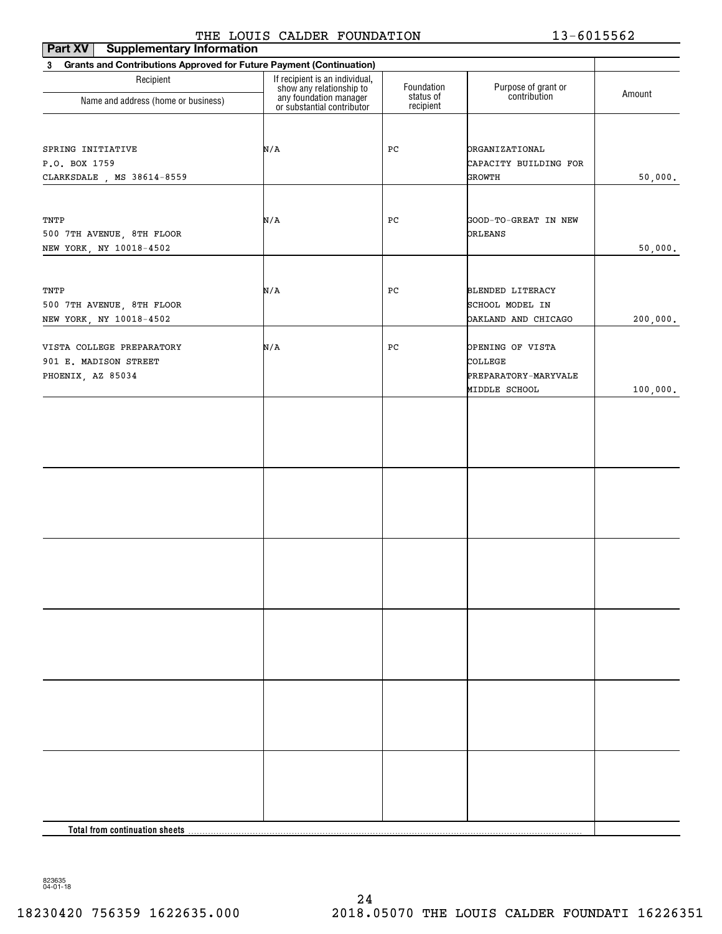| <b>Supplementary Information</b><br>Part XV                           |                                                                                      |                         |                                     |          |
|-----------------------------------------------------------------------|--------------------------------------------------------------------------------------|-------------------------|-------------------------------------|----------|
| 3 Grants and Contributions Approved for Future Payment (Continuation) |                                                                                      |                         |                                     |          |
| Recipient                                                             | If recipient is an individual,<br>show any relationship to<br>any foundation manager | Foundation<br>status of | Purpose of grant or<br>contribution | Amount   |
| Name and address (home or business)                                   | or substantial contributor                                                           | recipient               |                                     |          |
|                                                                       |                                                                                      |                         |                                     |          |
| SPRING INITIATIVE                                                     | N/A                                                                                  | PC                      | <b>ORGANIZATIONAL</b>               |          |
| P.O. BOX 1759                                                         |                                                                                      |                         | CAPACITY BUILDING FOR               |          |
| CLARKSDALE , MS 38614-8559                                            |                                                                                      |                         | <b>GROWTH</b>                       | 50,000.  |
|                                                                       |                                                                                      |                         |                                     |          |
| TNTP                                                                  | N/A                                                                                  | PC                      | GOOD-TO-GREAT IN NEW                |          |
| 500 7TH AVENUE, 8TH FLOOR                                             |                                                                                      |                         | ORLEANS                             |          |
| NEW YORK, NY 10018-4502                                               |                                                                                      |                         |                                     | 50,000.  |
|                                                                       |                                                                                      |                         |                                     |          |
| TNTP                                                                  | N/A                                                                                  | PC                      | <b>BLENDED LITERACY</b>             |          |
| 500 7TH AVENUE, 8TH FLOOR                                             |                                                                                      |                         | SCHOOL MODEL IN                     |          |
| NEW YORK, NY 10018-4502                                               |                                                                                      |                         | DAKLAND AND CHICAGO                 | 200,000. |
|                                                                       |                                                                                      |                         |                                     |          |
| VISTA COLLEGE PREPARATORY                                             | N/A                                                                                  | PC                      | OPENING OF VISTA                    |          |
| 901 E. MADISON STREET                                                 |                                                                                      |                         | COLLEGE                             |          |
| PHOENIX, AZ 85034                                                     |                                                                                      |                         | PREPARATORY-MARYVALE                |          |
|                                                                       |                                                                                      |                         | MIDDLE SCHOOL                       | 100,000. |
|                                                                       |                                                                                      |                         |                                     |          |
|                                                                       |                                                                                      |                         |                                     |          |
|                                                                       |                                                                                      |                         |                                     |          |
|                                                                       |                                                                                      |                         |                                     |          |
|                                                                       |                                                                                      |                         |                                     |          |
|                                                                       |                                                                                      |                         |                                     |          |
|                                                                       |                                                                                      |                         |                                     |          |
|                                                                       |                                                                                      |                         |                                     |          |
|                                                                       |                                                                                      |                         |                                     |          |
|                                                                       |                                                                                      |                         |                                     |          |
|                                                                       |                                                                                      |                         |                                     |          |
|                                                                       |                                                                                      |                         |                                     |          |
|                                                                       |                                                                                      |                         |                                     |          |
|                                                                       |                                                                                      |                         |                                     |          |
|                                                                       |                                                                                      |                         |                                     |          |
|                                                                       |                                                                                      |                         |                                     |          |
|                                                                       |                                                                                      |                         |                                     |          |
|                                                                       |                                                                                      |                         |                                     |          |
|                                                                       |                                                                                      |                         |                                     |          |
|                                                                       |                                                                                      |                         |                                     |          |
|                                                                       |                                                                                      |                         |                                     |          |
|                                                                       |                                                                                      |                         |                                     |          |
|                                                                       |                                                                                      |                         |                                     |          |
|                                                                       |                                                                                      |                         |                                     |          |
|                                                                       |                                                                                      |                         |                                     |          |
| <b>Total from continuation sheets</b>                                 |                                                                                      |                         |                                     |          |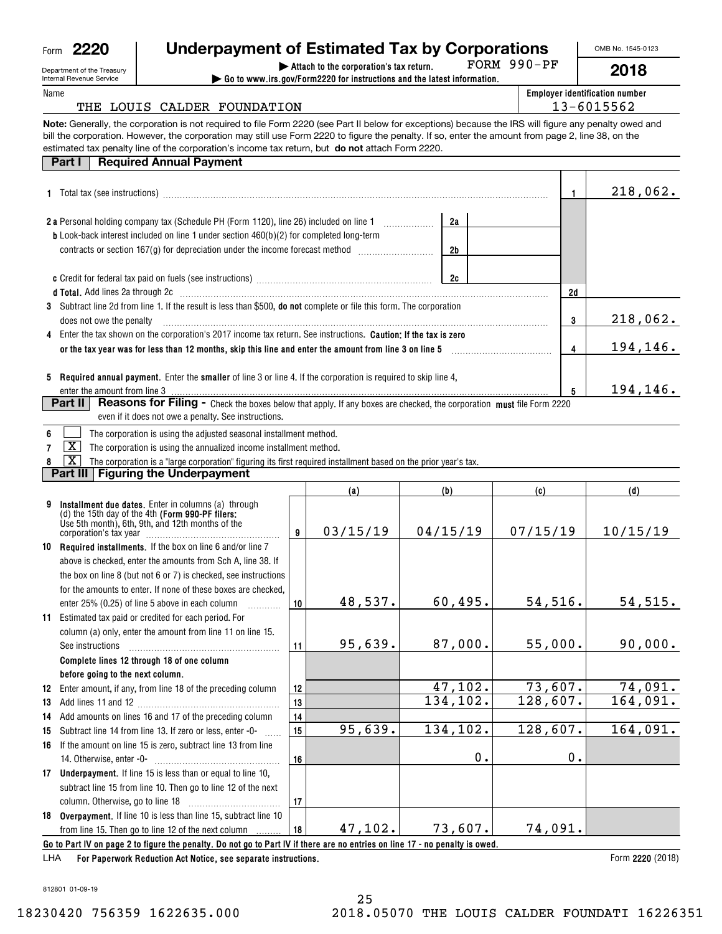| Form | 2220 |
|------|------|
|      |      |

|          | Form 2220                                              | Underpayment of Estimated Tax by Corporations                                                                                                                                                                                  |          |                                                                                                                                     |          |             |       | OMB No. 1545-0123                     |
|----------|--------------------------------------------------------|--------------------------------------------------------------------------------------------------------------------------------------------------------------------------------------------------------------------------------|----------|-------------------------------------------------------------------------------------------------------------------------------------|----------|-------------|-------|---------------------------------------|
|          | Department of the Treasury<br>Internal Revenue Service |                                                                                                                                                                                                                                |          | Attach to the corporation's tax return.<br>$\triangleright$ Go to www.irs.gov/Form2220 for instructions and the latest information. |          | FORM 990-PF |       | 2018                                  |
| Name     |                                                        |                                                                                                                                                                                                                                |          |                                                                                                                                     |          |             |       | <b>Employer identification number</b> |
|          |                                                        | THE LOUIS CALDER FOUNDATION                                                                                                                                                                                                    |          |                                                                                                                                     |          |             |       | 13-6015562                            |
|          |                                                        | Note: Generally, the corporation is not required to file Form 2220 (see Part II below for exceptions) because the IRS will figure any penalty owed and                                                                         |          |                                                                                                                                     |          |             |       |                                       |
|          |                                                        | bill the corporation. However, the corporation may still use Form 2220 to figure the penalty. If so, enter the amount from page 2, line 38, on the                                                                             |          |                                                                                                                                     |          |             |       |                                       |
|          |                                                        | estimated tax penalty line of the corporation's income tax return, but do not attach Form 2220.                                                                                                                                |          |                                                                                                                                     |          |             |       |                                       |
|          | Part I                                                 | <b>Required Annual Payment</b>                                                                                                                                                                                                 |          |                                                                                                                                     |          |             |       |                                       |
|          |                                                        |                                                                                                                                                                                                                                |          |                                                                                                                                     |          |             |       |                                       |
|          |                                                        |                                                                                                                                                                                                                                |          |                                                                                                                                     |          |             | 1     | 218,062.                              |
|          |                                                        |                                                                                                                                                                                                                                |          |                                                                                                                                     |          |             |       |                                       |
|          |                                                        | <b>b</b> Look-back interest included on line 1 under section 460(b)(2) for completed long-term                                                                                                                                 |          |                                                                                                                                     | 2a       |             |       |                                       |
|          |                                                        | contracts or section 167(g) for depreciation under the income forecast method [                                                                                                                                                |          |                                                                                                                                     | 2b       |             |       |                                       |
|          |                                                        |                                                                                                                                                                                                                                |          |                                                                                                                                     |          |             |       |                                       |
|          |                                                        |                                                                                                                                                                                                                                |          |                                                                                                                                     |          |             |       |                                       |
|          |                                                        | d Total. Add lines 2a through 2c [11] matter contracts and the contracts of the contracts and the contracts and the contracts of the contracts of the contracts of the contracts of the contracts of the contracts of the cont |          |                                                                                                                                     |          |             | 2d    |                                       |
|          |                                                        | 3 Subtract line 2d from line 1. If the result is less than \$500, do not complete or file this form. The corporation                                                                                                           |          |                                                                                                                                     |          |             |       |                                       |
|          | does not owe the penalty                               |                                                                                                                                                                                                                                |          |                                                                                                                                     |          |             | 3     | 218,062.                              |
| 4        |                                                        | Enter the tax shown on the corporation's 2017 income tax return. See instructions. Caution: If the tax is zero                                                                                                                 |          |                                                                                                                                     |          |             |       |                                       |
|          |                                                        |                                                                                                                                                                                                                                |          |                                                                                                                                     |          |             | 4     | 194,146.                              |
|          |                                                        |                                                                                                                                                                                                                                |          |                                                                                                                                     |          |             |       |                                       |
|          |                                                        | 5 Required annual payment. Enter the smaller of line 3 or line 4. If the corporation is required to skip line 4,                                                                                                               |          |                                                                                                                                     |          |             |       |                                       |
|          | enter the amount from line 3                           |                                                                                                                                                                                                                                |          |                                                                                                                                     |          |             | 5     | 194,146.                              |
|          | Part II                                                | <b>Reasons for Filing -</b> Check the boxes below that apply. If any boxes are checked, the corporation must file Form 2220                                                                                                    |          |                                                                                                                                     |          |             |       |                                       |
|          |                                                        | even if it does not owe a penalty. See instructions.                                                                                                                                                                           |          |                                                                                                                                     |          |             |       |                                       |
| 6        |                                                        | The corporation is using the adjusted seasonal installment method.                                                                                                                                                             |          |                                                                                                                                     |          |             |       |                                       |
| 7        | $\overline{\texttt{X}}$                                | The corporation is using the annualized income installment method.                                                                                                                                                             |          |                                                                                                                                     |          |             |       |                                       |
|          | $\overline{\text{x}}$                                  | The corporation is a "large corporation" figuring its first required installment based on the prior year's tax.                                                                                                                |          |                                                                                                                                     |          |             |       |                                       |
|          |                                                        | Part III   Figuring the Underpayment                                                                                                                                                                                           |          |                                                                                                                                     |          |             |       |                                       |
|          |                                                        |                                                                                                                                                                                                                                |          | (a)                                                                                                                                 | (b)      | (c)         |       | (d)                                   |
| 9        |                                                        | Installment due dates. Enter in columns (a) through                                                                                                                                                                            |          |                                                                                                                                     |          |             |       |                                       |
|          |                                                        | (d) the 15th day of the 4th (Form 990-PF filers:<br>Use 5th month), 6th, 9th, and 12th months of the                                                                                                                           |          |                                                                                                                                     |          |             |       |                                       |
|          |                                                        |                                                                                                                                                                                                                                | 9        | 03/15/19                                                                                                                            | 04/15/19 | 07/15/19    |       | 10/15/19                              |
| 10       |                                                        | Required installments. If the box on line 6 and/or line 7                                                                                                                                                                      |          |                                                                                                                                     |          |             |       |                                       |
|          |                                                        | above is checked, enter the amounts from Sch A, line 38. If                                                                                                                                                                    |          |                                                                                                                                     |          |             |       |                                       |
|          |                                                        | the box on line 8 (but not 6 or 7) is checked, see instructions                                                                                                                                                                |          |                                                                                                                                     |          |             |       |                                       |
|          |                                                        | for the amounts to enter. If none of these boxes are checked,                                                                                                                                                                  |          |                                                                                                                                     |          |             |       |                                       |
|          |                                                        | enter 25% (0.25) of line 5 above in each column                                                                                                                                                                                | 10       | 48,537.                                                                                                                             | 60,495.  | 54,516.     |       | 54, 515.                              |
|          |                                                        | 11 Estimated tax paid or credited for each period. For                                                                                                                                                                         |          |                                                                                                                                     |          |             |       |                                       |
|          |                                                        | column (a) only, enter the amount from line 11 on line 15.                                                                                                                                                                     |          |                                                                                                                                     |          |             |       |                                       |
|          | See instructions                                       |                                                                                                                                                                                                                                | 11       | 95,639.                                                                                                                             | 87,000.  | 55,000.     |       | 90,000.                               |
|          |                                                        | Complete lines 12 through 18 of one column                                                                                                                                                                                     |          |                                                                                                                                     |          |             |       |                                       |
|          | before going to the next column.                       |                                                                                                                                                                                                                                |          |                                                                                                                                     | 47,102.  | 73,607.     |       | 74,091.                               |
| 12       |                                                        | Enter amount, if any, from line 18 of the preceding column                                                                                                                                                                     | 12       |                                                                                                                                     | 134,102. | 128,607.    |       | $\overline{164}$ , 091.               |
| 13       |                                                        | Add amounts on lines 16 and 17 of the preceding column                                                                                                                                                                         | 13       |                                                                                                                                     |          |             |       |                                       |
| 14<br>15 |                                                        | Subtract line 14 from line 13. If zero or less, enter -0-                                                                                                                                                                      | 14<br>15 | 95,639.                                                                                                                             | 134,102. | 128,607.    |       | 164,091.                              |
| 16       |                                                        | If the amount on line 15 is zero, subtract line 13 from line                                                                                                                                                                   |          |                                                                                                                                     |          |             |       |                                       |
|          |                                                        |                                                                                                                                                                                                                                | 16       |                                                                                                                                     | $0$ .    |             | $0$ . |                                       |
|          |                                                        |                                                                                                                                                                                                                                |          |                                                                                                                                     |          |             |       |                                       |

812801 01-09-19

**For Paperwork Reduction Act Notice, see separate instructions.** 

LHA

**17Underpayment.**  If line 15 is less than or equal to line 10,

**18Overpayment.**  If line 10 is less than line 15, subtract line 10

from line 15. Then go to line 12 of the next column

subtract line 15 from line 10. Then go to line 12 of the next column**.** Otherwise, go to line 18  $\quad \ldots \ldots \ldots \ldots \ldots \ldots \ldots \ldots \ldots$ 

**17**

**18**

**Go to Part IV on page 2 to figure the penalty. Do not go to Part IV if there are no entries on line 17 - no penalty is owed.** 47,102. 73,607. 74,091.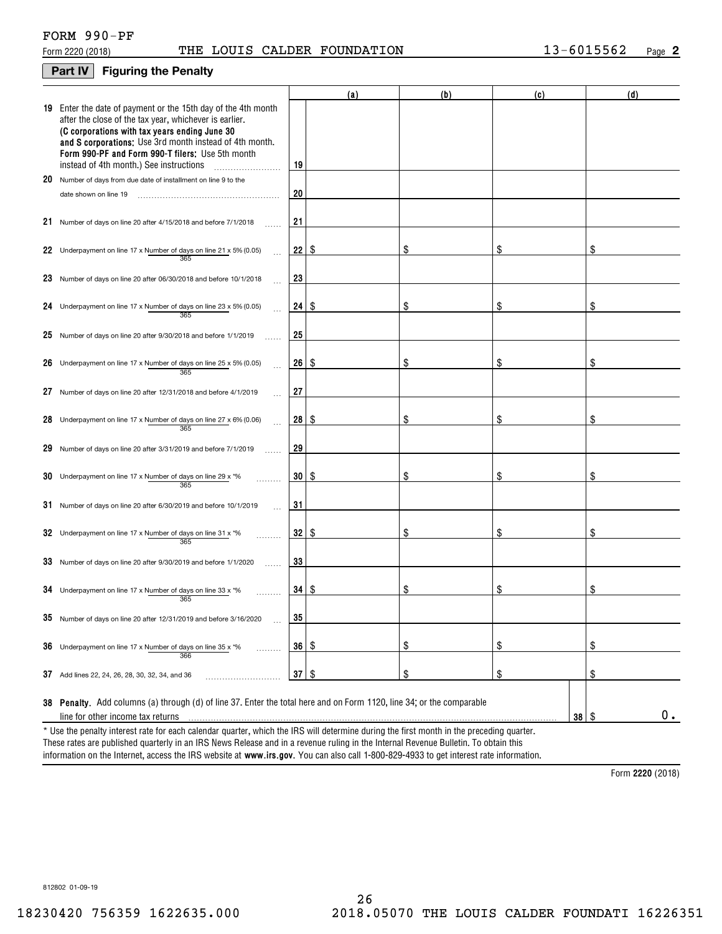# **Part IV Figuring the Penalty**

|    |                                                                                                                                                                                                                                                                                                                                    |              | (a)  | (b) | (c)               | (d) |
|----|------------------------------------------------------------------------------------------------------------------------------------------------------------------------------------------------------------------------------------------------------------------------------------------------------------------------------------|--------------|------|-----|-------------------|-----|
|    | 19 Enter the date of payment or the 15th day of the 4th month<br>after the close of the tax year, whichever is earlier.<br>(C corporations with tax years ending June 30<br>and S corporations: Use 3rd month instead of 4th month.<br>Form 990-PF and Form 990-T filers: Use 5th month<br>instead of 4th month.) See instructions | 19           |      |     |                   |     |
|    | 20 Number of days from due date of installment on line 9 to the                                                                                                                                                                                                                                                                    |              |      |     |                   |     |
|    | date shown on line 19                                                                                                                                                                                                                                                                                                              | 20           |      |     |                   |     |
|    | 21 Number of days on line 20 after 4/15/2018 and before 7/1/2018                                                                                                                                                                                                                                                                   | 21           |      |     |                   |     |
|    | 22 Underpayment on line 17 x Number of days on line 21 x 5% (0.05)                                                                                                                                                                                                                                                                 | 22           | 8    | S   | \$                | \$  |
|    | 23 Number of days on line 20 after 06/30/2018 and before 10/1/2018                                                                                                                                                                                                                                                                 | 23           |      |     |                   |     |
|    | 24 Underpayment on line 17 x Number of days on line 23 x 5% (0.05)<br>365                                                                                                                                                                                                                                                          | $24 \mid$ \$ |      | \$  | S                 | \$  |
|    | 25 Number of days on line 20 after $9/30/2018$ and before $1/1/2019$                                                                                                                                                                                                                                                               | 25           |      |     |                   |     |
|    | 26 Underpayment on line 17 x Number of days on line 25 x 5% (0.05)<br>365                                                                                                                                                                                                                                                          | 26           | - \$ | S   | \$                | \$  |
| 27 | Number of days on line 20 after 12/31/2018 and before 4/1/2019                                                                                                                                                                                                                                                                     | 27           |      |     |                   |     |
|    | 28 Underpayment on line 17 x Number of days on line 27 x 6% (0.06)<br>365                                                                                                                                                                                                                                                          | 28 I         | 8    | \$  | \$                | \$  |
|    | 29 Number of days on line 20 after 3/31/2019 and before 7/1/2019                                                                                                                                                                                                                                                                   | 29           |      |     |                   |     |
|    | 30 Underpayment on line 17 x Number of days on line 29 x $*$ %<br>365                                                                                                                                                                                                                                                              | $30 \mid$ \$ |      | \$  | \$                | \$  |
| 31 | Number of days on line 20 after 6/30/2019 and before 10/1/2019                                                                                                                                                                                                                                                                     | 31           |      |     |                   |     |
|    | 32 Underpayment on line 17 x Number of days on line 31 x *%<br>365                                                                                                                                                                                                                                                                 | 32   \$      |      | \$  | \$                | \$  |
|    | 33 Number of days on line 20 after 9/30/2019 and before 1/1/2020                                                                                                                                                                                                                                                                   | 33           |      |     |                   |     |
|    | 34 Underpayment on line 17 x Number of days on line 33 x $*$ %<br>365                                                                                                                                                                                                                                                              | 34   \$      |      | \$  | \$                | \$  |
|    | 35 Number of days on line 20 after 12/31/2019 and before 3/16/2020                                                                                                                                                                                                                                                                 | 35           |      |     |                   |     |
| 36 | Underpayment on line 17 x Number of days on line 35 x *%<br>.<br>366                                                                                                                                                                                                                                                               | 36   \$      |      | \$  | \$                | \$  |
| 37 | Add lines 22, 24, 26, 28, 30, 32, 34, and 36                                                                                                                                                                                                                                                                                       | $37 \mid$ \$ |      | \$  | \$                | \$  |
|    | 38 Penalty. Add columns (a) through (d) of line 37. Enter the total here and on Form 1120, line 34; or the comparable                                                                                                                                                                                                              |              |      |     |                   |     |
|    | line for other income tax returns                                                                                                                                                                                                                                                                                                  |              |      |     | $38$ \ $\sqrt{3}$ | 0.  |
|    | * Use the penalty interest rate for each calendar quarter, which the IRS will determine during the first month in the preceding quarter.                                                                                                                                                                                           |              |      |     |                   |     |

information on the Internet, access the IRS website at **www.irs.gov**. You can also call 1-800-829-4933 to get interest rate information. These rates are published quarterly in an IRS News Release and in a revenue ruling in the Internal Revenue Bulletin. To obtain this

**2220**  Form (2018)

812802 01-09-19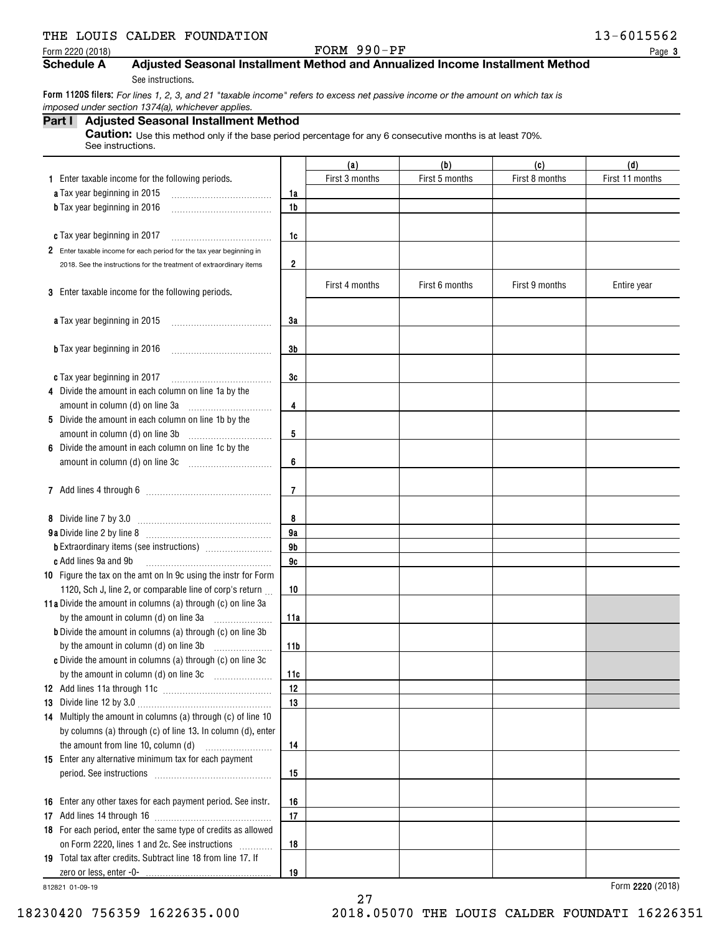# THE LOUIS CALDER FOUNDATION **13-6015562**

## Form 2220 (2018)  $P_{\text{GPE}}$  Page

**3**

# **Schedule A Adjusted Seasonal Installment Method and Annualized Income Installment Method**

See instructions.

Form 1120S filers: *For lines 1, 2, 3, and 21 "taxable income" refers to excess net passive income or the amount on which tax is imposed under section 1374(a), whichever applies.*

| Part I Adjusted Seasonal Installment Method                                                                     |
|-----------------------------------------------------------------------------------------------------------------|
| <b>Caution:</b> Use this method only if the base period percentage for any 6 consecutive months is at least 70% |

See instructions.

|                                                                      |         | (a)            | (b)            | (c)            | (d)             |
|----------------------------------------------------------------------|---------|----------------|----------------|----------------|-----------------|
| 1 Enter taxable income for the following periods.                    |         | First 3 months | First 5 months | First 8 months | First 11 months |
| a Tax year beginning in 2015                                         | 1a      |                |                |                |                 |
| <b>b</b> Tax year beginning in 2016                                  | 1b      |                |                |                |                 |
|                                                                      |         |                |                |                |                 |
| c Tax year beginning in 2017                                         | 1c      |                |                |                |                 |
| 2 Enter taxable income for each period for the tax year beginning in |         |                |                |                |                 |
| 2018. See the instructions for the treatment of extraordinary items  | 2       |                |                |                |                 |
|                                                                      |         | First 4 months | First 6 months | First 9 months |                 |
| 3 Enter taxable income for the following periods.                    |         |                |                |                | Entire year     |
|                                                                      |         |                |                |                |                 |
| <b>a</b> Tax year beginning in 2015                                  | 3a      |                |                |                |                 |
|                                                                      |         |                |                |                |                 |
| <b>b</b> Tax year beginning in 2016                                  | 3b      |                |                |                |                 |
|                                                                      |         |                |                |                |                 |
| c Tax year beginning in 2017                                         | 3c      |                |                |                |                 |
| 4 Divide the amount in each column on line 1a by the                 |         |                |                |                |                 |
|                                                                      | 4       |                |                |                |                 |
| 5 Divide the amount in each column on line 1b by the                 |         |                |                |                |                 |
|                                                                      | 5       |                |                |                |                 |
| 6 Divide the amount in each column on line 1c by the                 |         |                |                |                |                 |
|                                                                      | 6       |                |                |                |                 |
|                                                                      |         |                |                |                |                 |
|                                                                      | 7       |                |                |                |                 |
|                                                                      |         |                |                |                |                 |
| 8 Divide line 7 by 3.0                                               | 8<br>9a |                |                |                |                 |
|                                                                      | 9b      |                |                |                |                 |
| c Add lines 9a and 9b                                                | 9c      |                |                |                |                 |
| 10 Figure the tax on the amt on In 9c using the instr for Form       |         |                |                |                |                 |
| 1120, Sch J, line 2, or comparable line of corp's return             | 10      |                |                |                |                 |
| 11a Divide the amount in columns (a) through (c) on line 3a          |         |                |                |                |                 |
| by the amount in column (d) on line 3a                               | 11a     |                |                |                |                 |
| <b>b</b> Divide the amount in columns (a) through (c) on line 3b     |         |                |                |                |                 |
|                                                                      | 11b     |                |                |                |                 |
| c Divide the amount in columns (a) through (c) on line 3c            |         |                |                |                |                 |
|                                                                      | 11c     |                |                |                |                 |
|                                                                      | 12      |                |                |                |                 |
|                                                                      | 13      |                |                |                |                 |
| 14 Multiply the amount in columns (a) through (c) of line 10         |         |                |                |                |                 |
| by columns (a) through (c) of line 13. In column (d), enter          |         |                |                |                |                 |
|                                                                      | 14      |                |                |                |                 |
| 15 Enter any alternative minimum tax for each payment                |         |                |                |                |                 |
|                                                                      | 15      |                |                |                |                 |
|                                                                      |         |                |                |                |                 |
| 16 Enter any other taxes for each payment period. See instr.         | 16      |                |                |                |                 |
|                                                                      | 17      |                |                |                |                 |
| 18 For each period, enter the same type of credits as allowed        |         |                |                |                |                 |
| on Form 2220, lines 1 and 2c. See instructions                       | 18      |                |                |                |                 |
| 19 Total tax after credits. Subtract line 18 from line 17. If        |         |                |                |                |                 |
|                                                                      | 19      |                |                |                |                 |

27

812821 01-09-19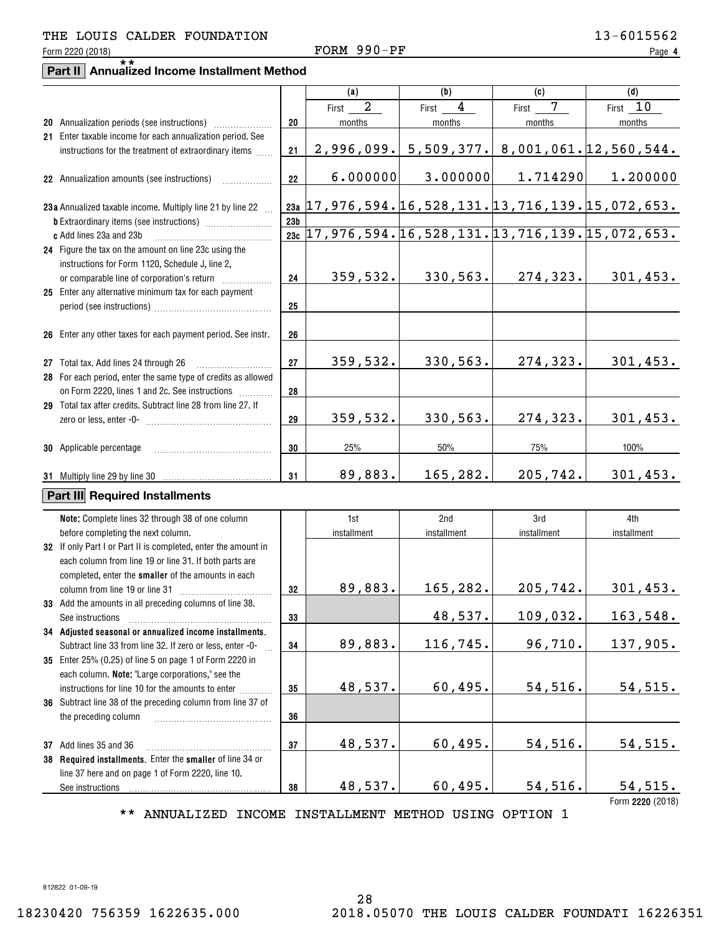## Form 2220 (2018)  $P_{\text{GPE}}$  Page THE LOUIS CALDER FOUNDATION 13-6015562

**4**

# **Part II Annualized Income Installment Method** \*\*

|                                                                |                 | (a)                                                     | (b)                     | (c)         | (d)                                                           |
|----------------------------------------------------------------|-----------------|---------------------------------------------------------|-------------------------|-------------|---------------------------------------------------------------|
|                                                                |                 | $\overline{2}$<br>First                                 | $\overline{4}$<br>First | 7<br>First  | First 10                                                      |
|                                                                | 20              | months                                                  | months                  | months      | months                                                        |
| 21 Enter taxable income for each annualization period. See     |                 |                                                         |                         |             |                                                               |
| instructions for the treatment of extraordinary items          | 21              | 2,996,099.                                              | 5,509,377.              |             | 8,001,061.12,560,544.                                         |
|                                                                |                 |                                                         |                         |             |                                                               |
|                                                                |                 |                                                         |                         |             |                                                               |
| 22 Annualization amounts (see instructions)                    | 22              | 6.000000                                                | 3.000000                | 1.714290    | 1.200000                                                      |
|                                                                |                 |                                                         |                         |             |                                                               |
| 23a Annualized taxable income. Multiply line 21 by line 22     |                 | <u>23a</u> 17,976,594.16,528,131.13,716,139.15,072,653. |                         |             |                                                               |
|                                                                | 23 <sub>b</sub> |                                                         |                         |             |                                                               |
| c Add lines 23a and 23b                                        |                 |                                                         |                         |             | $23c$ 17, 976, 594. 16, 528, 131. 13, 716, 139. 15, 072, 653. |
| 24 Figure the tax on the amount on line 23c using the          |                 |                                                         |                         |             |                                                               |
| instructions for Form 1120, Schedule J, line 2,                |                 |                                                         |                         |             |                                                               |
| or comparable line of corporation's return                     | 24              | 359,532.                                                | 330,563.                | 274, 323.   | 301,453.                                                      |
| 25 Enter any alternative minimum tax for each payment          |                 |                                                         |                         |             |                                                               |
|                                                                | 25              |                                                         |                         |             |                                                               |
|                                                                |                 |                                                         |                         |             |                                                               |
|                                                                |                 |                                                         |                         |             |                                                               |
| 26 Enter any other taxes for each payment period. See instr.   | 26              |                                                         |                         |             |                                                               |
|                                                                |                 |                                                         |                         |             |                                                               |
| 27 Total tax. Add lines 24 through 26                          | 27              | 359,532.                                                | 330,563.                | 274,323.    | 301, 453.                                                     |
| 28 For each period, enter the same type of credits as allowed  |                 |                                                         |                         |             |                                                               |
| on Form 2220, lines 1 and 2c. See instructions                 | 28              |                                                         |                         |             |                                                               |
| 29 Total tax after credits. Subtract line 28 from line 27. If  |                 |                                                         |                         |             |                                                               |
|                                                                | 29              | 359,532.                                                | 330,563.                | 274,323.    | 301, 453.                                                     |
|                                                                |                 |                                                         |                         |             |                                                               |
| <b>30</b> Applicable percentage                                | 30              | 25%                                                     | 50%                     | 75%         | 100%                                                          |
|                                                                |                 |                                                         |                         |             |                                                               |
|                                                                | 31              | 89,883.                                                 | 165,282.                | 205,742.    | 301,453.                                                      |
|                                                                |                 |                                                         |                         |             |                                                               |
| Part III Required Installments                                 |                 |                                                         |                         |             |                                                               |
| Note: Complete lines 32 through 38 of one column               |                 | 1st                                                     | 2nd                     | 3rd         | 4th                                                           |
| before completing the next column.                             |                 | installment                                             | installment             | installment | installment                                                   |
|                                                                |                 |                                                         |                         |             |                                                               |
| 32 If only Part I or Part II is completed, enter the amount in |                 |                                                         |                         |             |                                                               |
| each column from line 19 or line 31. If both parts are         |                 |                                                         |                         |             |                                                               |
| completed, enter the smaller of the amounts in each            |                 |                                                         |                         |             |                                                               |
| column from line 19 or line 31                                 | 32              | 89,883.                                                 | 165,282.                | 205,742.    | 301, 453.                                                     |
| 33 Add the amounts in all preceding columns of line 38.        |                 |                                                         |                         |             |                                                               |
| See instructions                                               | 33              |                                                         | 48,537.                 | 109,032.    | 163,548.                                                      |
| 34 Adjusted seasonal or annualized income installments.        |                 |                                                         |                         |             |                                                               |
| Subtract line 33 from line 32. If zero or less, enter -0-      | 34              | 89,883.                                                 | 116,745.                | 96,710.     | 137,905.                                                      |
| 35 Enter 25% (0.25) of line 5 on page 1 of Form 2220 in        |                 |                                                         |                         |             |                                                               |
| each column. Note: "Large corporations," see the               |                 |                                                         |                         |             |                                                               |
| instructions for line 10 for the amounts to enter              | 35              | 48,537.                                                 | 60,495.                 | 54,516.     | 54, 515.                                                      |
| 36 Subtract line 38 of the preceding column from line 37 of    |                 |                                                         |                         |             |                                                               |
| the preceding column                                           |                 |                                                         |                         |             |                                                               |
|                                                                | 36              |                                                         |                         |             |                                                               |

**37**Add lines 35 and 36 **38 Required installments.** Enter the **smaller** of line 34 or line 37 here and on page 1 of Form 2220, line 10. See instructions

**2220**  Form (2018) 48,537. 60,495. 54,516. 54,515.

\*\* ANNUALIZED INCOME INSTALLMENT METHOD USING OPTION 1

**37**

**38**

812822 01-09-19

48,537. 60,495. 54,516. 54,515.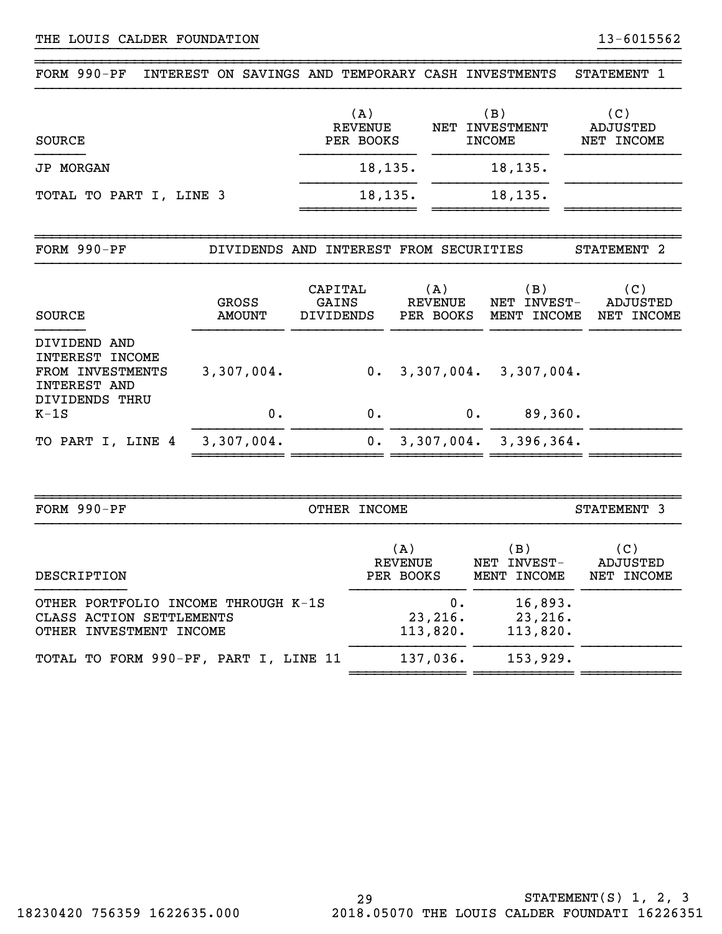| $FORM 990-PF$                                                              | INTEREST ON SAVINGS AND TEMPORARY CASH INVESTMENTS |                                        |                                    |                                           | STATEMENT 1                          |
|----------------------------------------------------------------------------|----------------------------------------------------|----------------------------------------|------------------------------------|-------------------------------------------|--------------------------------------|
| <b>SOURCE</b>                                                              |                                                    | (A)<br><b>REVENUE</b><br>PER BOOKS     | <b>NET</b>                         | (B)<br><b>INVESTMENT</b><br><b>INCOME</b> | (C)<br><b>ADJUSTED</b><br>NET INCOME |
| <b>JP MORGAN</b>                                                           |                                                    | 18,135.                                |                                    | 18, 135.                                  |                                      |
| TOTAL TO PART I, LINE 3                                                    |                                                    | 18, 135.                               |                                    | 18,135.                                   |                                      |
| FORM 990-PF                                                                |                                                    | DIVIDENDS AND INTEREST FROM SECURITIES |                                    |                                           | STATEMENT <sub>2</sub>               |
| <b>SOURCE</b>                                                              | <b>GROSS</b><br><b>AMOUNT</b>                      | CAPITAL<br>GAINS<br>DIVIDENDS          | (A)<br><b>REVENUE</b><br>PER BOOKS | (B)<br>NET INVEST-<br>MENT INCOME         | (C)<br>ADJUSTED<br>NET INCOME        |
| DIVIDEND AND<br>INTEREST INCOME<br>FROM INVESTMENTS<br><b>INTEREST AND</b> | 3,307,004.                                         |                                        | 0.3,307,004.                       | 3,307,004.                                |                                      |
| DIVIDENDS THRU<br>$K-1S$                                                   | 0.                                                 | 0.                                     | $0$ .                              | 89,360.                                   |                                      |
| TO PART I, LINE 4                                                          | 3,307,004.                                         | 0.                                     |                                    | 3,307,004. 3,396,364.                     |                                      |
|                                                                            |                                                    |                                        |                                    |                                           |                                      |
| FORM 990-PF                                                                |                                                    | OTHER INCOME                           |                                    |                                           | STATEMENT 3                          |

| DESCRIPTION                           | (A)       | (B )        | (C)        |
|---------------------------------------|-----------|-------------|------------|
|                                       | REVENUE   | NET INVEST- | ADJUSTED   |
|                                       | PER BOOKS | MENT INCOME | NET INCOME |
| OTHER PORTFOLIO INCOME THROUGH K-1S   | 0.        | 16,893.     |            |
| CLASS ACTION SETTLEMENTS              | 23,216.   | 23,216.     |            |
| OTHER INVESTMENT INCOME               | 113,820.  | 113,820.    |            |
| TOTAL TO FORM 990-PF, PART I, LINE 11 | 137,036.  | 153,929.    |            |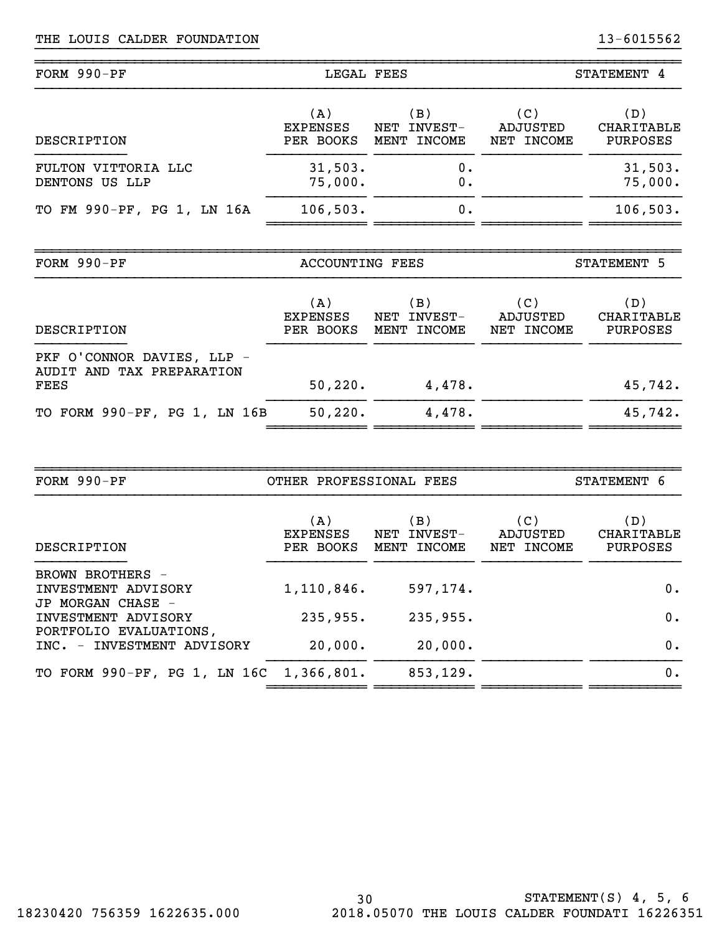| $FORM 990-PF$                         | LEGAL FEES                          |                                      | STATEMENT 4                   |                                      |
|---------------------------------------|-------------------------------------|--------------------------------------|-------------------------------|--------------------------------------|
| DESCRIPTION                           | (A)<br><b>EXPENSES</b><br>PER BOOKS | (B)<br>INVEST-<br>NET<br>MENT INCOME | (C)<br>ADJUSTED<br>NET INCOME | (D)<br><b>CHARITABLE</b><br>PURPOSES |
| FULTON VITTORIA LLC<br>DENTONS US LLP | 31,503.<br>75,000.                  | 0.<br>0.                             |                               | 31,503.<br>75,000.                   |
| TO FM 990-PF, PG 1, LN 16A            | 106, 503.                           | 0.                                   |                               | 106, 503.                            |

~~~~~~~~~~~~~~~~~~~~~~~~~~~~~~~~~~~~~~~~~~~~~~~~~~~~~~~~~~~~~~~~~~~~~~~~~~~~~~

| FORM 990-PF                                             | ACCOUNTING FEES                     |                                                    | STATEMENT 5                   |                                      |
|---------------------------------------------------------|-------------------------------------|----------------------------------------------------|-------------------------------|--------------------------------------|
| DESCRIPTION                                             | (A)<br><b>EXPENSES</b><br>PER BOOKS | $\vert B \rangle$<br>INVEST-<br>NET<br>MENT INCOME | (C)<br>ADJUSTED<br>NET INCOME | (D)<br>CHARITABLE<br><b>PURPOSES</b> |
| PKF O'CONNOR DAVIES, LLP -<br>AUDIT AND TAX PREPARATION |                                     |                                                    |                               |                                      |
| <b>FEES</b>                                             | 50, 220.                            | 4,478.                                             |                               | 45,742.                              |
| TO FORM 990-PF, PG 1, LN 16B                            | 50, 220.                            | 4,478.                                             |                               | 45,742.                              |

| FORM 990-PF                                          | OTHER PROFESSIONAL FEES             |                                      | STATEMENT 6                   |                                      |
|------------------------------------------------------|-------------------------------------|--------------------------------------|-------------------------------|--------------------------------------|
| DESCRIPTION                                          | (A)<br><b>EXPENSES</b><br>PER BOOKS | (B)<br>INVEST-<br>NET<br>MENT INCOME | (C)<br>ADJUSTED<br>NET INCOME | (D)<br>CHARITABLE<br><b>PURPOSES</b> |
| BROWN BROTHERS -<br>INVESTMENT ADVISORY              | 1,110,846.                          | 597,174.                             |                               | 0.                                   |
| JP MORGAN CHASE -<br>INVESTMENT ADVISORY             | 235,955.                            | 235,955.                             |                               | 0.                                   |
| PORTFOLIO EVALUATIONS,<br>INC. - INVESTMENT ADVISORY | 20,000.                             | 20,000.                              |                               | $0$ .                                |
| TO FORM 990-PF, PG 1, LN 16C 1,366,801.              |                                     | 853,129.                             |                               | 0.                                   |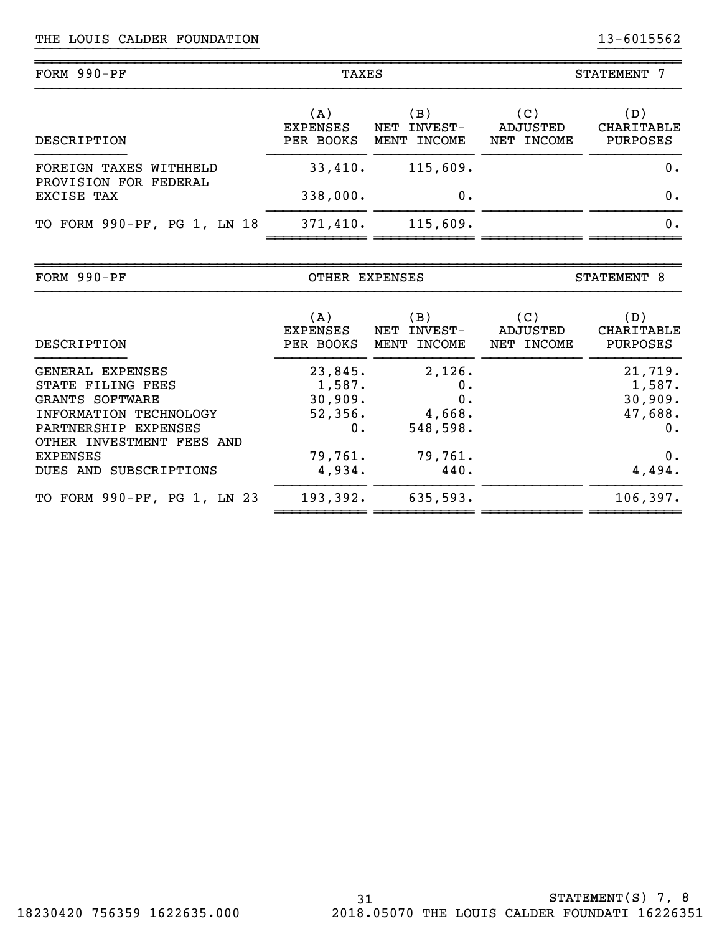| FORM 990-PF                                     | TAXES                  |                       | <b>STATEMENT</b><br>7 |                   |
|-------------------------------------------------|------------------------|-----------------------|-----------------------|-------------------|
|                                                 | (A)<br><b>EXPENSES</b> | (B)<br>INVEST-<br>NET | (C)<br>ADJUSTED       | (D)<br>CHARITABLE |
| DESCRIPTION                                     | PER BOOKS              | MENT INCOME           | NET INCOME            | PURPOSES          |
| FOREIGN TAXES WITHHELD<br>PROVISION FOR FEDERAL | 33,410.                | 115,609.              |                       | 0.                |
| EXCISE TAX                                      | 338,000.               | 0.                    |                       | 0.                |
| TO FORM 990-PF, PG 1, LN 18                     | 371,410.               | 115,609.              |                       | 0.                |

| FORM 990-PF                                                                                                |                                               | OTHER EXPENSES                           |                               | STATEMENT 8                                   |  |
|------------------------------------------------------------------------------------------------------------|-----------------------------------------------|------------------------------------------|-------------------------------|-----------------------------------------------|--|
| DESCRIPTION                                                                                                | (A)<br>EXPENSES<br>PER BOOKS                  | (B)<br>NET INVEST-<br>MENT INCOME        | (C)<br>ADJUSTED<br>NET INCOME | (D)<br>CHARITABLE<br>PURPOSES                 |  |
| GENERAL EXPENSES<br>STATE FILING FEES<br>GRANTS SOFTWARE<br>INFORMATION TECHNOLOGY<br>PARTNERSHIP EXPENSES | 23,845.<br>1,587.<br>30,909.<br>52,356.<br>0. | 2,126.<br>0.<br>0.<br>4,668.<br>548,598. |                               | 21,719.<br>1,587.<br>30,909.<br>47,688.<br>0. |  |
| OTHER INVESTMENT FEES AND<br>EXPENSES<br>DUES AND SUBSCRIPTIONS                                            | 79,761.<br>4,934.                             | 79,761.<br>440.                          |                               | 0.<br>4,494.                                  |  |
| TO FORM 990-PF, PG 1, LN 23                                                                                | 193,392.                                      | 635,593.                                 |                               | 106, 397.                                     |  |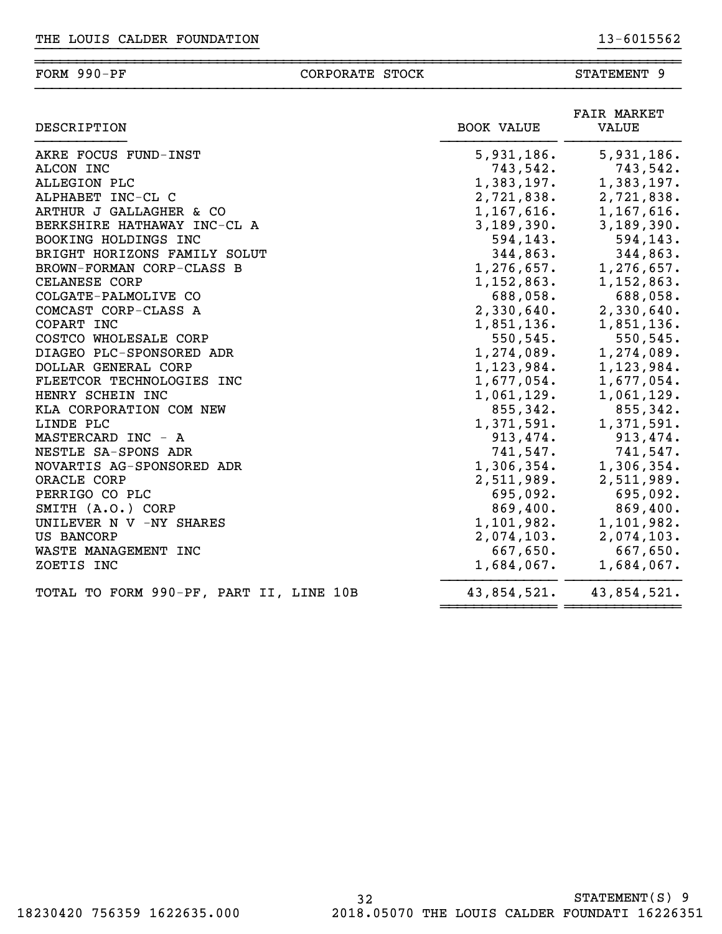### ~~~~~~~~~~~~~~~~~~~~~~~~~~~~~~~~~~~~~~~~~~~~~~~~~~~~~~~~~~~~~~~~~~~~~~~~~~~~~~FORM 990-PF CORPORATE STOCK STATEMENT 9

| DESCRIPTION                             | <b>BOOK VALUE</b> | <b>FAIR MARKET</b><br>VALUE |
|-----------------------------------------|-------------------|-----------------------------|
| AKRE FOCUS FUND-INST                    | 5,931,186.        | 5,931,186.                  |
| ALCON INC                               | 743,542.          | 743,542.                    |
| ALLEGION PLC                            | 1,383,197.        | 1,383,197.                  |
| ALPHABET INC-CL C                       | 2,721,838.        | 2,721,838.                  |
| ARTHUR J GALLAGHER & CO                 | 1,167,616.        | 1,167,616.                  |
| BERKSHIRE HATHAWAY INC-CL A             | 3,189,390.        | 3,189,390.                  |
| BOOKING HOLDINGS INC                    | 594,143.          | 594,143.                    |
| BRIGHT HORIZONS FAMILY SOLUT            | 344,863.          | 344,863.                    |
| BROWN-FORMAN CORP-CLASS B               | 1,276,657.        | 1,276,657.                  |
| CELANESE CORP                           | 1,152,863.        | 1,152,863.                  |
| COLGATE-PALMOLIVE CO                    | 688,058.          | 688,058.                    |
| COMCAST CORP-CLASS A                    | 2,330,640.        | 2,330,640.                  |
| COPART INC                              | 1,851,136.        | 1,851,136.                  |
| COSTCO WHOLESALE CORP                   | 550,545.          | 550,545.                    |
| DIAGEO PLC-SPONSORED ADR                | 1,274,089.        | 1,274,089.                  |
| DOLLAR GENERAL CORP                     | 1,123,984.        | 1,123,984.                  |
| FLEETCOR TECHNOLOGIES INC               | 1,677,054.        | 1,677,054.                  |
| HENRY SCHEIN INC                        | 1,061,129.        | 1,061,129.                  |
| KLA CORPORATION COM NEW                 | 855,342.          | 855,342.                    |
| LINDE PLC                               | 1,371,591.        | 1,371,591.                  |
| MASTERCARD INC - A                      | 913,474.          | 913,474.                    |
| NESTLE SA-SPONS ADR                     | 741,547.          | 741,547.                    |
| NOVARTIS AG-SPONSORED ADR               | 1,306,354.        | 1,306,354.                  |
| ORACLE CORP                             | 2,511,989.        | 2,511,989.                  |
| PERRIGO CO PLC                          | 695,092.          | 695,092.                    |
| SMITH (A.O.) CORP                       | 869,400.          | 869,400.                    |
| UNILEVER N V -NY SHARES                 | 1,101,982.        | 1,101,982.                  |
| US BANCORP                              | 2,074,103.        | 2,074,103.                  |
| WASTE MANAGEMENT INC                    | 667,650.          | 667,650.                    |
| ZOETIS INC                              | 1,684,067.        | 1,684,067.                  |
| TOTAL TO FORM 990-PF, PART II, LINE 10B | 43,854,521.       | 43,854,521.                 |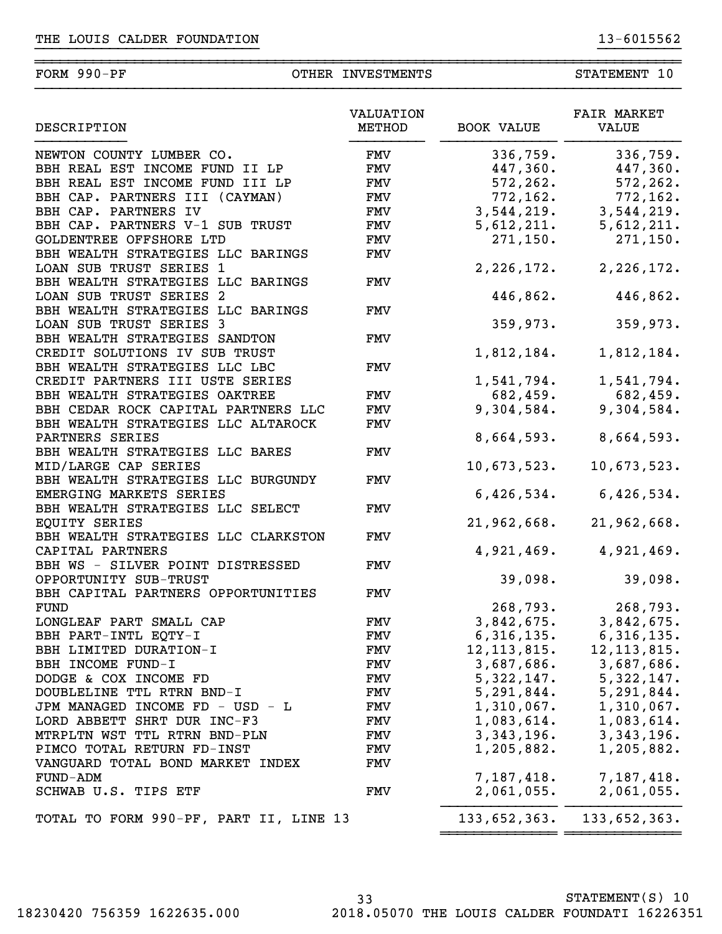| DESCRIPTION                            | VALUATION<br>METHOD | <b>BOOK VALUE</b> | <b>FAIR MARKET</b><br><b>VALUE</b> |
|----------------------------------------|---------------------|-------------------|------------------------------------|
| NEWTON COUNTY LUMBER CO.               | FMV                 | 336,759.          | 336,759.                           |
| BBH REAL EST INCOME FUND II LP         | FMV                 | 447,360.          | 447,360.                           |
| BBH REAL EST INCOME FUND III LP        | FMV                 | 572, 262.         | 572,262.                           |
| BBH CAP. PARTNERS III (CAYMAN)         | FMV                 | 772, 162.         | 772,162.                           |
| BBH CAP. PARTNERS IV                   | <b>FMV</b>          |                   |                                    |
|                                        |                     | 3,544,219.        | 3,544,219.                         |
| BBH CAP. PARTNERS V-1 SUB TRUST        | <b>FMV</b>          | 5,612,211.        | 5,612,211.                         |
| GOLDENTREE OFFSHORE LTD                | <b>FMV</b>          | 271, 150.         | 271, 150.                          |
| BBH WEALTH STRATEGIES LLC BARINGS      | <b>FMV</b>          |                   |                                    |
| LOAN SUB TRUST SERIES 1                |                     | 2,226,172.        | 2, 226, 172.                       |
| BBH WEALTH STRATEGIES LLC BARINGS      | FMV                 |                   |                                    |
| LOAN SUB TRUST SERIES 2                |                     | 446,862.          | 446,862.                           |
| BBH WEALTH STRATEGIES LLC BARINGS      | FMV                 |                   |                                    |
| LOAN SUB TRUST SERIES 3                |                     | 359,973.          | 359,973.                           |
| BBH WEALTH STRATEGIES SANDTON          | FMV                 |                   |                                    |
| CREDIT SOLUTIONS IV SUB TRUST          |                     | 1,812,184.        | 1,812,184.                         |
| BBH WEALTH STRATEGIES LLC LBC          | FMV                 |                   |                                    |
| CREDIT PARTNERS III USTE SERIES        |                     | 1,541,794.        | 1,541,794.                         |
| BBH WEALTH STRATEGIES OAKTREE          | <b>FMV</b>          | 682,459.          | 682,459.                           |
| BBH CEDAR ROCK CAPITAL PARTNERS LLC    | FMV                 | 9,304,584.        | 9,304,584.                         |
| BBH WEALTH STRATEGIES LLC ALTAROCK     | FMV                 |                   |                                    |
| PARTNERS SERIES                        |                     | 8,664,593.        | 8,664,593.                         |
| BBH WEALTH STRATEGIES LLC BARES        | FMV                 |                   |                                    |
| MID/LARGE CAP SERIES                   |                     | 10,673,523.       | 10,673,523.                        |
| BBH WEALTH STRATEGIES LLC BURGUNDY     | FMV                 |                   |                                    |
| EMERGING MARKETS SERIES                |                     | 6,426,534.        | 6,426,534.                         |
| BBH WEALTH STRATEGIES LLC SELECT       | FMV                 |                   |                                    |
| EQUITY SERIES                          |                     | 21,962,668.       | 21,962,668.                        |
| BBH WEALTH STRATEGIES LLC CLARKSTON    | FMV                 |                   |                                    |
| CAPITAL PARTNERS                       |                     | 4,921,469.        | 4,921,469.                         |
| BBH WS - SILVER POINT DISTRESSED       | FMV                 |                   |                                    |
| OPPORTUNITY SUB-TRUST                  |                     | 39,098.           | 39,098.                            |
| BBH CAPITAL PARTNERS OPPORTUNITIES     | FMV                 |                   |                                    |
| <b>FUND</b>                            |                     | 268,793.          | 268,793.                           |
| LONGLEAF PART SMALL CAP                | FMV                 | 3,842,675.        | 3,842,675.                         |
|                                        |                     |                   |                                    |
| BBH PART-INTL EQTY-I                   | FMV                 | 6,316,135.        | 6,316,135.<br>12, 113, 815.        |
| BBH LIMITED DURATION-I                 | FMV                 | 12, 113, 815.     |                                    |
| BBH INCOME FUND-I                      | FMV                 |                   | $3,687,686.$ $3,687,686.$          |
| DODGE & COX INCOME FD                  | FMV                 |                   | $5,322,147.$ $5,322,147.$          |
| DOUBLELINE TTL RTRN BND-I              | FMV                 |                   | $5, 291, 844.$ $5, 291, 844.$      |
| JPM MANAGED INCOME FD - USD - L        | FMV                 | $1,310,067$ .     | 1,310,067.                         |
| LORD ABBETT SHRT DUR INC-F3            | FMV                 | $1,083,614$ .     | 1,083,614.                         |
| MTRPLTN WST TTL RTRN BND-PLN           | FMV                 | 3,343,196.        | 3,343,196.                         |
| PIMCO TOTAL RETURN FD-INST             | FMV                 | 1,205,882.        | 1,205,882.                         |
| VANGUARD TOTAL BOND MARKET INDEX       | FMV                 |                   |                                    |
| FUND-ADM                               |                     | 7,187,418.        | 7,187,418.                         |
| SCHWAB U.S. TIPS ETF                   | FMV                 | 2,061,055.        | 2,061,055.                         |
|                                        |                     |                   |                                    |
| TOTAL TO FORM 990-PF, PART II, LINE 13 |                     | 133,652,363.      | 133,652,363.                       |

33 STATEMENT(S) 10 18230420 756359 1622635.000 2018.05070 THE LOUIS CALDER FOUNDATI 16226351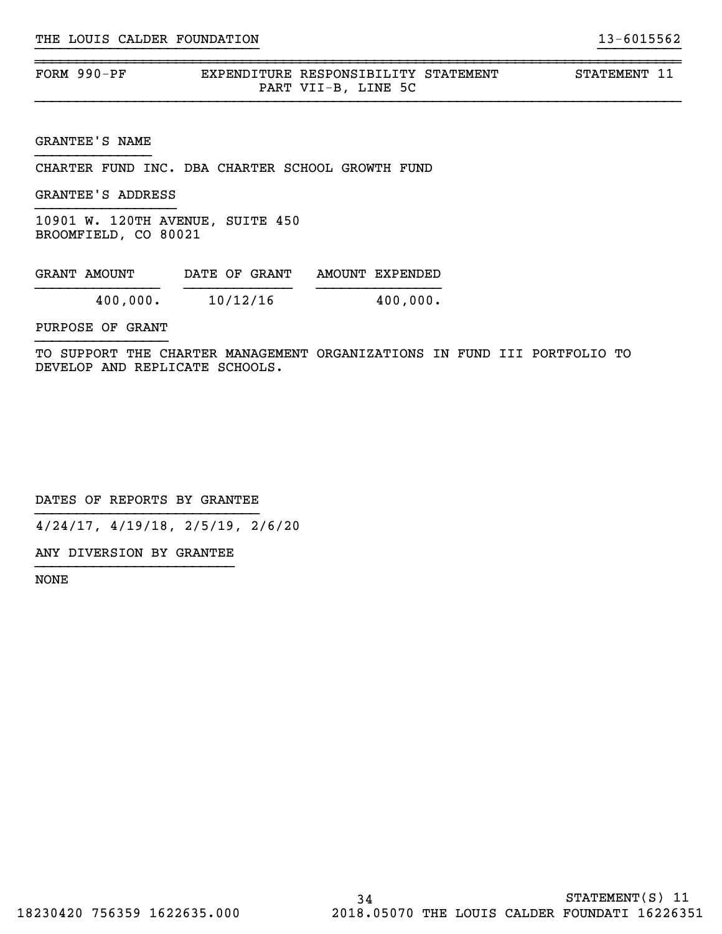| FORM $990-PF$ | EXPENDITURE RESPONSIBILITY STATEMENT |                     | STATEMENT 11 |  |
|---------------|--------------------------------------|---------------------|--------------|--|
|               |                                      | PART VII-B, LINE 5C |              |  |

~~~~~~~~~~~~~~~~~~~~~~~~~~~~~~~~~~~~~~~~~~~~~~~~~~~~~~~~~~~~~~~~~~~~~~~~~~~~~~

GRANTEE'S NAME

CHARTER FUND INC. DBA CHARTER SCHOOL GROWTH FUND

GRANTEE'S ADDRESS

10901 W. 120TH AVENUE, SUITE 450 BROOMFIELD, CO 80021

| GRANT AMOUNT | DATE OF GRANT | AMOUNT EXPENDED |
|--------------|---------------|-----------------|
| 400,000.     | 10/12/16      | 400,000.        |

PURPOSE OF GRANT

TO SUPPORT THE CHARTER MANAGEMENT ORGANIZATIONS IN FUND III PORTFOLIO TO DEVELOP AND REPLICATE SCHOOLS.

DATES OF REPORTS BY GRANTEE

4/24/17, 4/19/18, 2/5/19, 2/6/20

ANY DIVERSION BY GRANTEE }}}}}}}}}}}}}}}}}}}}}}}}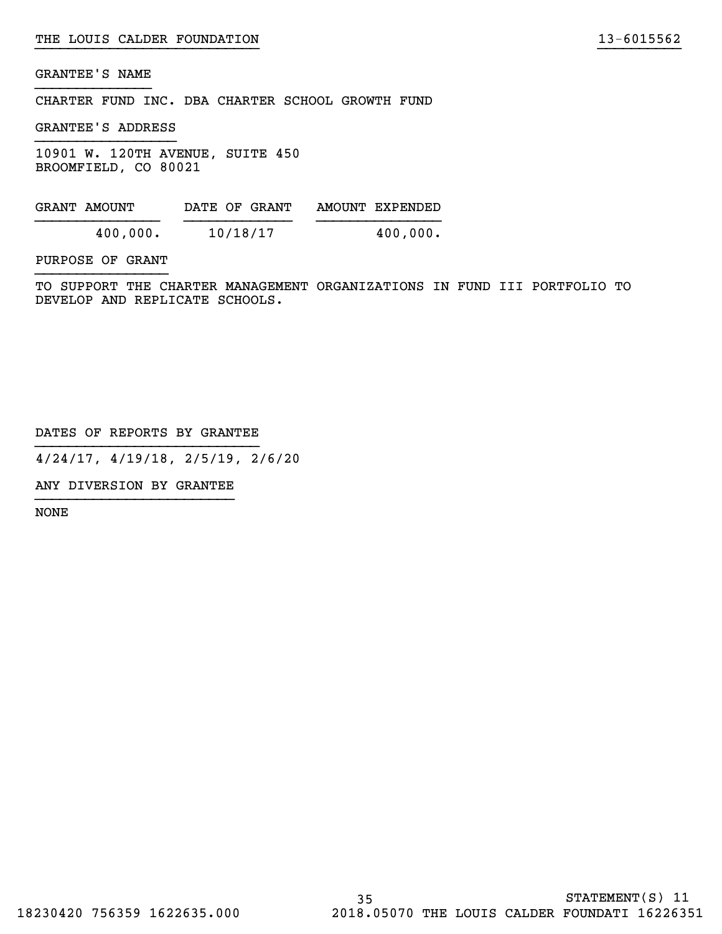CHARTER FUND INC. DBA CHARTER SCHOOL GROWTH FUND

GRANTEE'S ADDRESS

10901 W. 120TH AVENUE, SUITE 450 BROOMFIELD, CO 80021

| GRANT AMOUNT | DATE OF GRANT | AMOUNT EXPENDED |
|--------------|---------------|-----------------|
| 400,000.     | 10/18/17      | 400,000.        |

PURPOSE OF GRANT

TO SUPPORT THE CHARTER MANAGEMENT ORGANIZATIONS IN FUND III PORTFOLIO TO DEVELOP AND REPLICATE SCHOOLS.

}}}}}}}}}}}}}}}}}}}}}}}}}}} }}}}}}}}}}

DATES OF REPORTS BY GRANTEE

4/24/17, 4/19/18, 2/5/19, 2/6/20

ANY DIVERSION BY GRANTEE }}}}}}}}}}}}}}}}}}}}}}}}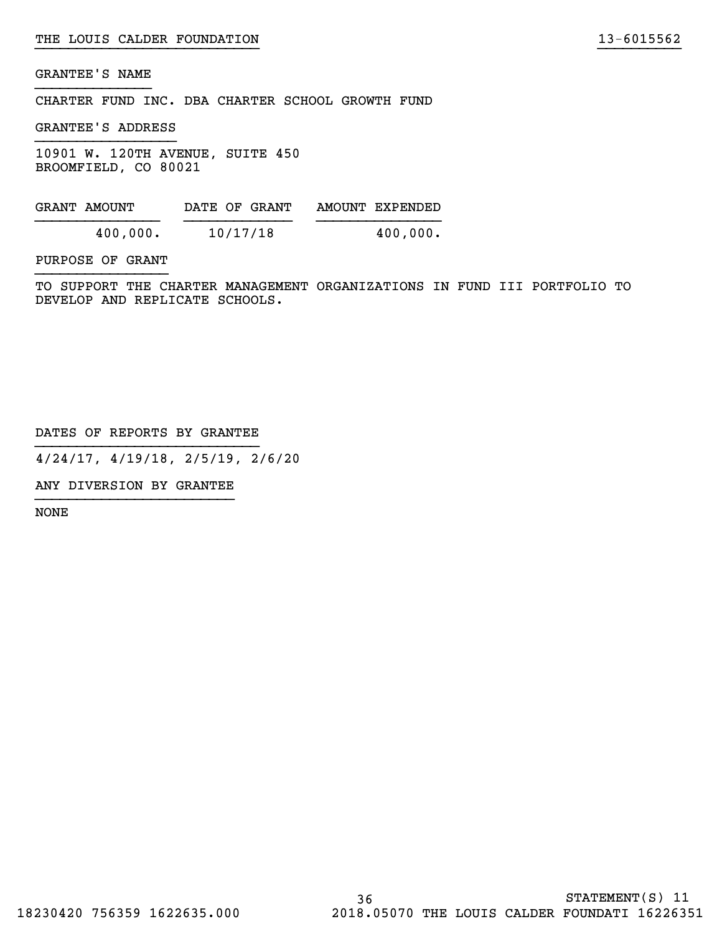CHARTER FUND INC. DBA CHARTER SCHOOL GROWTH FUND

GRANTEE'S ADDRESS

10901 W. 120TH AVENUE, SUITE 450 BROOMFIELD, CO 80021

| GRANT AMOUNT | DATE OF GRANT | AMOUNT EXPENDED |
|--------------|---------------|-----------------|
| 400,000.     | 10/17/18      | 400,000.        |

PURPOSE OF GRANT

TO SUPPORT THE CHARTER MANAGEMENT ORGANIZATIONS IN FUND III PORTFOLIO TO DEVELOP AND REPLICATE SCHOOLS.

}}}}}}}}}}}}}}}}}}}}}}}}}}} }}}}}}}}}}

DATES OF REPORTS BY GRANTEE

4/24/17, 4/19/18, 2/5/19, 2/6/20

ANY DIVERSION BY GRANTEE }}}}}}}}}}}}}}}}}}}}}}}}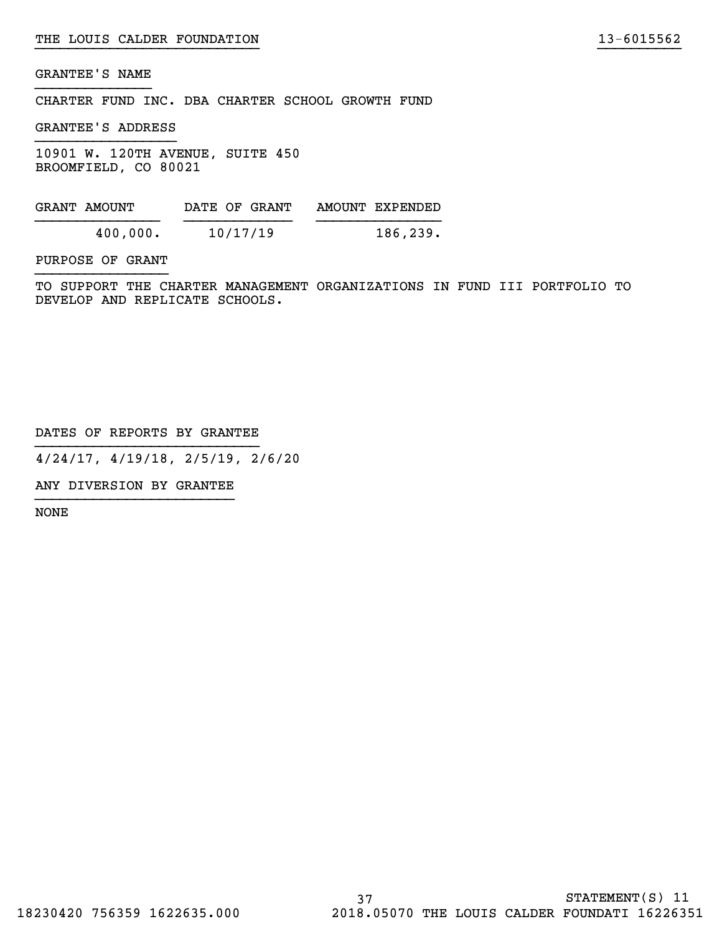CHARTER FUND INC. DBA CHARTER SCHOOL GROWTH FUND

GRANTEE'S ADDRESS

10901 W. 120TH AVENUE, SUITE 450 BROOMFIELD, CO 80021

| GRANT AMOUNT | DATE OF GRANT | AMOUNT EXPENDED |
|--------------|---------------|-----------------|
| 400,000.     | 10/17/19      | 186, 239.       |

PURPOSE OF GRANT

TO SUPPORT THE CHARTER MANAGEMENT ORGANIZATIONS IN FUND III PORTFOLIO TO DEVELOP AND REPLICATE SCHOOLS.

}}}}}}}}}}}}}}}}}}}}}}}}}}} }}}}}}}}}}

DATES OF REPORTS BY GRANTEE

4/24/17, 4/19/18, 2/5/19, 2/6/20

ANY DIVERSION BY GRANTEE }}}}}}}}}}}}}}}}}}}}}}}}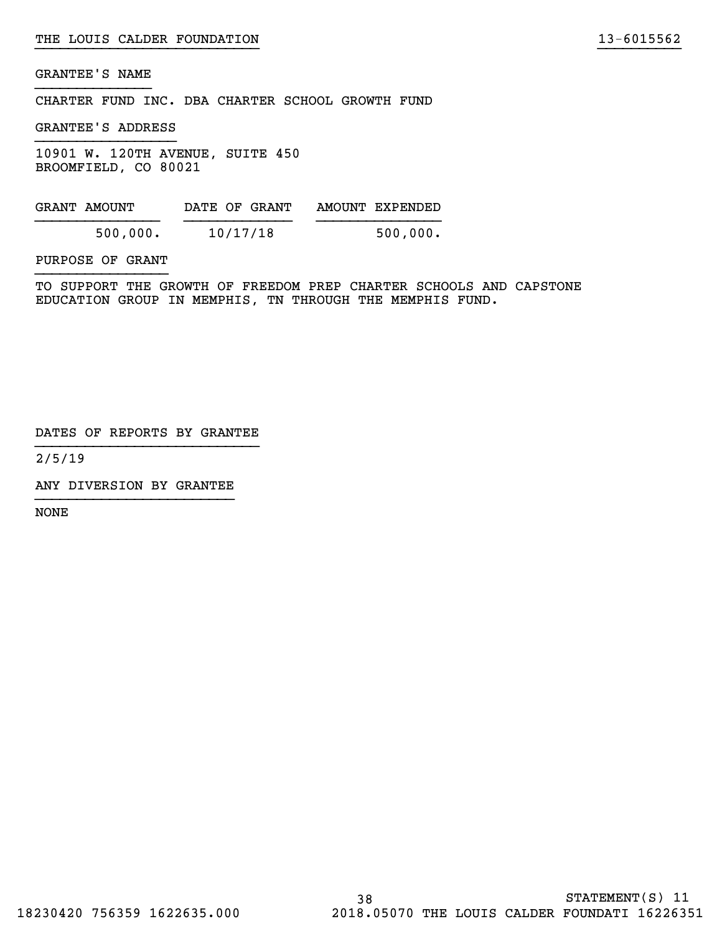CHARTER FUND INC. DBA CHARTER SCHOOL GROWTH FUND

GRANTEE'S ADDRESS

10901 W. 120TH AVENUE, SUITE 450 BROOMFIELD, CO 80021

GRANT AMOUNT DATE OF GRANT AMOUNT EXPENDED }}}}}}}}}}}}}}} }}}}}}}}}}}}} }}}}}}}}}}}}}}} 500,000. 10/17/18 500,000.

PURPOSE OF GRANT

TO SUPPORT THE GROWTH OF FREEDOM PREP CHARTER SCHOOLS AND CAPSTONE EDUCATION GROUP IN MEMPHIS, TN THROUGH THE MEMPHIS FUND.

}}}}}}}}}}}}}}}}}}}}}}}}}}} }}}}}}}}}}

DATES OF REPORTS BY GRANTEE

2/5/19

ANY DIVERSION BY GRANTEE }}}}}}}}}}}}}}}}}}}}}}}}